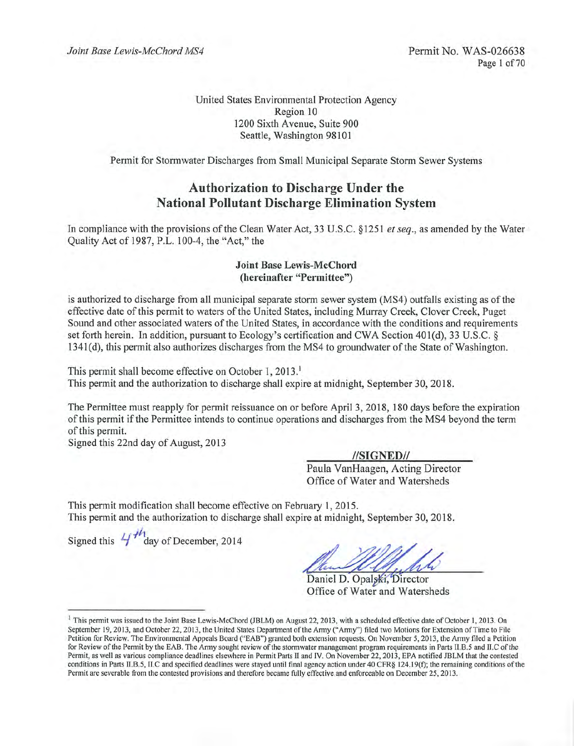United States Environmental Protection Agency Region 10 1200 Sixth Avenue, Suite 900 Seattle, Washington 98101

Permit for Stormwater Discharges from Small Municipal Separate Storm Sewer Systems

## **Authorization to Discharge Under the National Pollutant Discharge Elimination System**

In compliance with the provisions of the Clean Water Act, 33 U.S.C. §1251 et seq., as amended by the Water Quality Act of 1987, P.L. 100-4, the "Act," the

#### **Joint Base Lewis-McChord** (hereinafter "Permittee")

is authorized to discharge from all municipal separate storm sewer system (MS4) outfalls existing as of the effective date of this permit to waters of the United States, including Murray Creek, Clover Creek, Puget Sound and other associated waters of the United States, in accordance with the conditions and requirements set forth herein. In addition, pursuant to Ecology's certification and CWA Section 401(d), 33 U.S.C. § 1341(d), this permit also authorizes discharges from the MS4 to groundwater of the State of Washington.

This permit shall become effective on October 1, 2013.<sup>1</sup> This permit and the authorization to discharge shall expire at midnight, September 30, 2018.

The Permittee must reapply for permit reissuance on or before April 3, 2018, 180 days before the expiration of this permit if the Permittee intends to continue operations and discharges from the MS4 beyond the term of this permit.

Signed this 22nd day of August, 2013

//SIGNED// Paula VanHaagen, Acting Director Office of Water and Watersheds

This permit modification shall become effective on February 1, 2015. This permit and the authorization to discharge shall expire at midnight, September 30, 2018.

Signed this  $4f''$  day of December, 2014

Daniel D. Opalski, Director Office of Water and Watersheds

<sup>&</sup>lt;sup>1</sup> This permit was issued to the Joint Base Lewis-McChord (JBLM) on August 22, 2013, with a scheduled effective date of October 1, 2013. On September 19, 2013, and October 22, 2013, the United States Department of the Army ("Army") filed two Motions for Extension of Time to File Petition for Review. The Environmental Appeals Board ("EAB") granted both extension requests. On November 5, 2013, the Army filed a Petition for Review of the Permit by the EAB. The Army sought review of the stormwater management program requirements in Parts II.B.5 and II.C of the Permit, as well as various compliance deadlines elsewhere in Permit Parts II and IV. On November 22, 2013, EPA notified JBLM that the contested conditions in Parts II.B.5, II.C and specified deadlines were stayed until final agency action under 40 CFR§ 124.19(f); the remaining conditions of the Permit are severable from the contested provisions and therefore became fully effective and enforceable on December 25, 2013.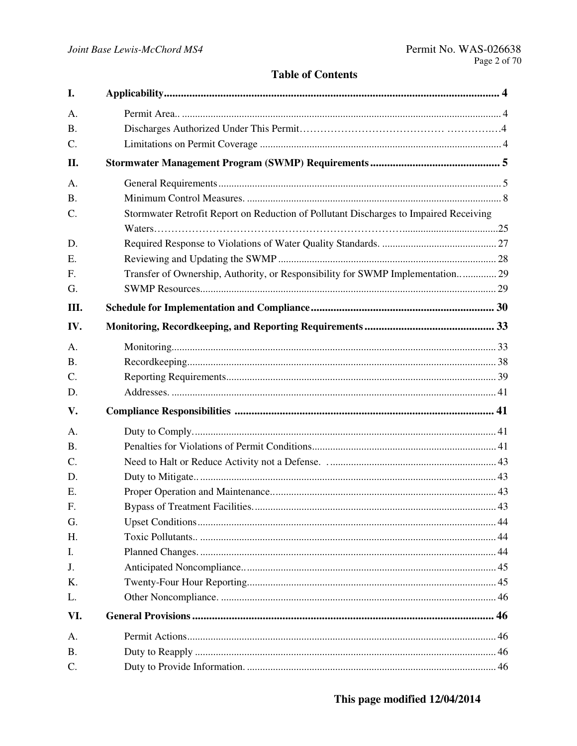## **Table of Contents**

| I.              |                                                                                       |    |
|-----------------|---------------------------------------------------------------------------------------|----|
| A.              |                                                                                       |    |
| <b>B.</b>       |                                                                                       |    |
| C.              |                                                                                       |    |
| II.             |                                                                                       |    |
| A.              |                                                                                       |    |
| <b>B.</b>       |                                                                                       |    |
| $\mathbf{C}$ .  | Stormwater Retrofit Report on Reduction of Pollutant Discharges to Impaired Receiving |    |
|                 |                                                                                       |    |
| D.              |                                                                                       |    |
| E.              |                                                                                       |    |
| F.              | Transfer of Ownership, Authority, or Responsibility for SWMP Implementation 29        |    |
| G.              |                                                                                       |    |
| III.            |                                                                                       |    |
| IV.             |                                                                                       |    |
| A.              |                                                                                       |    |
| <b>B.</b>       |                                                                                       |    |
| C.              |                                                                                       |    |
| D.              |                                                                                       |    |
| V.              |                                                                                       |    |
| A.              |                                                                                       |    |
| <b>B.</b>       |                                                                                       |    |
| $\mathcal{C}$ . |                                                                                       |    |
| D.              |                                                                                       |    |
| Ε.              |                                                                                       |    |
| $F_{\cdot}$     |                                                                                       | 43 |
| G.              |                                                                                       |    |
| Η.              |                                                                                       |    |
| I.              |                                                                                       |    |
| J.              |                                                                                       |    |
| K.              |                                                                                       |    |
| L.              |                                                                                       |    |
| VI.             |                                                                                       |    |
| A <sub>1</sub>  |                                                                                       |    |
| <b>B.</b>       |                                                                                       |    |
| C.              |                                                                                       |    |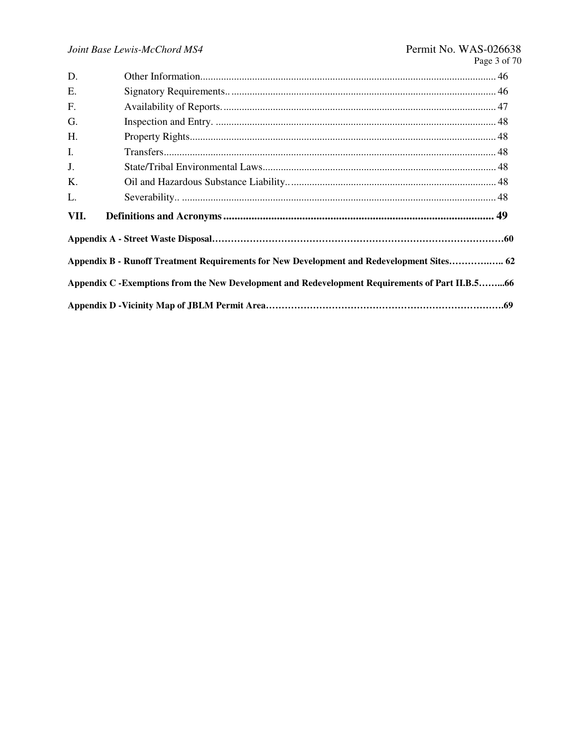| D.   |                                                                                                 |  |
|------|-------------------------------------------------------------------------------------------------|--|
| E.   |                                                                                                 |  |
| F.   |                                                                                                 |  |
| G.   |                                                                                                 |  |
| H.   |                                                                                                 |  |
| Ι.   |                                                                                                 |  |
| J.   |                                                                                                 |  |
| K.   |                                                                                                 |  |
| L.   |                                                                                                 |  |
| VII. |                                                                                                 |  |
|      |                                                                                                 |  |
|      | Appendix B - Runoff Treatment Requirements for New Development and Redevelopment Sites 62       |  |
|      | Appendix C -Exemptions from the New Development and Redevelopment Requirements of Part II.B.566 |  |
|      |                                                                                                 |  |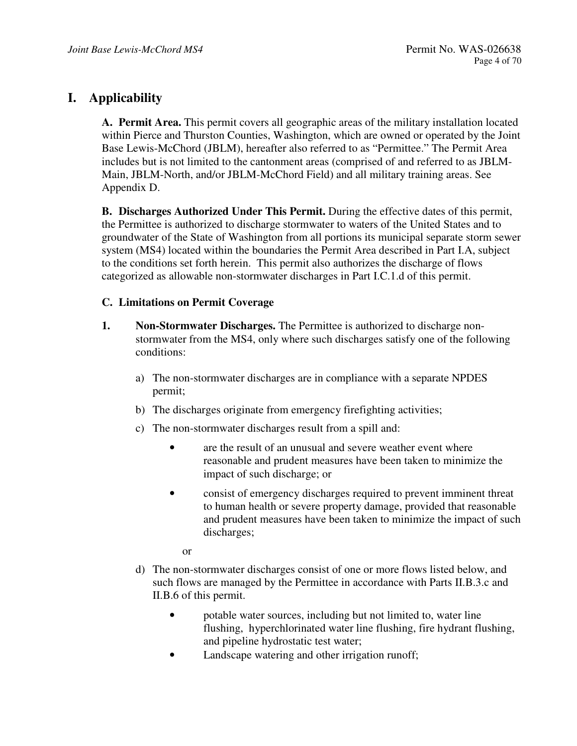## **I. Applicability**

**A. Permit Area.** This permit covers all geographic areas of the military installation located within Pierce and Thurston Counties, Washington, which are owned or operated by the Joint Base Lewis-McChord (JBLM), hereafter also referred to as "Permittee." The Permit Area includes but is not limited to the cantonment areas (comprised of and referred to as JBLM-Main, JBLM-North, and/or JBLM-McChord Field) and all military training areas. See Appendix D.

**B. Discharges Authorized Under This Permit.** During the effective dates of this permit, the Permittee is authorized to discharge stormwater to waters of the United States and to groundwater of the State of Washington from all portions its municipal separate storm sewer system (MS4) located within the boundaries the Permit Area described in Part I.A, subject to the conditions set forth herein. This permit also authorizes the discharge of flows categorized as allowable non-stormwater discharges in Part I.C.1.d of this permit.

#### **C. Limitations on Permit Coverage**

- **1. Non-Stormwater Discharges.** The Permittee is authorized to discharge nonstormwater from the MS4, only where such discharges satisfy one of the following conditions:
	- a) The non-stormwater discharges are in compliance with a separate NPDES permit;
	- b) The discharges originate from emergency firefighting activities;
	- c) The non-stormwater discharges result from a spill and:
		- are the result of an unusual and severe weather event where reasonable and prudent measures have been taken to minimize the impact of such discharge; or
		- consist of emergency discharges required to prevent imminent threat to human health or severe property damage, provided that reasonable and prudent measures have been taken to minimize the impact of such discharges;

or

- d) The non-stormwater discharges consist of one or more flows listed below, and such flows are managed by the Permittee in accordance with Parts II.B.3.c and II.B.6 of this permit.
	- potable water sources, including but not limited to, water line flushing, hyperchlorinated water line flushing, fire hydrant flushing, and pipeline hydrostatic test water;
	- Landscape watering and other irrigation runoff;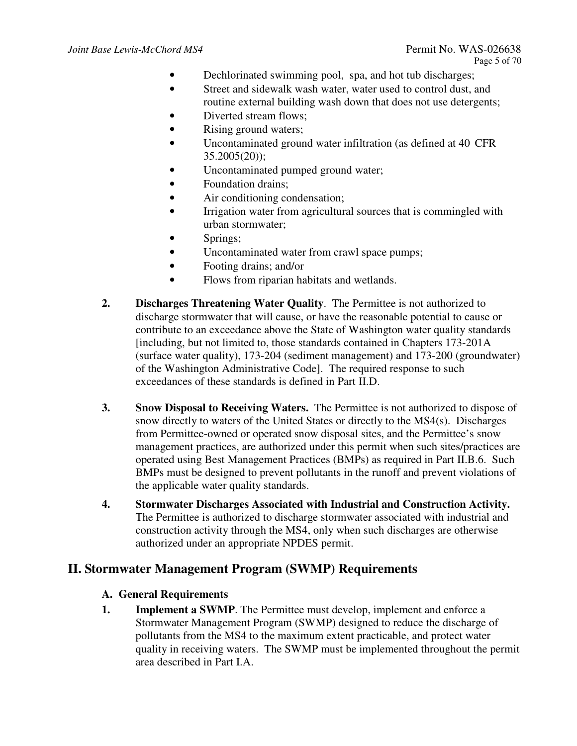- Dechlorinated swimming pool, spa, and hot tub discharges;
- Street and sidewalk wash water, water used to control dust, and routine external building wash down that does not use detergents;
- Diverted stream flows:
- Rising ground waters;
- Uncontaminated ground water infiltration (as defined at 40 CFR  $35.2005(20)$ ;
- Uncontaminated pumped ground water;
- Foundation drains;
- Air conditioning condensation;
- Irrigation water from agricultural sources that is commingled with urban stormwater;
- Springs;
- Uncontaminated water from crawl space pumps;
- Footing drains; and/or
- Flows from riparian habitats and wetlands.
- **2. Discharges Threatening Water Quality**. The Permittee is not authorized to discharge stormwater that will cause, or have the reasonable potential to cause or contribute to an exceedance above the State of Washington water quality standards [including, but not limited to, those standards contained in Chapters 173-201A (surface water quality), 173-204 (sediment management) and 173-200 (groundwater) of the Washington Administrative Code]. The required response to such exceedances of these standards is defined in Part II.D.
- **3. Snow Disposal to Receiving Waters.** The Permittee is not authorized to dispose of snow directly to waters of the United States or directly to the MS4(s). Discharges from Permittee-owned or operated snow disposal sites, and the Permittee's snow management practices, are authorized under this permit when such sites/practices are operated using Best Management Practices (BMPs) as required in Part II.B.6. Such BMPs must be designed to prevent pollutants in the runoff and prevent violations of the applicable water quality standards.
- **4. Stormwater Discharges Associated with Industrial and Construction Activity.**  The Permittee is authorized to discharge stormwater associated with industrial and construction activity through the MS4, only when such discharges are otherwise authorized under an appropriate NPDES permit.

## **II. Stormwater Management Program (SWMP) Requirements**

## **A. General Requirements**

**1. Implement a SWMP**. The Permittee must develop, implement and enforce a Stormwater Management Program (SWMP) designed to reduce the discharge of pollutants from the MS4 to the maximum extent practicable, and protect water quality in receiving waters. The SWMP must be implemented throughout the permit area described in Part I.A.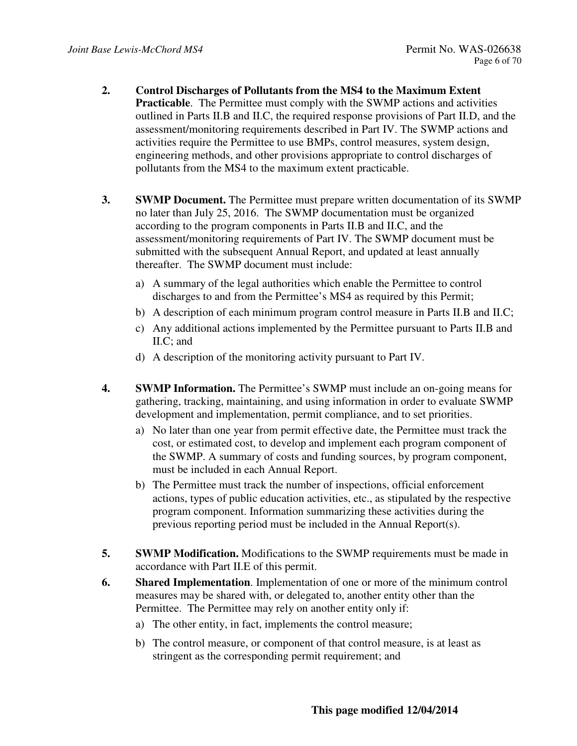- **2. Control Discharges of Pollutants from the MS4 to the Maximum Extent Practicable**. The Permittee must comply with the SWMP actions and activities outlined in Parts II.B and II.C, the required response provisions of Part II.D, and the assessment/monitoring requirements described in Part IV. The SWMP actions and activities require the Permittee to use BMPs, control measures, system design, engineering methods, and other provisions appropriate to control discharges of pollutants from the MS4 to the maximum extent practicable.
- **3. SWMP Document.** The Permittee must prepare written documentation of its SWMP no later than July 25, 2016. The SWMP documentation must be organized according to the program components in Parts II.B and II.C, and the assessment/monitoring requirements of Part IV. The SWMP document must be submitted with the subsequent Annual Report, and updated at least annually thereafter. The SWMP document must include:
	- a) A summary of the legal authorities which enable the Permittee to control discharges to and from the Permittee's MS4 as required by this Permit;
	- b) A description of each minimum program control measure in Parts II.B and II.C;
	- c) Any additional actions implemented by the Permittee pursuant to Parts II.B and II.C; and
	- d) A description of the monitoring activity pursuant to Part IV.
- **4. SWMP Information.** The Permittee's SWMP must include an on-going means for gathering, tracking, maintaining, and using information in order to evaluate SWMP development and implementation, permit compliance, and to set priorities.
	- a) No later than one year from permit effective date, the Permittee must track the cost, or estimated cost, to develop and implement each program component of the SWMP. A summary of costs and funding sources, by program component, must be included in each Annual Report.
	- b) The Permittee must track the number of inspections, official enforcement actions, types of public education activities, etc., as stipulated by the respective program component. Information summarizing these activities during the previous reporting period must be included in the Annual Report(s).
- **5. SWMP Modification.** Modifications to the SWMP requirements must be made in accordance with Part II.E of this permit.
- **6. Shared Implementation**. Implementation of one or more of the minimum control measures may be shared with, or delegated to, another entity other than the Permittee. The Permittee may rely on another entity only if:
	- a) The other entity, in fact, implements the control measure;
	- b) The control measure, or component of that control measure, is at least as stringent as the corresponding permit requirement; and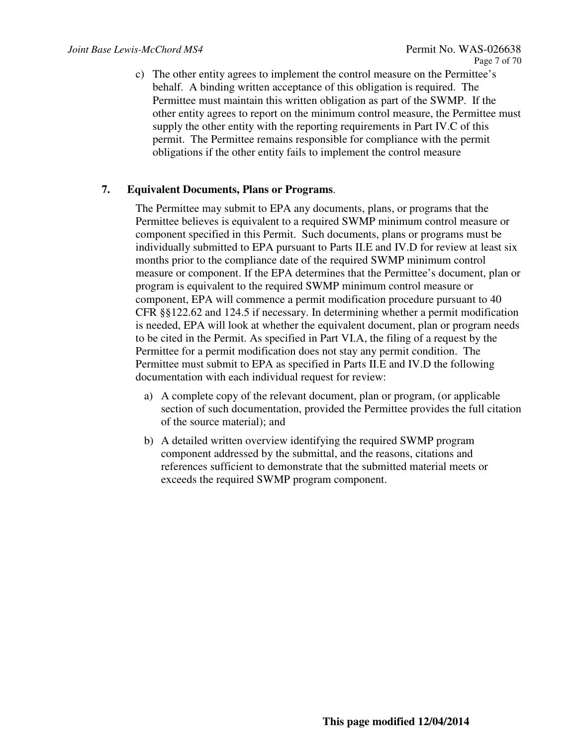c) The other entity agrees to implement the control measure on the Permittee's behalf. A binding written acceptance of this obligation is required. The Permittee must maintain this written obligation as part of the SWMP. If the other entity agrees to report on the minimum control measure, the Permittee must supply the other entity with the reporting requirements in Part IV.C of this permit. The Permittee remains responsible for compliance with the permit obligations if the other entity fails to implement the control measure

#### **7. Equivalent Documents, Plans or Programs**.

The Permittee may submit to EPA any documents, plans, or programs that the Permittee believes is equivalent to a required SWMP minimum control measure or component specified in this Permit. Such documents, plans or programs must be individually submitted to EPA pursuant to Parts II.E and IV.D for review at least six months prior to the compliance date of the required SWMP minimum control measure or component. If the EPA determines that the Permittee's document, plan or program is equivalent to the required SWMP minimum control measure or component, EPA will commence a permit modification procedure pursuant to 40 CFR §§122.62 and 124.5 if necessary. In determining whether a permit modification is needed, EPA will look at whether the equivalent document, plan or program needs to be cited in the Permit. As specified in Part VI.A, the filing of a request by the Permittee for a permit modification does not stay any permit condition. The Permittee must submit to EPA as specified in Parts II.E and IV.D the following documentation with each individual request for review:

- a) A complete copy of the relevant document, plan or program, (or applicable section of such documentation, provided the Permittee provides the full citation of the source material); and
- b) A detailed written overview identifying the required SWMP program component addressed by the submittal, and the reasons, citations and references sufficient to demonstrate that the submitted material meets or exceeds the required SWMP program component.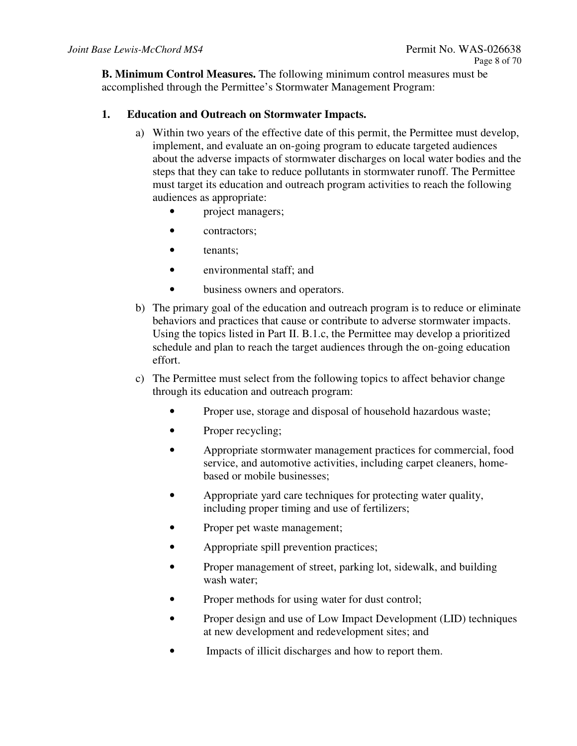**B. Minimum Control Measures.** The following minimum control measures must be accomplished through the Permittee's Stormwater Management Program:

## **1. Education and Outreach on Stormwater Impacts.**

- a) Within two years of the effective date of this permit, the Permittee must develop, implement, and evaluate an on-going program to educate targeted audiences about the adverse impacts of stormwater discharges on local water bodies and the steps that they can take to reduce pollutants in stormwater runoff. The Permittee must target its education and outreach program activities to reach the following audiences as appropriate:
	- project managers;
	- contractors:
	- tenants;
	- environmental staff; and
	- business owners and operators.
- b) The primary goal of the education and outreach program is to reduce or eliminate behaviors and practices that cause or contribute to adverse stormwater impacts. Using the topics listed in Part II. B.1.c, the Permittee may develop a prioritized schedule and plan to reach the target audiences through the on-going education effort.
- c) The Permittee must select from the following topics to affect behavior change through its education and outreach program:
	- Proper use, storage and disposal of household hazardous waste;
	- Proper recycling;
	- Appropriate stormwater management practices for commercial, food service, and automotive activities, including carpet cleaners, homebased or mobile businesses;
	- Appropriate yard care techniques for protecting water quality, including proper timing and use of fertilizers;
	- Proper pet waste management;
	- Appropriate spill prevention practices;
	- Proper management of street, parking lot, sidewalk, and building wash water;
	- Proper methods for using water for dust control;
	- Proper design and use of Low Impact Development (LID) techniques at new development and redevelopment sites; and
	- Impacts of illicit discharges and how to report them.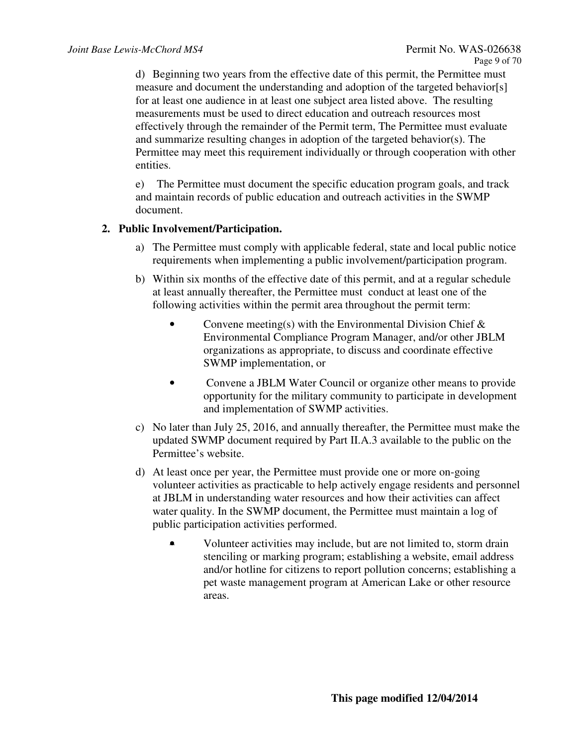d) Beginning two years from the effective date of this permit, the Permittee must measure and document the understanding and adoption of the targeted behavior[s] for at least one audience in at least one subject area listed above. The resulting measurements must be used to direct education and outreach resources most effectively through the remainder of the Permit term, The Permittee must evaluate and summarize resulting changes in adoption of the targeted behavior(s). The Permittee may meet this requirement individually or through cooperation with other entities.

e) The Permittee must document the specific education program goals, and track and maintain records of public education and outreach activities in the SWMP document.

## **2. Public Involvement/Participation.**

- a) The Permittee must comply with applicable federal, state and local public notice requirements when implementing a public involvement/participation program.
- b) Within six months of the effective date of this permit, and at a regular schedule at least annually thereafter, the Permittee must conduct at least one of the following activities within the permit area throughout the permit term:
	- Convene meeting(s) with the Environmental Division Chief  $\&$ Environmental Compliance Program Manager, and/or other JBLM organizations as appropriate, to discuss and coordinate effective SWMP implementation, or
	- Convene a JBLM Water Council or organize other means to provide opportunity for the military community to participate in development and implementation of SWMP activities.
- c) No later than July 25, 2016, and annually thereafter, the Permittee must make the updated SWMP document required by Part II.A.3 available to the public on the Permittee's website.
- d) At least once per year, the Permittee must provide one or more on-going volunteer activities as practicable to help actively engage residents and personnel at JBLM in understanding water resources and how their activities can affect water quality. In the SWMP document, the Permittee must maintain a log of public participation activities performed.
	- Volunteer activities may include, but are not limited to, storm drain stenciling or marking program; establishing a website, email address and/or hotline for citizens to report pollution concerns; establishing a pet waste management program at American Lake or other resource areas.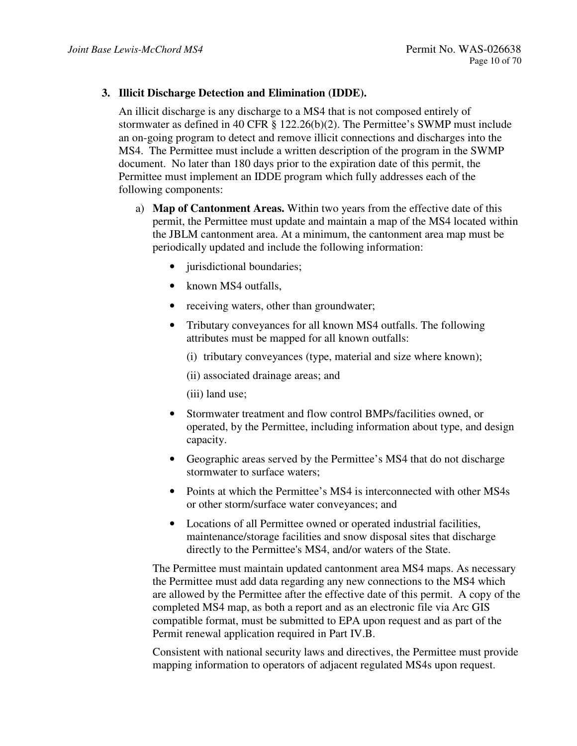#### **3. Illicit Discharge Detection and Elimination (IDDE).**

An illicit discharge is any discharge to a MS4 that is not composed entirely of stormwater as defined in 40 CFR § 122.26(b)(2). The Permittee's SWMP must include an on-going program to detect and remove illicit connections and discharges into the MS4. The Permittee must include a written description of the program in the SWMP document. No later than 180 days prior to the expiration date of this permit, the Permittee must implement an IDDE program which fully addresses each of the following components:

- a) **Map of Cantonment Areas.** Within two years from the effective date of this permit, the Permittee must update and maintain a map of the MS4 located within the JBLM cantonment area. At a minimum, the cantonment area map must be periodically updated and include the following information:
	- jurisdictional boundaries;
	- known MS4 outfalls,
	- receiving waters, other than groundwater;
	- Tributary conveyances for all known MS4 outfalls. The following attributes must be mapped for all known outfalls:
		- (i) tributary conveyances (type, material and size where known);

(ii) associated drainage areas; and

(iii) land use;

- Stormwater treatment and flow control BMPs/facilities owned, or operated, by the Permittee, including information about type, and design capacity.
- Geographic areas served by the Permittee's MS4 that do not discharge stormwater to surface waters;
- Points at which the Permittee's MS4 is interconnected with other MS4s or other storm/surface water conveyances; and
- Locations of all Permittee owned or operated industrial facilities, maintenance/storage facilities and snow disposal sites that discharge directly to the Permittee's MS4, and/or waters of the State.

The Permittee must maintain updated cantonment area MS4 maps. As necessary the Permittee must add data regarding any new connections to the MS4 which are allowed by the Permittee after the effective date of this permit. A copy of the completed MS4 map, as both a report and as an electronic file via Arc GIS compatible format, must be submitted to EPA upon request and as part of the Permit renewal application required in Part IV.B.

Consistent with national security laws and directives, the Permittee must provide mapping information to operators of adjacent regulated MS4s upon request.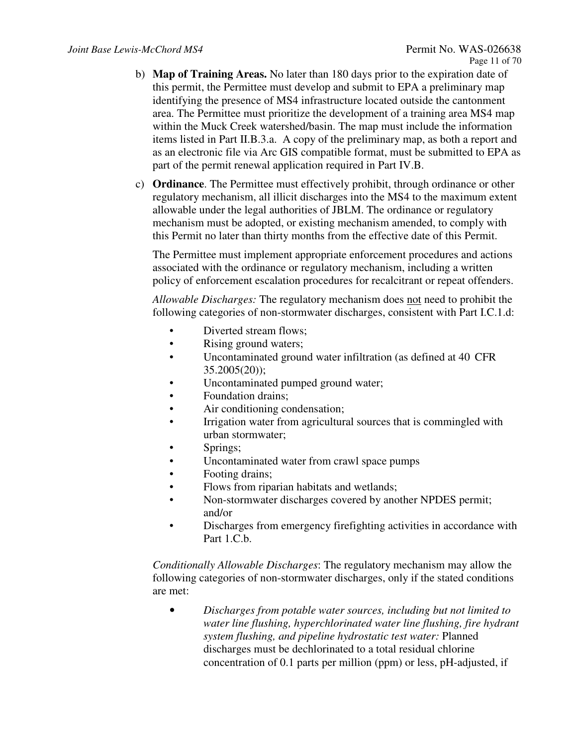- b) **Map of Training Areas.** No later than 180 days prior to the expiration date of this permit, the Permittee must develop and submit to EPA a preliminary map identifying the presence of MS4 infrastructure located outside the cantonment area. The Permittee must prioritize the development of a training area MS4 map within the Muck Creek watershed/basin. The map must include the information items listed in Part II.B.3.a. A copy of the preliminary map, as both a report and as an electronic file via Arc GIS compatible format, must be submitted to EPA as part of the permit renewal application required in Part IV.B.
- c) **Ordinance**. The Permittee must effectively prohibit, through ordinance or other regulatory mechanism, all illicit discharges into the MS4 to the maximum extent allowable under the legal authorities of JBLM. The ordinance or regulatory mechanism must be adopted, or existing mechanism amended, to comply with this Permit no later than thirty months from the effective date of this Permit.

The Permittee must implement appropriate enforcement procedures and actions associated with the ordinance or regulatory mechanism, including a written policy of enforcement escalation procedures for recalcitrant or repeat offenders.

*Allowable Discharges:* The regulatory mechanism does not need to prohibit the following categories of non-stormwater discharges, consistent with Part I.C.1.d:

- Diverted stream flows;
- Rising ground waters;
- Uncontaminated ground water infiltration (as defined at 40 CFR  $35.2005(20)$ ;
- Uncontaminated pumped ground water;
- Foundation drains;
- Air conditioning condensation;
- Irrigation water from agricultural sources that is commingled with urban stormwater;
- Springs:
- Uncontaminated water from crawl space pumps
- Footing drains;
- Flows from riparian habitats and wetlands;
- Non-stormwater discharges covered by another NPDES permit; and/or
- Discharges from emergency firefighting activities in accordance with Part 1.C.b.

*Conditionally Allowable Discharges*: The regulatory mechanism may allow the following categories of non-stormwater discharges, only if the stated conditions are met:

• *Discharges from potable water sources, including but not limited to water line flushing, hyperchlorinated water line flushing, fire hydrant system flushing, and pipeline hydrostatic test water:* Planned discharges must be dechlorinated to a total residual chlorine concentration of 0.1 parts per million (ppm) or less, pH-adjusted, if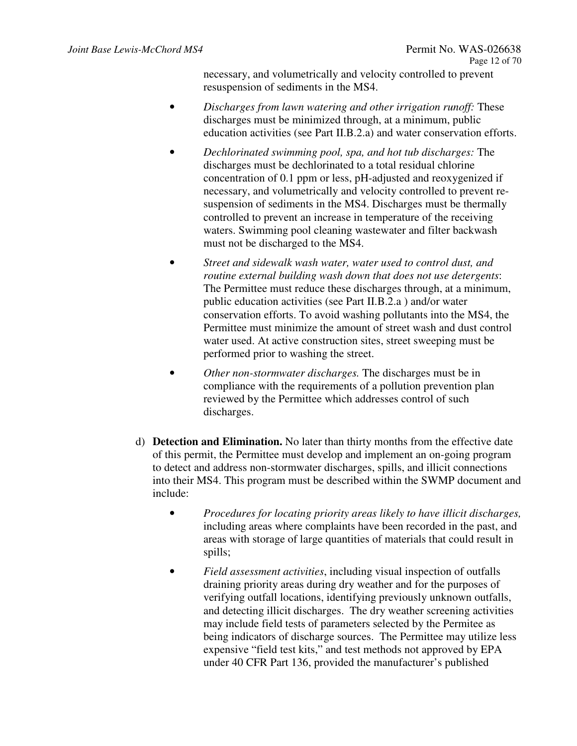necessary, and volumetrically and velocity controlled to prevent resuspension of sediments in the MS4.

- *Discharges from lawn watering and other irrigation runoff:* These discharges must be minimized through, at a minimum, public education activities (see Part II.B.2.a) and water conservation efforts.
- *Dechlorinated swimming pool, spa, and hot tub discharges:* The discharges must be dechlorinated to a total residual chlorine concentration of 0.1 ppm or less, pH-adjusted and reoxygenized if necessary, and volumetrically and velocity controlled to prevent resuspension of sediments in the MS4. Discharges must be thermally controlled to prevent an increase in temperature of the receiving waters. Swimming pool cleaning wastewater and filter backwash must not be discharged to the MS4.
- *Street and sidewalk wash water, water used to control dust, and routine external building wash down that does not use detergents*: The Permittee must reduce these discharges through, at a minimum, public education activities (see Part II.B.2.a ) and/or water conservation efforts. To avoid washing pollutants into the MS4, the Permittee must minimize the amount of street wash and dust control water used. At active construction sites, street sweeping must be performed prior to washing the street.
- *Other non-stormwater discharges.* The discharges must be in compliance with the requirements of a pollution prevention plan reviewed by the Permittee which addresses control of such discharges.
- d) **Detection and Elimination.** No later than thirty months from the effective date of this permit, the Permittee must develop and implement an on-going program to detect and address non-stormwater discharges, spills, and illicit connections into their MS4. This program must be described within the SWMP document and include:
	- *Procedures for locating priority areas likely to have illicit discharges,* including areas where complaints have been recorded in the past, and areas with storage of large quantities of materials that could result in spills;
	- *Field assessment activities*, including visual inspection of outfalls draining priority areas during dry weather and for the purposes of verifying outfall locations, identifying previously unknown outfalls, and detecting illicit discharges. The dry weather screening activities may include field tests of parameters selected by the Permitee as being indicators of discharge sources. The Permittee may utilize less expensive "field test kits," and test methods not approved by EPA under 40 CFR Part 136, provided the manufacturer's published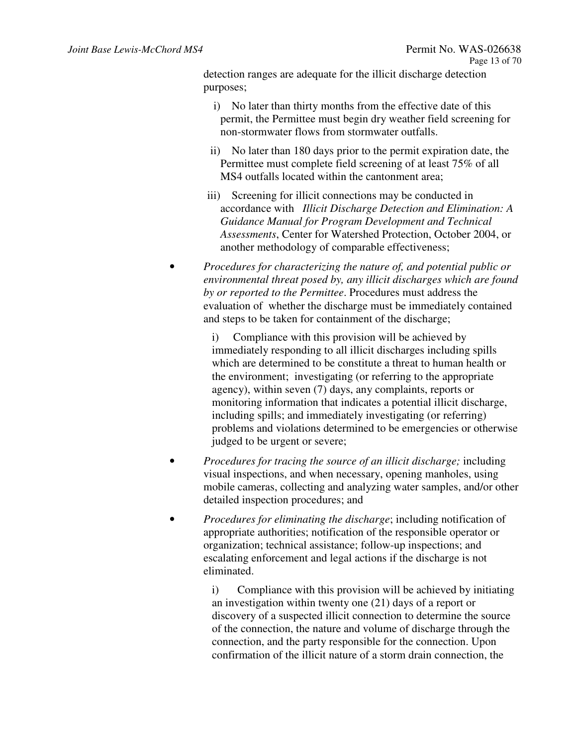detection ranges are adequate for the illicit discharge detection purposes;

- i) No later than thirty months from the effective date of this permit, the Permittee must begin dry weather field screening for non-stormwater flows from stormwater outfalls.
- ii) No later than 180 days prior to the permit expiration date, the Permittee must complete field screening of at least 75% of all MS4 outfalls located within the cantonment area;
- iii) Screening for illicit connections may be conducted in accordance with *Illicit Discharge Detection and Elimination: A Guidance Manual for Program Development and Technical Assessments*, Center for Watershed Protection, October 2004, or another methodology of comparable effectiveness;
- *Procedures for characterizing the nature of, and potential public or environmental threat posed by, any illicit discharges which are found by or reported to the Permittee*. Procedures must address the evaluation of whether the discharge must be immediately contained and steps to be taken for containment of the discharge;

i) Compliance with this provision will be achieved by immediately responding to all illicit discharges including spills which are determined to be constitute a threat to human health or the environment; investigating (or referring to the appropriate agency), within seven (7) days, any complaints, reports or monitoring information that indicates a potential illicit discharge, including spills; and immediately investigating (or referring) problems and violations determined to be emergencies or otherwise judged to be urgent or severe;

- *Procedures for tracing the source of an illicit discharge;* including visual inspections, and when necessary, opening manholes, using mobile cameras, collecting and analyzing water samples, and/or other detailed inspection procedures; and
- *Procedures for eliminating the discharge*; including notification of appropriate authorities; notification of the responsible operator or organization; technical assistance; follow-up inspections; and escalating enforcement and legal actions if the discharge is not eliminated.

i) Compliance with this provision will be achieved by initiating an investigation within twenty one (21) days of a report or discovery of a suspected illicit connection to determine the source of the connection, the nature and volume of discharge through the connection, and the party responsible for the connection. Upon confirmation of the illicit nature of a storm drain connection, the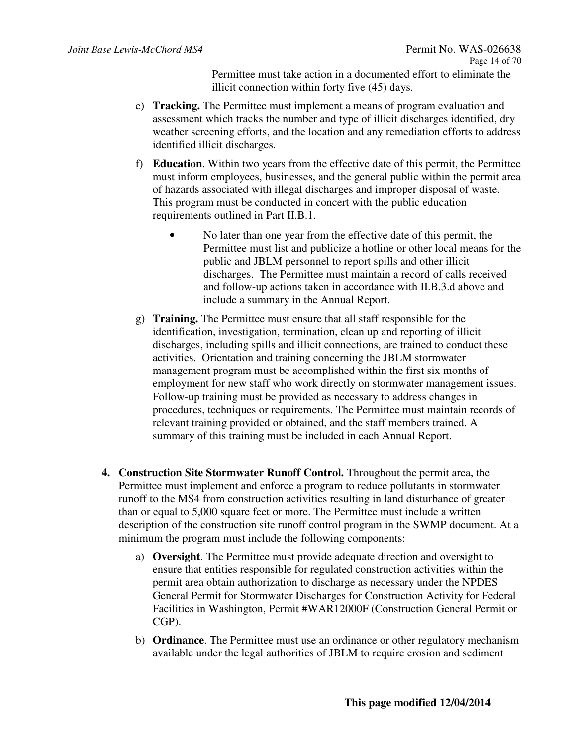Permittee must take action in a documented effort to eliminate the illicit connection within forty five (45) days.

- e) **Tracking.** The Permittee must implement a means of program evaluation and assessment which tracks the number and type of illicit discharges identified, dry weather screening efforts, and the location and any remediation efforts to address identified illicit discharges.
- f) **Education**. Within two years from the effective date of this permit, the Permittee must inform employees, businesses, and the general public within the permit area of hazards associated with illegal discharges and improper disposal of waste. This program must be conducted in concert with the public education requirements outlined in Part II.B.1.
	- No later than one year from the effective date of this permit, the Permittee must list and publicize a hotline or other local means for the public and JBLM personnel to report spills and other illicit discharges. The Permittee must maintain a record of calls received and follow-up actions taken in accordance with II.B.3.d above and include a summary in the Annual Report.
- g) **Training.** The Permittee must ensure that all staff responsible for the identification, investigation, termination, clean up and reporting of illicit discharges, including spills and illicit connections, are trained to conduct these activities. Orientation and training concerning the JBLM stormwater management program must be accomplished within the first six months of employment for new staff who work directly on stormwater management issues. Follow-up training must be provided as necessary to address changes in procedures, techniques or requirements. The Permittee must maintain records of relevant training provided or obtained, and the staff members trained. A summary of this training must be included in each Annual Report.
- **4. Construction Site Stormwater Runoff Control.** Throughout the permit area, the Permittee must implement and enforce a program to reduce pollutants in stormwater runoff to the MS4 from construction activities resulting in land disturbance of greater than or equal to 5,000 square feet or more. The Permittee must include a written description of the construction site runoff control program in the SWMP document. At a minimum the program must include the following components:
	- a) **Oversight**. The Permittee must provide adequate direction and over**s**ight to ensure that entities responsible for regulated construction activities within the permit area obtain authorization to discharge as necessary under the NPDES General Permit for Stormwater Discharges for Construction Activity for Federal Facilities in Washington, Permit #WAR12000F (Construction General Permit or CGP).
	- b) **Ordinance**. The Permittee must use an ordinance or other regulatory mechanism available under the legal authorities of JBLM to require erosion and sediment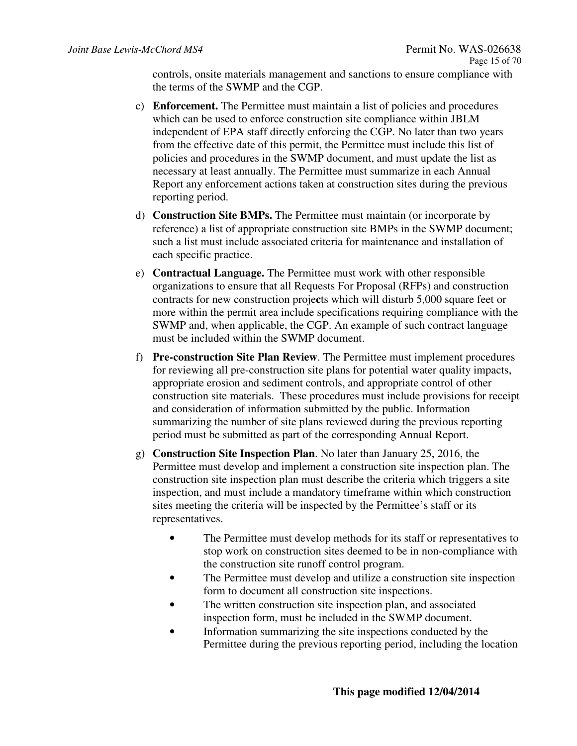controls, onsite materials management and sanctions to ensure compliance with the terms of the SWMP and the CGP.

- c) **Enforcement.** The Permittee must maintain a list of policies and procedures which can be used to enforce construction site compliance within JBLM independent of EPA staff directly enforcing the CGP. No later than two years from the effective date of this permit, the Permittee must include this list of policies and procedures in the SWMP document, and must update the list as necessary at least annually. The Permittee must summarize in each Annual Report any enforcement actions taken at construction sites during the previous reporting period.
- d) **Construction Site BMPs.** The Permittee must maintain (or incorporate by reference) a list of appropriate construction site BMPs in the SWMP document; such a list must include associated criteria for maintenance and installation of each specific practice.
- e) **Contractual Language.** The Permittee must work with other responsible organizations to ensure that all Requests For Proposal (RFPs) and construction contracts for new construction proje**c**ts which will disturb 5,000 square feet or more within the permit area include specifications requiring compliance with the SWMP and, when applicable, the CGP. An example of such contract language must be included within the SWMP document.
- f) **Pre-construction Site Plan Review**. The Permittee must implement procedures for reviewing all pre-construction site plans for potential water quality impacts, appropriate erosion and sediment controls, and appropriate control of other construction site materials. These procedures must include provisions for receipt and consideration of information submitted by the public. Information summarizing the number of site plans reviewed during the previous reporting period must be submitted as part of the corresponding Annual Report.
- g) **Construction Site Inspection Plan**. No later than January 25, 2016, the Permittee must develop and implement a construction site inspection plan. The construction site inspection plan must describe the criteria which triggers a site inspection, and must include a mandatory timeframe within which construction sites meeting the criteria will be inspected by the Permittee's staff or its representatives.
	- The Permittee must develop methods for its staff or representatives to stop work on construction sites deemed to be in non-compliance with the construction site runoff control program.
	- The Permittee must develop and utilize a construction site inspection form to document all construction site inspections.
	- The written construction site inspection plan, and associated inspection form, must be included in the SWMP document.
	- Information summarizing the site inspections conducted by the Permittee during the previous reporting period, including the location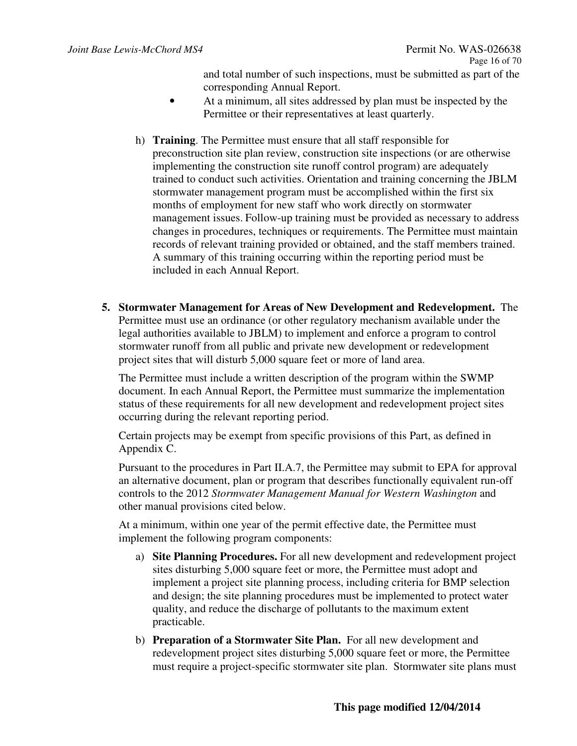and total number of such inspections, must be submitted as part of the corresponding Annual Report.

- At a minimum, all sites addressed by plan must be inspected by the Permittee or their representatives at least quarterly.
- h) **Training**. The Permittee must ensure that all staff responsible for preconstruction site plan review, construction site inspections (or are otherwise implementing the construction site runoff control program) are adequately trained to conduct such activities. Orientation and training concerning the JBLM stormwater management program must be accomplished within the first six months of employment for new staff who work directly on stormwater management issues. Follow-up training must be provided as necessary to address changes in procedures, techniques or requirements. The Permittee must maintain records of relevant training provided or obtained, and the staff members trained. A summary of this training occurring within the reporting period must be included in each Annual Report.
- **5. Stormwater Management for Areas of New Development and Redevelopment.** The Permittee must use an ordinance (or other regulatory mechanism available under the legal authorities available to JBLM) to implement and enforce a program to control stormwater runoff from all public and private new development or redevelopment project sites that will disturb 5,000 square feet or more of land area.

The Permittee must include a written description of the program within the SWMP document. In each Annual Report, the Permittee must summarize the implementation status of these requirements for all new development and redevelopment project sites occurring during the relevant reporting period.

Certain projects may be exempt from specific provisions of this Part, as defined in Appendix C.

Pursuant to the procedures in Part II.A.7, the Permittee may submit to EPA for approval an alternative document, plan or program that describes functionally equivalent run-off controls to the 2012 *Stormwater Management Manual for Western Washington* and other manual provisions cited below.

At a minimum, within one year of the permit effective date, the Permittee must implement the following program components:

- a) **Site Planning Procedures.** For all new development and redevelopment project sites disturbing 5,000 square feet or more, the Permittee must adopt and implement a project site planning process, including criteria for BMP selection and design; the site planning procedures must be implemented to protect water quality, and reduce the discharge of pollutants to the maximum extent practicable.
- b) **Preparation of a Stormwater Site Plan.** For all new development and redevelopment project sites disturbing 5,000 square feet or more, the Permittee must require a project-specific stormwater site plan. Stormwater site plans must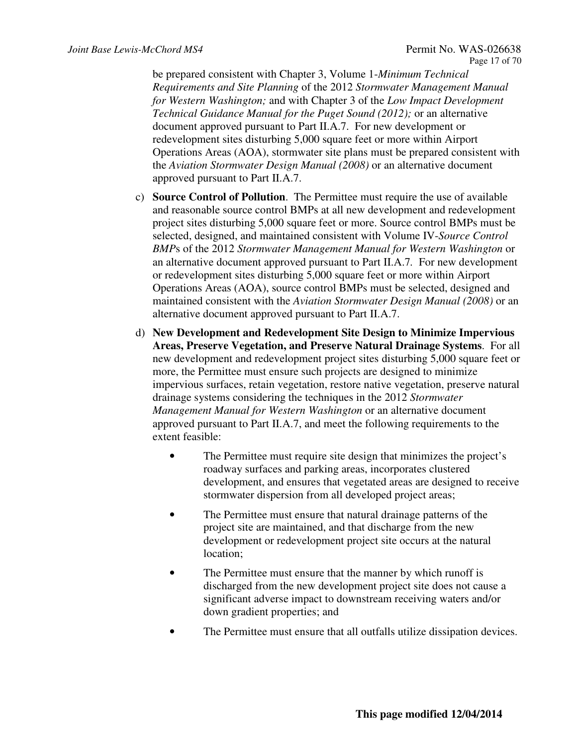be prepared consistent with Chapter 3, Volume 1-*Minimum Technical Requirements and Site Planning* of the 2012 *Stormwater Management Manual for Western Washington;* and with Chapter 3 of the *Low Impact Development Technical Guidance Manual for the Puget Sound (2012);* or an alternative document approved pursuant to Part II.A.7. For new development or redevelopment sites disturbing 5,000 square feet or more within Airport Operations Areas (AOA), stormwater site plans must be prepared consistent with the *Aviation Stormwater Design Manual (2008)* or an alternative document approved pursuant to Part II.A.7.

- c) **Source Control of Pollution**. The Permittee must require the use of available and reasonable source control BMPs at all new development and redevelopment project sites disturbing 5,000 square feet or more. Source control BMPs must be selected, designed, and maintained consistent with Volume IV-*Source Control BMP*s of the 2012 *Stormwater Management Manual for Western Washington* or an alternative document approved pursuant to Part II.A.7*.* For new development or redevelopment sites disturbing 5,000 square feet or more within Airport Operations Areas (AOA), source control BMPs must be selected, designed and maintained consistent with the *Aviation Stormwater Design Manual (2008)* or an alternative document approved pursuant to Part II.A.7.
- d) **New Development and Redevelopment Site Design to Minimize Impervious Areas, Preserve Vegetation, and Preserve Natural Drainage Systems**. For all new development and redevelopment project sites disturbing 5,000 square feet or more, the Permittee must ensure such projects are designed to minimize impervious surfaces, retain vegetation, restore native vegetation, preserve natural drainage systems considering the techniques in the 2012 *Stormwater Management Manual for Western Washington* or an alternative document approved pursuant to Part II.A.7, and meet the following requirements to the extent feasible:
	- The Permittee must require site design that minimizes the project's roadway surfaces and parking areas, incorporates clustered development, and ensures that vegetated areas are designed to receive stormwater dispersion from all developed project areas;
	- The Permittee must ensure that natural drainage patterns of the project site are maintained, and that discharge from the new development or redevelopment project site occurs at the natural location;
	- The Permittee must ensure that the manner by which runoff is discharged from the new development project site does not cause a significant adverse impact to downstream receiving waters and/or down gradient properties; and
	- The Permittee must ensure that all outfalls utilize dissipation devices.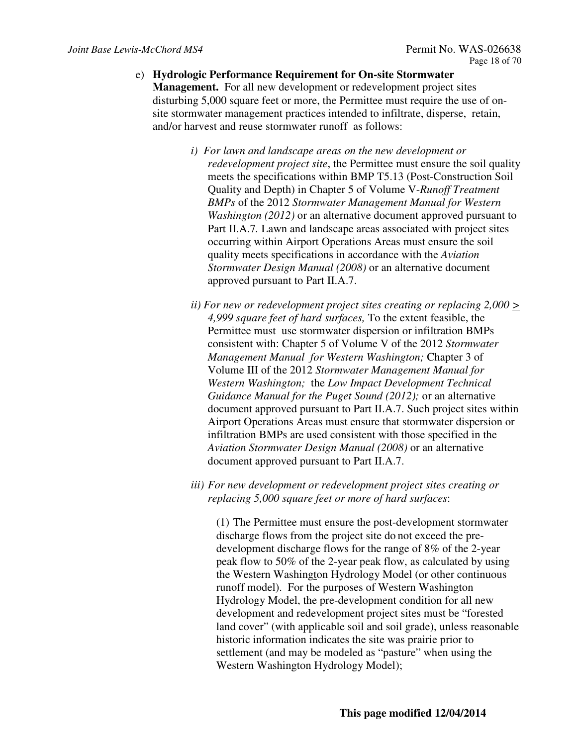- e) **Hydrologic Performance Requirement for On-site Stormwater Management.** For all new development or redevelopment project sites disturbing 5,000 square feet or more, the Permittee must require the use of onsite stormwater management practices intended to infiltrate, disperse, retain, and/or harvest and reuse stormwater runoff as follows:
	- *i) For lawn and landscape areas on the new development or redevelopment project site*, the Permittee must ensure the soil quality meets the specifications within BMP T5.13 (Post-Construction Soil Quality and Depth) in Chapter 5 of Volume V-*Runoff Treatment BMPs* of the 2012 *Stormwater Management Manual for Western Washington (2012)* or an alternative document approved pursuant to Part II.A.7*.* Lawn and landscape areas associated with project sites occurring within Airport Operations Areas must ensure the soil quality meets specifications in accordance with the *Aviation Stormwater Design Manual (2008)* or an alternative document approved pursuant to Part II.A.7.
	- *ii*) For new or redevelopment project sites creating or replacing  $2,000 \geq 0$ *4,999 square feet of hard surfaces,* To the extent feasible, the Permittee must use stormwater dispersion or infiltration BMPs consistent with: Chapter 5 of Volume V of the 2012 *Stormwater Management Manual for Western Washington;* Chapter 3 of Volume III of the 2012 *Stormwater Management Manual for Western Washington;* the *Low Impact Development Technical Guidance Manual for the Puget Sound (2012);* or an alternative document approved pursuant to Part II.A.7. Such project sites within Airport Operations Areas must ensure that stormwater dispersion or infiltration BMPs are used consistent with those specified in the *Aviation Stormwater Design Manual (2008)* or an alternative document approved pursuant to Part II.A.7.
	- *iii) For new development or redevelopment project sites creating or replacing 5,000 square feet or more of hard surfaces*:

(1) The Permittee must ensure the post-development stormwater discharge flows from the project site do not exceed the predevelopment discharge flows for the range of 8% of the 2-year peak flow to 50% of the 2-year peak flow, as calculated by using the Western Washington Hydrology Model (or other continuous runoff model). For the purposes of Western Washington Hydrology Model, the pre-development condition for all new development and redevelopment project sites must be "forested land cover" (with applicable soil and soil grade), unless reasonable historic information indicates the site was prairie prior to settlement (and may be modeled as "pasture" when using the Western Washington Hydrology Model);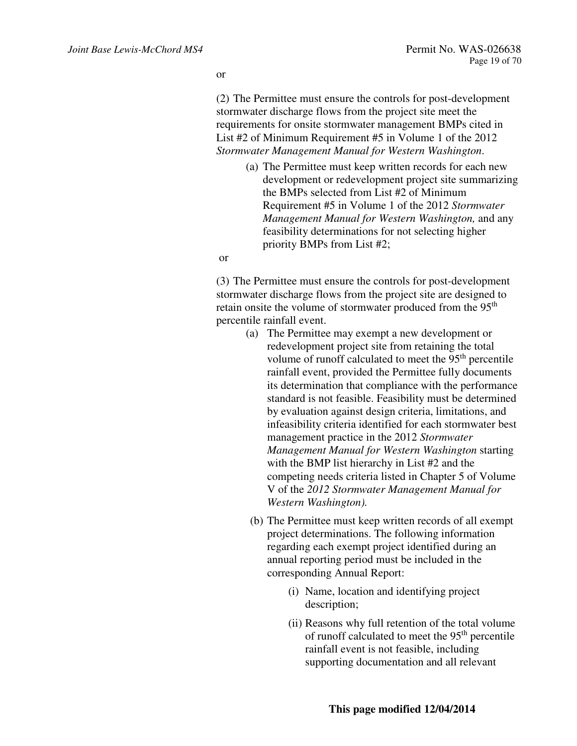or

(2) The Permittee must ensure the controls for post-development stormwater discharge flows from the project site meet the requirements for onsite stormwater management BMPs cited in List #2 of Minimum Requirement #5 in Volume 1 of the 2012 *Stormwater Management Manual for Western Washington*.

> (a) The Permittee must keep written records for each new development or redevelopment project site summarizing the BMPs selected from List #2 of Minimum Requirement #5 in Volume 1 of the 2012 *Stormwater Management Manual for Western Washington,* and any feasibility determinations for not selecting higher priority BMPs from List #2;

or

(3) The Permittee must ensure the controls for post-development stormwater discharge flows from the project site are designed to retain onsite the volume of stormwater produced from the 95<sup>th</sup> percentile rainfall event.

- (a) The Permittee may exempt a new development or redevelopment project site from retaining the total volume of runoff calculated to meet the  $95<sup>th</sup>$  percentile rainfall event, provided the Permittee fully documents its determination that compliance with the performance standard is not feasible. Feasibility must be determined by evaluation against design criteria, limitations, and infeasibility criteria identified for each stormwater best management practice in the 2012 *Stormwater Management Manual for Western Washington* starting with the BMP list hierarchy in List #2 and the competing needs criteria listed in Chapter 5 of Volume V of the *2012 Stormwater Management Manual for Western Washington).*
- (b) The Permittee must keep written records of all exempt project determinations. The following information regarding each exempt project identified during an annual reporting period must be included in the corresponding Annual Report:
	- (i) Name, location and identifying project description;
	- (ii) Reasons why full retention of the total volume of runoff calculated to meet the 95<sup>th</sup> percentile rainfall event is not feasible, including supporting documentation and all relevant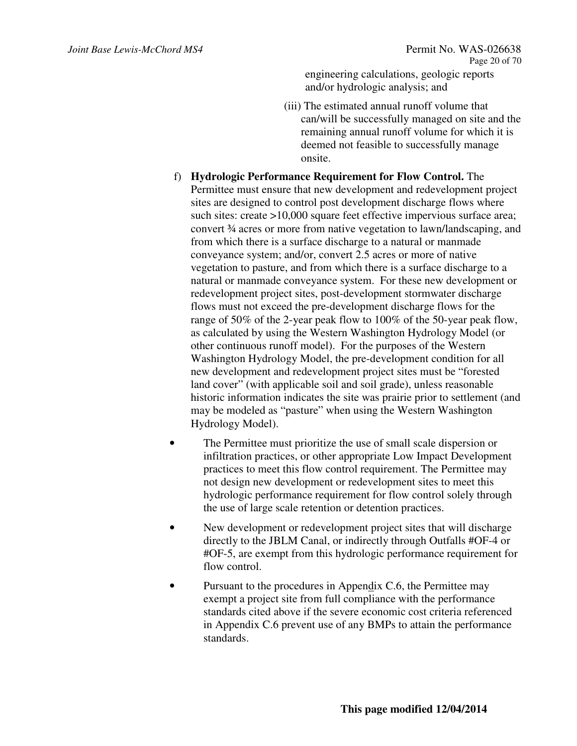engineering calculations, geologic reports and/or hydrologic analysis; and

- (iii) The estimated annual runoff volume that can/will be successfully managed on site and the remaining annual runoff volume for which it is deemed not feasible to successfully manage onsite.
- f) **Hydrologic Performance Requirement for Flow Control.** The Permittee must ensure that new development and redevelopment project sites are designed to control post development discharge flows where such sites: create >10,000 square feet effective impervious surface area; convert ¾ acres or more from native vegetation to lawn/landscaping, and from which there is a surface discharge to a natural or manmade conveyance system; and/or, convert 2.5 acres or more of native vegetation to pasture, and from which there is a surface discharge to a natural or manmade conveyance system. For these new development or redevelopment project sites, post-development stormwater discharge flows must not exceed the pre-development discharge flows for the range of 50% of the 2-year peak flow to 100% of the 50-year peak flow, as calculated by using the Western Washington Hydrology Model (or other continuous runoff model). For the purposes of the Western Washington Hydrology Model, the pre-development condition for all new development and redevelopment project sites must be "forested land cover" (with applicable soil and soil grade), unless reasonable historic information indicates the site was prairie prior to settlement (and may be modeled as "pasture" when using the Western Washington Hydrology Model).
- The Permittee must prioritize the use of small scale dispersion or infiltration practices, or other appropriate Low Impact Development practices to meet this flow control requirement. The Permittee may not design new development or redevelopment sites to meet this hydrologic performance requirement for flow control solely through the use of large scale retention or detention practices.
- New development or redevelopment project sites that will discharge directly to the JBLM Canal, or indirectly through Outfalls #OF-4 or #OF-5, are exempt from this hydrologic performance requirement for flow control.
- Pursuant to the procedures in Appendix C.6, the Permittee may exempt a project site from full compliance with the performance standards cited above if the severe economic cost criteria referenced in Appendix C.6 prevent use of any BMPs to attain the performance standards.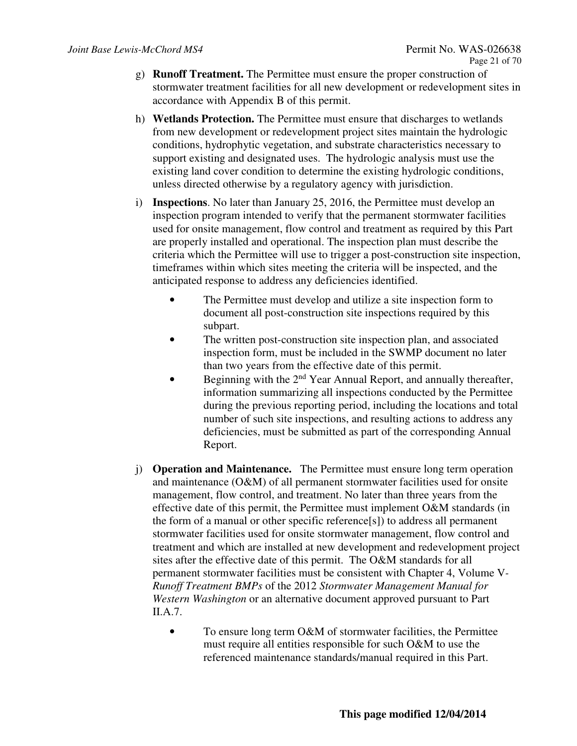- g) **Runoff Treatment.** The Permittee must ensure the proper construction of stormwater treatment facilities for all new development or redevelopment sites in accordance with Appendix B of this permit.
- h) **Wetlands Protection.** The Permittee must ensure that discharges to wetlands from new development or redevelopment project sites maintain the hydrologic conditions, hydrophytic vegetation, and substrate characteristics necessary to support existing and designated uses. The hydrologic analysis must use the existing land cover condition to determine the existing hydrologic conditions, unless directed otherwise by a regulatory agency with jurisdiction.
- i) **Inspections**. No later than January 25, 2016, the Permittee must develop an inspection program intended to verify that the permanent stormwater facilities used for onsite management, flow control and treatment as required by this Part are properly installed and operational. The inspection plan must describe the criteria which the Permittee will use to trigger a post-construction site inspection, timeframes within which sites meeting the criteria will be inspected, and the anticipated response to address any deficiencies identified.
	- The Permittee must develop and utilize a site inspection form to document all post-construction site inspections required by this subpart.
	- The written post-construction site inspection plan, and associated inspection form, must be included in the SWMP document no later than two years from the effective date of this permit.
	- Beginning with the  $2<sup>nd</sup>$  Year Annual Report, and annually thereafter, information summarizing all inspections conducted by the Permittee during the previous reporting period, including the locations and total number of such site inspections, and resulting actions to address any deficiencies, must be submitted as part of the corresponding Annual Report.
- j) **Operation and Maintenance.** The Permittee must ensure long term operation and maintenance (O&M) of all permanent stormwater facilities used for onsite management, flow control, and treatment. No later than three years from the effective date of this permit, the Permittee must implement O&M standards (in the form of a manual or other specific reference[s]) to address all permanent stormwater facilities used for onsite stormwater management, flow control and treatment and which are installed at new development and redevelopment project sites after the effective date of this permit. The O&M standards for all permanent stormwater facilities must be consistent with Chapter 4, Volume V*-Runoff Treatment BMPs* of the 2012 *Stormwater Management Manual for Western Washington* or an alternative document approved pursuant to Part II.A.7.
	- To ensure long term O&M of stormwater facilities, the Permittee must require all entities responsible for such O&M to use the referenced maintenance standards/manual required in this Part.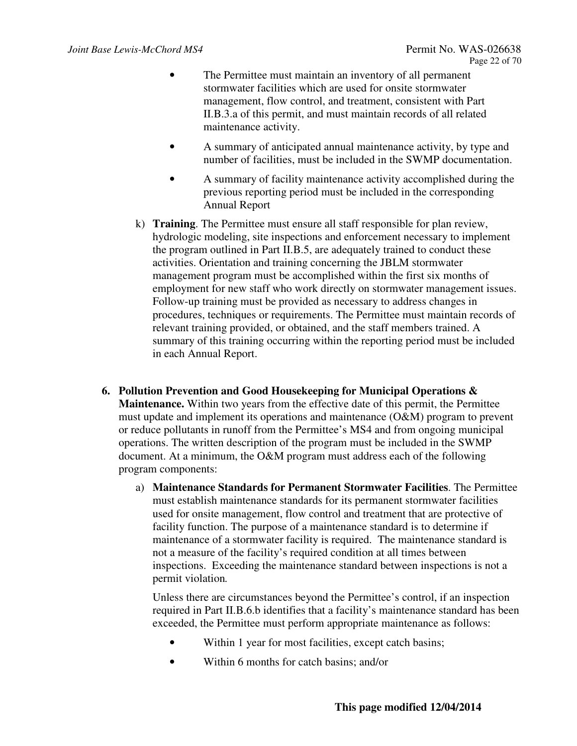- The Permittee must maintain an inventory of all permanent stormwater facilities which are used for onsite stormwater management, flow control, and treatment, consistent with Part II.B.3.a of this permit, and must maintain records of all related maintenance activity.
- A summary of anticipated annual maintenance activity, by type and number of facilities, must be included in the SWMP documentation.
- A summary of facility maintenance activity accomplished during the previous reporting period must be included in the corresponding Annual Report
- k) **Training**. The Permittee must ensure all staff responsible for plan review, hydrologic modeling, site inspections and enforcement necessary to implement the program outlined in Part II.B.5, are adequately trained to conduct these activities. Orientation and training concerning the JBLM stormwater management program must be accomplished within the first six months of employment for new staff who work directly on stormwater management issues. Follow-up training must be provided as necessary to address changes in procedures, techniques or requirements. The Permittee must maintain records of relevant training provided, or obtained, and the staff members trained. A summary of this training occurring within the reporting period must be included in each Annual Report.
- **6. Pollution Prevention and Good Housekeeping for Municipal Operations & Maintenance.** Within two years from the effective date of this permit, the Permittee must update and implement its operations and maintenance (O&M) program to prevent or reduce pollutants in runoff from the Permittee's MS4 and from ongoing municipal operations. The written description of the program must be included in the SWMP document. At a minimum, the O&M program must address each of the following program components:
	- a) **Maintenance Standards for Permanent Stormwater Facilities**. The Permittee must establish maintenance standards for its permanent stormwater facilities used for onsite management, flow control and treatment that are protective of facility function. The purpose of a maintenance standard is to determine if maintenance of a stormwater facility is required. The maintenance standard is not a measure of the facility's required condition at all times between inspections. Exceeding the maintenance standard between inspections is not a permit violation*.*

Unless there are circumstances beyond the Permittee's control, if an inspection required in Part II.B.6.b identifies that a facility's maintenance standard has been exceeded, the Permittee must perform appropriate maintenance as follows:

- Within 1 year for most facilities, except catch basins;
- Within 6 months for catch basins; and/or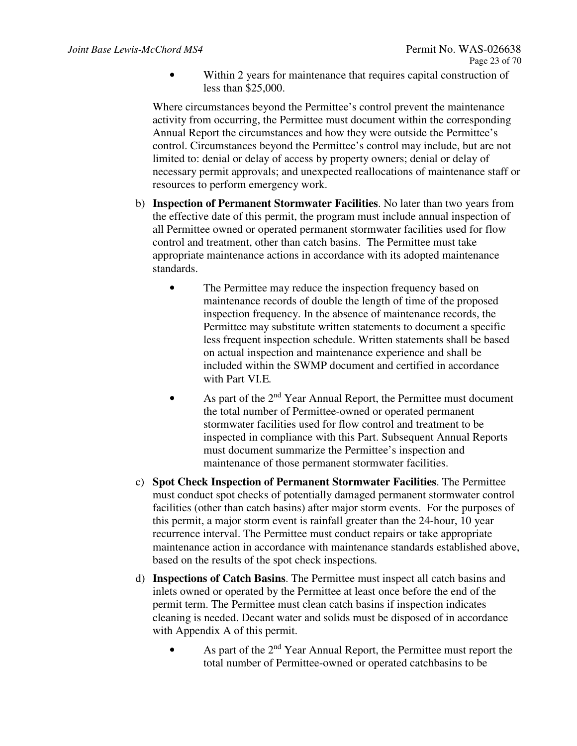• Within 2 years for maintenance that requires capital construction of less than \$25,000.

Where circumstances beyond the Permittee's control prevent the maintenance activity from occurring, the Permittee must document within the corresponding Annual Report the circumstances and how they were outside the Permittee's control. Circumstances beyond the Permittee's control may include, but are not limited to: denial or delay of access by property owners; denial or delay of necessary permit approvals; and unexpected reallocations of maintenance staff or resources to perform emergency work.

- b) **Inspection of Permanent Stormwater Facilities**. No later than two years from the effective date of this permit, the program must include annual inspection of all Permittee owned or operated permanent stormwater facilities used for flow control and treatment, other than catch basins. The Permittee must take appropriate maintenance actions in accordance with its adopted maintenance standards.
	- The Permittee may reduce the inspection frequency based on maintenance records of double the length of time of the proposed inspection frequency. In the absence of maintenance records, the Permittee may substitute written statements to document a specific less frequent inspection schedule. Written statements shall be based on actual inspection and maintenance experience and shall be included within the SWMP document and certified in accordance with Part VI.E*.*
	- As part of the  $2<sup>nd</sup>$  Year Annual Report, the Permittee must document the total number of Permittee-owned or operated permanent stormwater facilities used for flow control and treatment to be inspected in compliance with this Part. Subsequent Annual Reports must document summarize the Permittee's inspection and maintenance of those permanent stormwater facilities.
- c) **Spot Check Inspection of Permanent Stormwater Facilities**. The Permittee must conduct spot checks of potentially damaged permanent stormwater control facilities (other than catch basins) after major storm events. For the purposes of this permit, a major storm event is rainfall greater than the 24-hour, 10 year recurrence interval. The Permittee must conduct repairs or take appropriate maintenance action in accordance with maintenance standards established above, based on the results of the spot check inspections*.*
- d) **Inspections of Catch Basins**. The Permittee must inspect all catch basins and inlets owned or operated by the Permittee at least once before the end of the permit term. The Permittee must clean catch basins if inspection indicates cleaning is needed. Decant water and solids must be disposed of in accordance with Appendix A of this permit.
	- As part of the 2<sup>nd</sup> Year Annual Report, the Permittee must report the total number of Permittee-owned or operated catchbasins to be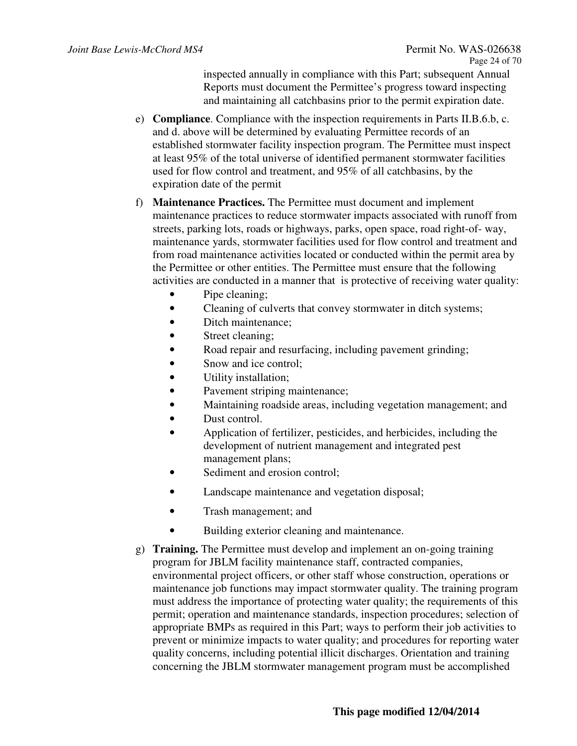inspected annually in compliance with this Part; subsequent Annual Reports must document the Permittee's progress toward inspecting and maintaining all catchbasins prior to the permit expiration date.

- e) **Compliance**. Compliance with the inspection requirements in Parts II.B.6.b, c. and d. above will be determined by evaluating Permittee records of an established stormwater facility inspection program. The Permittee must inspect at least 95% of the total universe of identified permanent stormwater facilities used for flow control and treatment, and 95% of all catchbasins, by the expiration date of the permit
- f) **Maintenance Practices.** The Permittee must document and implement maintenance practices to reduce stormwater impacts associated with runoff from streets, parking lots, roads or highways, parks, open space, road right-of- way, maintenance yards, stormwater facilities used for flow control and treatment and from road maintenance activities located or conducted within the permit area by the Permittee or other entities. The Permittee must ensure that the following activities are conducted in a manner that is protective of receiving water quality:
	- Pipe cleaning;
	- Cleaning of culverts that convey stormwater in ditch systems;
	- Ditch maintenance;
	- Street cleaning;
	- Road repair and resurfacing, including pavement grinding;
	- Snow and ice control:
	- Utility installation;
	- Pavement striping maintenance;
	- Maintaining roadside areas, including vegetation management; and
	- Dust control.
	- Application of fertilizer, pesticides, and herbicides, including the development of nutrient management and integrated pest management plans;
	- Sediment and erosion control;
	- Landscape maintenance and vegetation disposal;
	- Trash management; and
	- Building exterior cleaning and maintenance.
- g) **Training.** The Permittee must develop and implement an on-going training program for JBLM facility maintenance staff, contracted companies, environmental project officers, or other staff whose construction, operations or maintenance job functions may impact stormwater quality. The training program must address the importance of protecting water quality; the requirements of this permit; operation and maintenance standards, inspection procedures; selection of appropriate BMPs as required in this Part; ways to perform their job activities to prevent or minimize impacts to water quality; and procedures for reporting water quality concerns, including potential illicit discharges. Orientation and training concerning the JBLM stormwater management program must be accomplished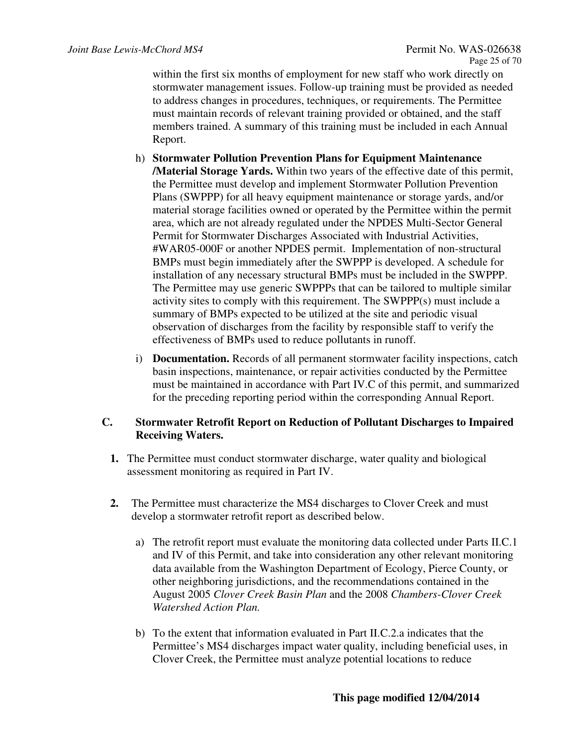within the first six months of employment for new staff who work directly on stormwater management issues. Follow-up training must be provided as needed to address changes in procedures, techniques, or requirements. The Permittee must maintain records of relevant training provided or obtained, and the staff members trained. A summary of this training must be included in each Annual Report.

- h) **Stormwater Pollution Prevention Plans for Equipment Maintenance /Material Storage Yards.** Within two years of the effective date of this permit, the Permittee must develop and implement Stormwater Pollution Prevention Plans (SWPPP) for all heavy equipment maintenance or storage yards, and/or material storage facilities owned or operated by the Permittee within the permit area, which are not already regulated under the NPDES Multi-Sector General Permit for Stormwater Discharges Associated with Industrial Activities, #WAR05-000F or another NPDES permit. Implementation of non-structural BMPs must begin immediately after the SWPPP is developed. A schedule for installation of any necessary structural BMPs must be included in the SWPPP. The Permittee may use generic SWPPPs that can be tailored to multiple similar activity sites to comply with this requirement. The SWPPP(s) must include a summary of BMPs expected to be utilized at the site and periodic visual observation of discharges from the facility by responsible staff to verify the effectiveness of BMPs used to reduce pollutants in runoff.
- i) **Documentation.** Records of all permanent stormwater facility inspections, catch basin inspections, maintenance, or repair activities conducted by the Permittee must be maintained in accordance with Part IV.C of this permit, and summarized for the preceding reporting period within the corresponding Annual Report.

## **C. Stormwater Retrofit Report on Reduction of Pollutant Discharges to Impaired Receiving Waters.**

- **1.** The Permittee must conduct stormwater discharge, water quality and biological assessment monitoring as required in Part IV.
- **2.** The Permittee must characterize the MS4 discharges to Clover Creek and must develop a stormwater retrofit report as described below.
	- a) The retrofit report must evaluate the monitoring data collected under Parts II.C.1 and IV of this Permit, and take into consideration any other relevant monitoring data available from the Washington Department of Ecology, Pierce County, or other neighboring jurisdictions, and the recommendations contained in the August 2005 *Clover Creek Basin Plan* and the 2008 *Chambers-Clover Creek Watershed Action Plan.*
	- b) To the extent that information evaluated in Part II.C.2.a indicates that the Permittee's MS4 discharges impact water quality, including beneficial uses, in Clover Creek, the Permittee must analyze potential locations to reduce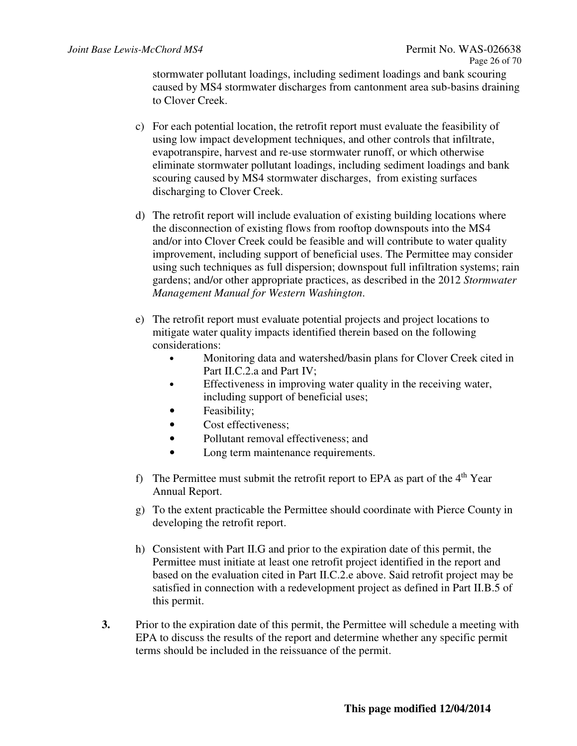stormwater pollutant loadings, including sediment loadings and bank scouring caused by MS4 stormwater discharges from cantonment area sub-basins draining to Clover Creek.

- c) For each potential location, the retrofit report must evaluate the feasibility of using low impact development techniques, and other controls that infiltrate, evapotranspire, harvest and re-use stormwater runoff, or which otherwise eliminate stormwater pollutant loadings, including sediment loadings and bank scouring caused by MS4 stormwater discharges, from existing surfaces discharging to Clover Creek.
- d) The retrofit report will include evaluation of existing building locations where the disconnection of existing flows from rooftop downspouts into the MS4 and/or into Clover Creek could be feasible and will contribute to water quality improvement, including support of beneficial uses. The Permittee may consider using such techniques as full dispersion; downspout full infiltration systems; rain gardens; and/or other appropriate practices, as described in the 2012 *Stormwater Management Manual for Western Washington*.
- e) The retrofit report must evaluate potential projects and project locations to mitigate water quality impacts identified therein based on the following considerations:
	- Monitoring data and watershed/basin plans for Clover Creek cited in Part II.C.2.a and Part IV;
	- Effectiveness in improving water quality in the receiving water, including support of beneficial uses;
	- Feasibility:
	- Cost effectiveness;
	- Pollutant removal effectiveness: and
	- Long term maintenance requirements.
- f) The Permittee must submit the retrofit report to EPA as part of the  $4<sup>th</sup>$  Year Annual Report.
- g) To the extent practicable the Permittee should coordinate with Pierce County in developing the retrofit report.
- h) Consistent with Part II.G and prior to the expiration date of this permit, the Permittee must initiate at least one retrofit project identified in the report and based on the evaluation cited in Part II.C.2.e above. Said retrofit project may be satisfied in connection with a redevelopment project as defined in Part II.B.5 of this permit.
- **3.** Prior to the expiration date of this permit, the Permittee will schedule a meeting with EPA to discuss the results of the report and determine whether any specific permit terms should be included in the reissuance of the permit.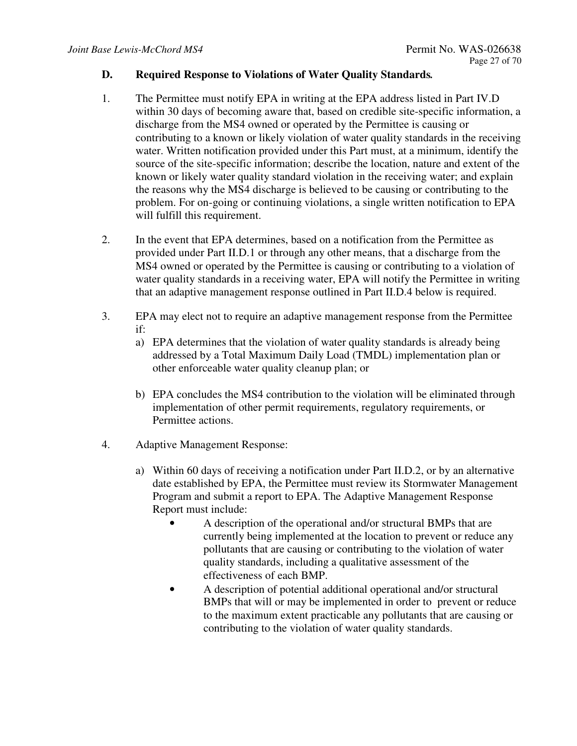#### **D. Required Response to Violations of Water Quality Standards***.*

- 1. The Permittee must notify EPA in writing at the EPA address listed in Part IV.D within 30 days of becoming aware that, based on credible site-specific information, a discharge from the MS4 owned or operated by the Permittee is causing or contributing to a known or likely violation of water quality standards in the receiving water. Written notification provided under this Part must, at a minimum, identify the source of the site-specific information; describe the location, nature and extent of the known or likely water quality standard violation in the receiving water; and explain the reasons why the MS4 discharge is believed to be causing or contributing to the problem. For on-going or continuing violations, a single written notification to EPA will fulfill this requirement.
- 2. In the event that EPA determines, based on a notification from the Permittee as provided under Part II.D.1 or through any other means, that a discharge from the MS4 owned or operated by the Permittee is causing or contributing to a violation of water quality standards in a receiving water, EPA will notify the Permittee in writing that an adaptive management response outlined in Part II.D.4 below is required.
- 3. EPA may elect not to require an adaptive management response from the Permittee if:
	- a) EPA determines that the violation of water quality standards is already being addressed by a Total Maximum Daily Load (TMDL) implementation plan or other enforceable water quality cleanup plan; or
	- b) EPA concludes the MS4 contribution to the violation will be eliminated through implementation of other permit requirements, regulatory requirements, or Permittee actions.
- 4. Adaptive Management Response:
	- a) Within 60 days of receiving a notification under Part II.D.2, or by an alternative date established by EPA, the Permittee must review its Stormwater Management Program and submit a report to EPA. The Adaptive Management Response Report must include:
		- A description of the operational and/or structural BMPs that are currently being implemented at the location to prevent or reduce any pollutants that are causing or contributing to the violation of water quality standards, including a qualitative assessment of the effectiveness of each BMP.
		- A description of potential additional operational and/or structural BMPs that will or may be implemented in order to prevent or reduce to the maximum extent practicable any pollutants that are causing or contributing to the violation of water quality standards.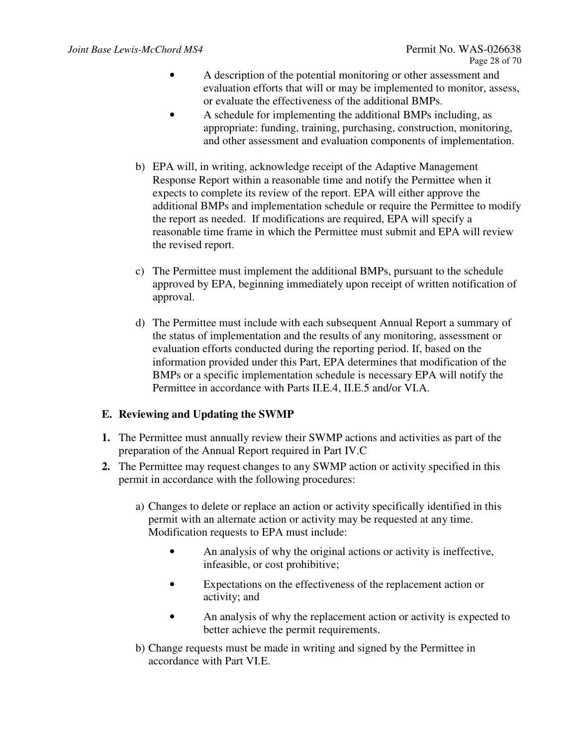- A description of the potential monitoring or other assessment and evaluation efforts that will or may be implemented to monitor, assess, or evaluate the effectiveness of the additional BMPs.
- A schedule for implementing the additional BMPs including, as appropriate: funding, training, purchasing, construction, monitoring, and other assessment and evaluation components of implementation.
- b) EPA will, in writing, acknowledge receipt of the Adaptive Management Response Report within a reasonable time and notify the Permittee when it expects to complete its review of the report. EPA will either approve the additional BMPs and implementation schedule or require the Permittee to modify the report as needed. If modifications are required, EPA will specify a reasonable time frame in which the Permittee must submit and EPA will review the revised report.
- c) The Permittee must implement the additional BMPs, pursuant to the schedule approved by EPA, beginning immediately upon receipt of written notification of approval.
- d) The Permittee must include with each subsequent Annual Report a summary of the status of implementation and the results of any monitoring, assessment or evaluation efforts conducted during the reporting period. If, based on the information provided under this Part, EPA determines that modification of the BMPs or a specific implementation schedule is necessary EPA will notify the Permittee in accordance with Parts II.E.4, II.E.5 and/or VI.A.

## **E. Reviewing and Updating the SWMP**

- **1.** The Permittee must annually review their SWMP actions and activities as part of the preparation of the Annual Report required in Part IV.C
- **2.** The Permittee may request changes to any SWMP action or activity specified in this permit in accordance with the following procedures:
	- a) Changes to delete or replace an action or activity specifically identified in this permit with an alternate action or activity may be requested at any time. Modification requests to EPA must include:
		- An analysis of why the original actions or activity is ineffective, infeasible, or cost prohibitive;
		- Expectations on the effectiveness of the replacement action or activity; and
		- An analysis of why the replacement action or activity is expected to better achieve the permit requirements.
	- b) Change requests must be made in writing and signed by the Permittee in accordance with Part VI.E.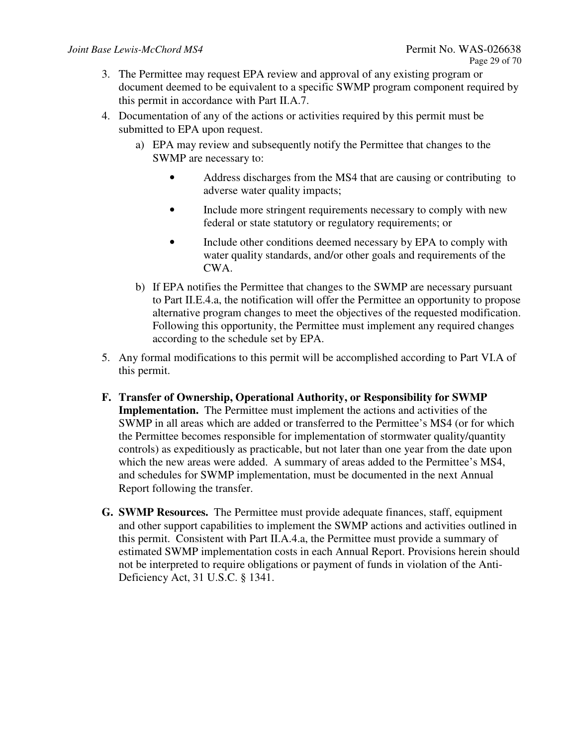- 3. The Permittee may request EPA review and approval of any existing program or document deemed to be equivalent to a specific SWMP program component required by this permit in accordance with Part II.A.7.
- 4. Documentation of any of the actions or activities required by this permit must be submitted to EPA upon request.
	- a) EPA may review and subsequently notify the Permittee that changes to the SWMP are necessary to:
		- Address discharges from the MS4 that are causing or contributing to adverse water quality impacts;
		- Include more stringent requirements necessary to comply with new federal or state statutory or regulatory requirements; or
		- Include other conditions deemed necessary by EPA to comply with water quality standards, and/or other goals and requirements of the CWA.
	- b) If EPA notifies the Permittee that changes to the SWMP are necessary pursuant to Part II.E.4.a, the notification will offer the Permittee an opportunity to propose alternative program changes to meet the objectives of the requested modification. Following this opportunity, the Permittee must implement any required changes according to the schedule set by EPA.
- 5. Any formal modifications to this permit will be accomplished according to Part VI.A of this permit.
- **F. Transfer of Ownership, Operational Authority, or Responsibility for SWMP Implementation.** The Permittee must implement the actions and activities of the SWMP in all areas which are added or transferred to the Permittee's MS4 (or for which the Permittee becomes responsible for implementation of stormwater quality/quantity controls) as expeditiously as practicable, but not later than one year from the date upon which the new areas were added. A summary of areas added to the Permittee's MS4, and schedules for SWMP implementation, must be documented in the next Annual Report following the transfer.
- **G. SWMP Resources.** The Permittee must provide adequate finances, staff, equipment and other support capabilities to implement the SWMP actions and activities outlined in this permit. Consistent with Part II.A.4.a, the Permittee must provide a summary of estimated SWMP implementation costs in each Annual Report. Provisions herein should not be interpreted to require obligations or payment of funds in violation of the Anti-Deficiency Act, 31 U.S.C. § 1341.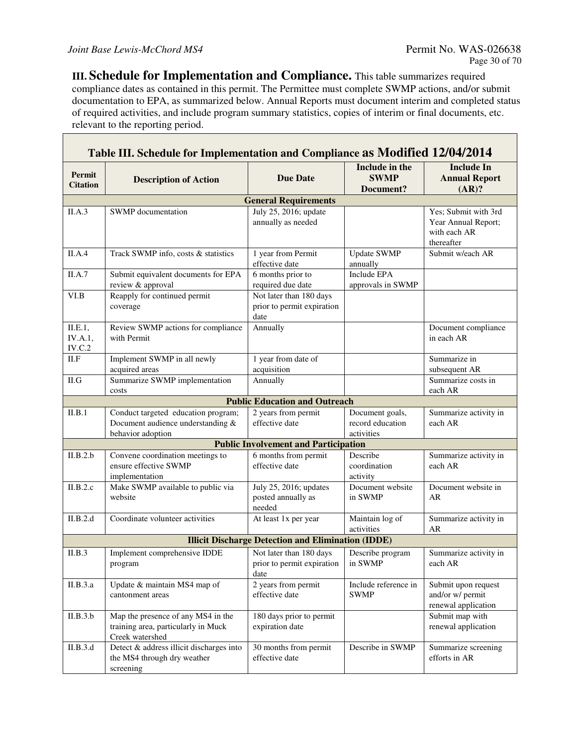Г

 $\overline{\phantom{0}}$ 

**III. Schedule for Implementation and Compliance.** This table summarizes required compliance dates as contained in this permit. The Permittee must complete SWMP actions, and/or submit documentation to EPA, as summarized below. Annual Reports must document interim and completed status of required activities, and include program summary statistics, copies of interim or final documents, etc. relevant to the reporting period.

| Table III. Schedule for Implementation and Compliance as Modified 12/04/2014 |                                                                                               |                                                               |                                                   |                                                                           |
|------------------------------------------------------------------------------|-----------------------------------------------------------------------------------------------|---------------------------------------------------------------|---------------------------------------------------|---------------------------------------------------------------------------|
| <b>Permit</b><br><b>Citation</b>                                             | <b>Description of Action</b>                                                                  | <b>Due Date</b>                                               | Include in the<br><b>SWMP</b><br>Document?        | <b>Include In</b><br><b>Annual Report</b><br>(AR)?                        |
|                                                                              |                                                                                               | <b>General Requirements</b>                                   |                                                   |                                                                           |
| II.A.3                                                                       | SWMP documentation                                                                            | July 25, 2016; update<br>annually as needed                   |                                                   | Yes; Submit with 3rd<br>Year Annual Report;<br>with each AR<br>thereafter |
| II.A.4                                                                       | Track SWMP info, costs & statistics                                                           | 1 year from Permit<br>effective date                          | <b>Update SWMP</b><br>annually                    | Submit w/each AR                                                          |
| II.A.7                                                                       | Submit equivalent documents for EPA<br>review & approval                                      | 6 months prior to<br>required due date                        | <b>Include EPA</b><br>approvals in SWMP           |                                                                           |
| VI.B                                                                         | Reapply for continued permit<br>coverage                                                      | Not later than 180 days<br>prior to permit expiration<br>date |                                                   |                                                                           |
| II.E.1,<br>IV.A.1,<br>IV.C.2                                                 | Review SWMP actions for compliance<br>with Permit                                             | Annually                                                      |                                                   | Document compliance<br>in each AR                                         |
| II.F                                                                         | Implement SWMP in all newly<br>acquired areas                                                 | 1 year from date of<br>acquisition                            |                                                   | Summarize in<br>subsequent AR                                             |
| II.G                                                                         | Summarize SWMP implementation<br>costs                                                        | Annually                                                      |                                                   | Summarize costs in<br>each AR                                             |
|                                                                              |                                                                                               | <b>Public Education and Outreach</b>                          |                                                   |                                                                           |
| II.B.1                                                                       | Conduct targeted education program;<br>Document audience understanding &<br>behavior adoption | 2 years from permit<br>effective date                         | Document goals,<br>record education<br>activities | Summarize activity in<br>each AR                                          |
|                                                                              |                                                                                               | <b>Public Involvement and Participation</b>                   |                                                   |                                                                           |
| II.B.2.b                                                                     | Convene coordination meetings to<br>ensure effective SWMP<br>implementation                   | 6 months from permit<br>effective date                        | Describe<br>coordination<br>activity              | Summarize activity in<br>each AR                                          |
| II.B.2.c                                                                     | Make SWMP available to public via<br>website                                                  | July 25, 2016; updates<br>posted annually as<br>needed        | Document website<br>in SWMP                       | Document website in<br>AR                                                 |
| II.B.2.d                                                                     | Coordinate volunteer activities                                                               | At least 1x per year                                          | Maintain log of<br>activities                     | Summarize activity in<br>AR                                               |
|                                                                              |                                                                                               | <b>Illicit Discharge Detection and Elimination (IDDE)</b>     |                                                   |                                                                           |
| II.B.3                                                                       | Implement comprehensive IDDE<br>program                                                       | Not later than 180 days<br>prior to permit expiration<br>date | Describe program<br>in SWMP                       | Summarize activity in<br>each AR                                          |
| II.B.3.a                                                                     | Update & maintain MS4 map of<br>cantonment areas                                              | 2 years from permit<br>effective date                         | Include reference in<br><b>SWMP</b>               | Submit upon request<br>and/or w/ permit<br>renewal application            |
| II.B.3.b                                                                     | Map the presence of any MS4 in the<br>training area, particularly in Muck<br>Creek watershed  | 180 days prior to permit<br>expiration date                   |                                                   | Submit map with<br>renewal application                                    |
| II.B.3.d                                                                     | Detect & address illicit discharges into<br>the MS4 through dry weather<br>screening          | 30 months from permit<br>effective date                       | Describe in SWMP                                  | Summarize screening<br>efforts in AR                                      |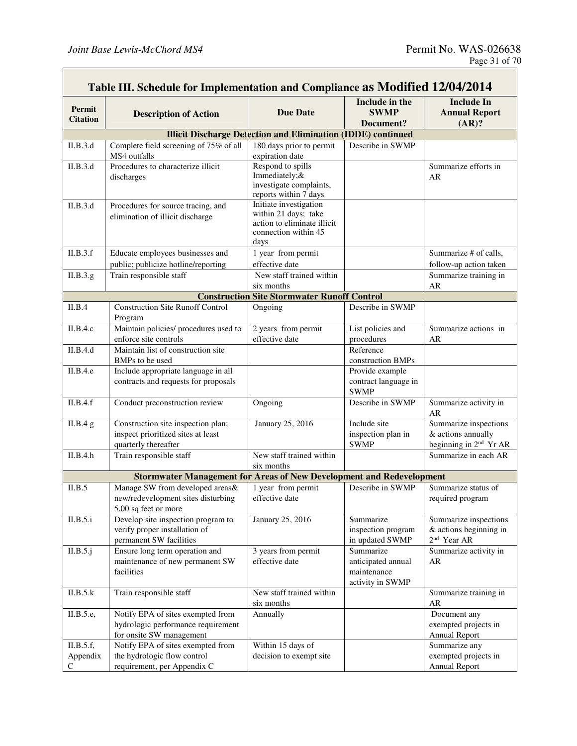|                                       | Table III. Schedule for Implementation and Compliance as Modified 12/04/2014                        |                                                                                                               |                                                                    |                                                                                   |
|---------------------------------------|-----------------------------------------------------------------------------------------------------|---------------------------------------------------------------------------------------------------------------|--------------------------------------------------------------------|-----------------------------------------------------------------------------------|
| Permit<br><b>Citation</b>             | <b>Description of Action</b>                                                                        | <b>Due Date</b>                                                                                               | Include in the<br><b>SWMP</b><br>Document?                         | <b>Include In</b><br><b>Annual Report</b><br>(AR)?                                |
|                                       |                                                                                                     | <b>Illicit Discharge Detection and Elimination (IDDE)</b> continued                                           |                                                                    |                                                                                   |
| II.B.3.d                              | Complete field screening of 75% of all<br>MS4 outfalls                                              | 180 days prior to permit<br>expiration date                                                                   | Describe in SWMP                                                   |                                                                                   |
| II.B.3.d                              | Procedures to characterize illicit<br>discharges                                                    | Respond to spills<br>Immediately;&<br>investigate complaints,<br>reports within 7 days                        |                                                                    | Summarize efforts in<br>AR                                                        |
| II.B.3.d                              | Procedures for source tracing, and<br>elimination of illicit discharge                              | Initiate investigation<br>within 21 days; take<br>action to eliminate illicit<br>connection within 45<br>days |                                                                    |                                                                                   |
| II.B.3.f                              | Educate employees businesses and                                                                    | 1 year from permit                                                                                            |                                                                    | Summarize # of calls,                                                             |
| II.B.3.g.                             | public; publicize hotline/reporting<br>Train responsible staff                                      | effective date<br>New staff trained within                                                                    |                                                                    | follow-up action taken<br>Summarize training in                                   |
|                                       |                                                                                                     | six months                                                                                                    |                                                                    | AR                                                                                |
|                                       |                                                                                                     | <b>Construction Site Stormwater Runoff Control</b>                                                            |                                                                    |                                                                                   |
| II.B.4                                | <b>Construction Site Runoff Control</b><br>Program                                                  | Ongoing                                                                                                       | Describe in SWMP                                                   |                                                                                   |
| II.B.4.c                              | Maintain policies/ procedures used to<br>enforce site controls                                      | 2 years from permit<br>effective date                                                                         | List policies and<br>procedures                                    | Summarize actions in<br>AR                                                        |
| II.B.4.d                              | Maintain list of construction site<br>BMPs to be used                                               |                                                                                                               | Reference<br>construction BMPs                                     |                                                                                   |
| II.B.4.e                              | Include appropriate language in all<br>contracts and requests for proposals                         |                                                                                                               | Provide example<br>contract language in<br><b>SWMP</b>             |                                                                                   |
| II.B.4.f                              | Conduct preconstruction review                                                                      | Ongoing                                                                                                       | Describe in SWMP                                                   | Summarize activity in<br>AR                                                       |
| II.B.4 g                              | Construction site inspection plan;<br>inspect prioritized sites at least<br>quarterly thereafter    | January 25, 2016                                                                                              | Include site<br>inspection plan in<br><b>SWMP</b>                  | Summarize inspections<br>& actions annually<br>beginning in 2 <sup>nd</sup> Yr AR |
| II.B.4.h                              | Train responsible staff                                                                             | New staff trained within<br>six months                                                                        |                                                                    | Summarize in each AR                                                              |
|                                       | <b>Stormwater Management for Areas of New Development and Redevelopment</b>                         |                                                                                                               |                                                                    |                                                                                   |
| II.B.5                                | Manage SW from developed areas&<br>new/redevelopment sites disturbing<br>5,00 sq feet or more       | 1 year from permit<br>effective date                                                                          | Describe in SWMP                                                   | Summarize status of<br>required program                                           |
| II.B.5.i                              | Develop site inspection program to<br>verify proper installation of<br>permanent SW facilities      | January 25, 2016                                                                                              | Summarize<br>inspection program<br>in updated SWMP                 | Summarize inspections<br>$&$ actions beginning in<br>2 <sup>nd</sup> Year AR      |
| II.B.5.j                              | Ensure long term operation and<br>maintenance of new permanent SW<br>facilities                     | 3 years from permit<br>effective date                                                                         | Summarize<br>anticipated annual<br>maintenance<br>activity in SWMP | Summarize activity in<br>AR                                                       |
| II.B.5.k                              | Train responsible staff                                                                             | New staff trained within<br>six months                                                                        |                                                                    | Summarize training in<br>AR                                                       |
| II.B.5.e,                             | Notify EPA of sites exempted from<br>hydrologic performance requirement<br>for onsite SW management | Annually                                                                                                      |                                                                    | Document any<br>exempted projects in<br><b>Annual Report</b>                      |
| II.B.5.f,<br>Appendix<br>$\mathsf{C}$ | Notify EPA of sites exempted from<br>the hydrologic flow control<br>requirement, per Appendix C     | Within 15 days of<br>decision to exempt site                                                                  |                                                                    | Summarize any<br>exempted projects in<br>Annual Report                            |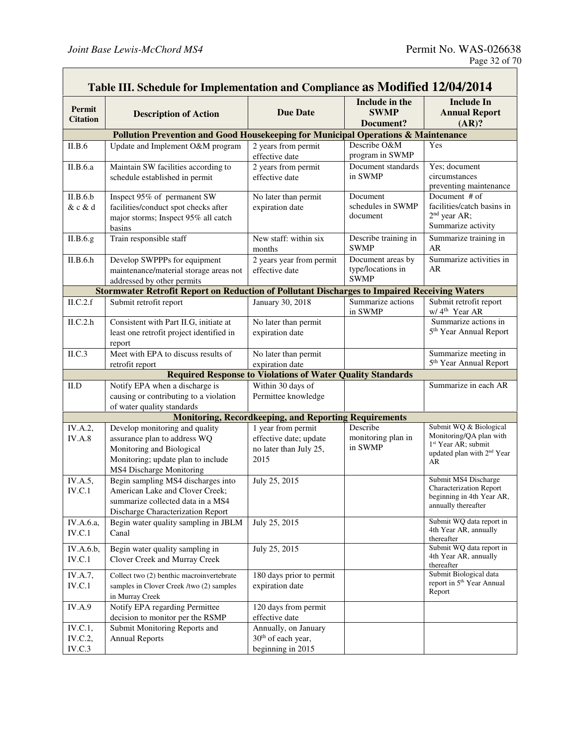| Table III. Schedule for Implementation and Compliance as Modified 12/04/2014 |                                                                                                                      |                                                                                      |                                           |                                                                                               |
|------------------------------------------------------------------------------|----------------------------------------------------------------------------------------------------------------------|--------------------------------------------------------------------------------------|-------------------------------------------|-----------------------------------------------------------------------------------------------|
| Permit                                                                       |                                                                                                                      |                                                                                      | Include in the                            | <b>Include In</b>                                                                             |
| <b>Citation</b>                                                              | <b>Description of Action</b>                                                                                         | <b>Due Date</b>                                                                      | <b>SWMP</b>                               | <b>Annual Report</b>                                                                          |
|                                                                              |                                                                                                                      |                                                                                      | Document?                                 | (AR)?                                                                                         |
|                                                                              | Pollution Prevention and Good Housekeeping for Municipal Operations & Maintenance                                    |                                                                                      |                                           |                                                                                               |
| II.B.6                                                                       | Update and Implement O&M program                                                                                     | 2 years from permit<br>effective date                                                | Describe O&M<br>program in SWMP           | Yes                                                                                           |
| II.B.6.a                                                                     | Maintain SW facilities according to<br>schedule established in permit                                                | 2 years from permit<br>effective date                                                | Document standards<br>in SWMP             | Yes; document<br>circumstances<br>preventing maintenance                                      |
| II.B.6.b<br>& c & d                                                          | Inspect 95% of permanent SW<br>facilities/conduct spot checks after<br>major storms; Inspect 95% all catch<br>basins | No later than permit<br>expiration date                                              | Document<br>schedules in SWMP<br>document | Document # of<br>facilities/catch basins in<br>2 <sup>nd</sup> year AR;<br>Summarize activity |
| II.B.6.g.                                                                    | Train responsible staff                                                                                              | New staff: within six<br>months                                                      | Describe training in<br><b>SWMP</b>       | Summarize training in<br>AR                                                                   |
| II.B.6.h                                                                     | Develop SWPPPs for equipment                                                                                         | 2 years year from permit                                                             | Document areas by                         | Summarize activities in                                                                       |
|                                                                              | maintenance/material storage areas not<br>addressed by other permits                                                 | effective date                                                                       | type/locations in<br><b>SWMP</b>          | AR                                                                                            |
|                                                                              | <b>Stormwater Retrofit Report on Reduction of Pollutant Discharges to Impaired Receiving Waters</b>                  |                                                                                      |                                           |                                                                                               |
| ILC.2.f                                                                      | Submit retrofit report                                                                                               | January 30, 2018                                                                     | Summarize actions<br>in SWMP              | Submit retrofit report<br>w/4 <sup>th</sup> Year AR                                           |
| ILC.2.h                                                                      | Consistent with Part II.G, initiate at                                                                               | No later than permit                                                                 |                                           | Summarize actions in                                                                          |
|                                                                              | least one retrofit project identified in                                                                             | expiration date                                                                      |                                           | 5 <sup>th</sup> Year Annual Report                                                            |
|                                                                              | report                                                                                                               |                                                                                      |                                           |                                                                                               |
| II.C.3                                                                       | Meet with EPA to discuss results of                                                                                  | No later than permit                                                                 |                                           | Summarize meeting in<br>5 <sup>th</sup> Year Annual Report                                    |
|                                                                              | retrofit report                                                                                                      | expiration date<br><b>Required Response to Violations of Water Quality Standards</b> |                                           |                                                                                               |
| II.D                                                                         | Notify EPA when a discharge is                                                                                       | Within 30 days of                                                                    |                                           | Summarize in each AR                                                                          |
|                                                                              | causing or contributing to a violation                                                                               | Permittee knowledge                                                                  |                                           |                                                                                               |
|                                                                              | of water quality standards                                                                                           |                                                                                      |                                           |                                                                                               |
|                                                                              |                                                                                                                      | <b>Monitoring, Recordkeeping, and Reporting Requirements</b>                         |                                           |                                                                                               |
| IV.A.2,                                                                      | Develop monitoring and quality                                                                                       | 1 year from permit                                                                   | Describe                                  | Submit WQ & Biological                                                                        |
| <b>IV.A.8</b>                                                                | assurance plan to address WQ                                                                                         | effective date; update                                                               | monitoring plan in                        | Monitoring/QA plan with                                                                       |
|                                                                              | Monitoring and Biological                                                                                            | no later than July 25,                                                               | in SWMP                                   | 1 <sup>st</sup> Year AR; submit<br>updated plan with 2 <sup>nd</sup> Year                     |
|                                                                              | Monitoring; update plan to include                                                                                   | 2015                                                                                 |                                           | AR                                                                                            |
|                                                                              | MS4 Discharge Monitoring                                                                                             |                                                                                      |                                           |                                                                                               |
| IV.A.5,                                                                      | Begin sampling MS4 discharges into                                                                                   | July 25, 2015                                                                        |                                           | Submit MS4 Discharge<br><b>Characterization Report</b>                                        |
| $\it IV.C.1$                                                                 | American Lake and Clover Creek;                                                                                      |                                                                                      |                                           | beginning in 4th Year AR,                                                                     |
|                                                                              | summarize collected data in a MS4<br>Discharge Characterization Report                                               |                                                                                      |                                           | annually thereafter                                                                           |
| IV.A.6.a,                                                                    | Begin water quality sampling in JBLM                                                                                 | July 25, 2015                                                                        |                                           | Submit WQ data report in                                                                      |
| IV.C.1                                                                       | Canal                                                                                                                |                                                                                      |                                           | 4th Year AR, annually<br>thereafter                                                           |
| IV.A.6.b,<br>IV.C.1                                                          | Begin water quality sampling in<br>Clover Creek and Murray Creek                                                     | July 25, 2015                                                                        |                                           | Submit WQ data report in<br>4th Year AR, annually<br>thereafter                               |
| IV.A.7,<br>IV.C.1                                                            | Collect two (2) benthic macroinvertebrate<br>samples in Clover Creek /two (2) samples                                | 180 days prior to permit<br>expiration date                                          |                                           | Submit Biological data<br>report in 5 <sup>th</sup> Year Annual                               |
|                                                                              | in Murray Creek                                                                                                      |                                                                                      |                                           | Report                                                                                        |
| <b>IV.A.9</b>                                                                | Notify EPA regarding Permittee                                                                                       | 120 days from permit                                                                 |                                           |                                                                                               |
|                                                                              | decision to monitor per the RSMP                                                                                     | effective date                                                                       |                                           |                                                                                               |
| IV.C.1,                                                                      | Submit Monitoring Reports and                                                                                        | Annually, on January                                                                 |                                           |                                                                                               |
| IV.C.2,                                                                      | <b>Annual Reports</b>                                                                                                | 30 <sup>th</sup> of each year,                                                       |                                           |                                                                                               |
| IV.C.3                                                                       |                                                                                                                      | beginning in 2015                                                                    |                                           |                                                                                               |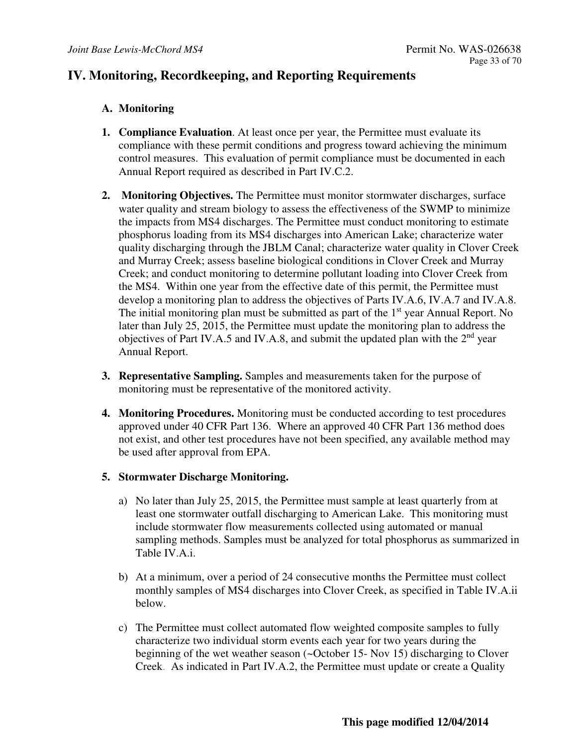## **IV. Monitoring, Recordkeeping, and Reporting Requirements**

## **A. Monitoring**

- **1. Compliance Evaluation**. At least once per year, the Permittee must evaluate its compliance with these permit conditions and progress toward achieving the minimum control measures. This evaluation of permit compliance must be documented in each Annual Report required as described in Part IV.C.2.
- **2. Monitoring Objectives.** The Permittee must monitor stormwater discharges, surface water quality and stream biology to assess the effectiveness of the SWMP to minimize the impacts from MS4 discharges. The Permittee must conduct monitoring to estimate phosphorus loading from its MS4 discharges into American Lake; characterize water quality discharging through the JBLM Canal; characterize water quality in Clover Creek and Murray Creek; assess baseline biological conditions in Clover Creek and Murray Creek; and conduct monitoring to determine pollutant loading into Clover Creek from the MS4. Within one year from the effective date of this permit, the Permittee must develop a monitoring plan to address the objectives of Parts IV.A.6, IV.A.7 and IV.A.8. The initial monitoring plan must be submitted as part of the 1<sup>st</sup> year Annual Report. No later than July 25, 2015, the Permittee must update the monitoring plan to address the objectives of Part IV.A.5 and IV.A.8, and submit the updated plan with the  $2<sup>nd</sup>$  year Annual Report.
- **3. Representative Sampling.** Samples and measurements taken for the purpose of monitoring must be representative of the monitored activity.
- **4. Monitoring Procedures.** Monitoring must be conducted according to test procedures approved under 40 CFR Part 136. Where an approved 40 CFR Part 136 method does not exist, and other test procedures have not been specified, any available method may be used after approval from EPA.

## **5. Stormwater Discharge Monitoring.**

- a) No later than July 25, 2015, the Permittee must sample at least quarterly from at least one stormwater outfall discharging to American Lake. This monitoring must include stormwater flow measurements collected using automated or manual sampling methods. Samples must be analyzed for total phosphorus as summarized in Table IV.A.i.
- b) At a minimum, over a period of 24 consecutive months the Permittee must collect monthly samples of MS4 discharges into Clover Creek, as specified in Table IV.A.ii below.
- c) The Permittee must collect automated flow weighted composite samples to fully characterize two individual storm events each year for two years during the beginning of the wet weather season (~October 15- Nov 15) discharging to Clover Creek. As indicated in Part IV.A.2, the Permittee must update or create a Quality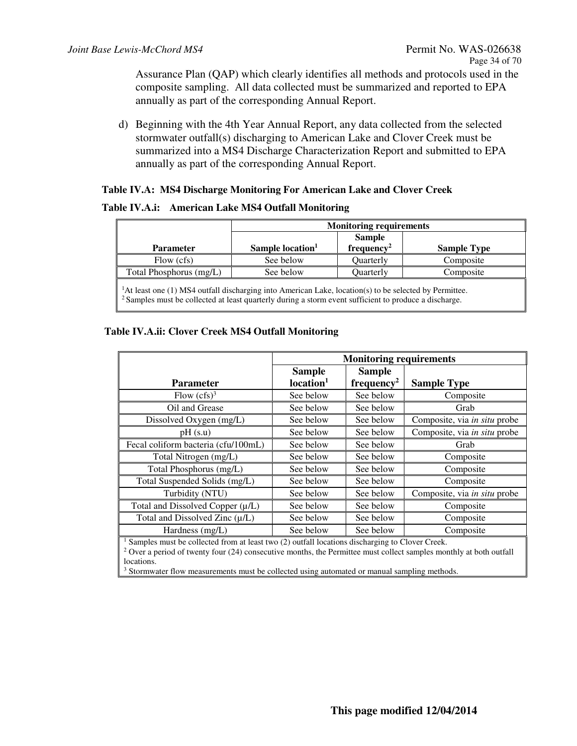Assurance Plan (QAP) which clearly identifies all methods and protocols used in the composite sampling. All data collected must be summarized and reported to EPA annually as part of the corresponding Annual Report.

d) Beginning with the 4th Year Annual Report, any data collected from the selected stormwater outfall(s) discharging to American Lake and Clover Creek must be summarized into a MS4 Discharge Characterization Report and submitted to EPA annually as part of the corresponding Annual Report.

#### **Table IV.A: MS4 Discharge Monitoring For American Lake and Clover Creek**

#### **Table IV.A.i: American Lake MS4 Outfall Monitoring**

|                                                                                                                                                                                                                                     | <b>Monitoring requirements</b> |                                         |                    |  |
|-------------------------------------------------------------------------------------------------------------------------------------------------------------------------------------------------------------------------------------|--------------------------------|-----------------------------------------|--------------------|--|
| <b>Parameter</b>                                                                                                                                                                                                                    | Sample location <sup>1</sup>   | <b>Sample</b><br>frequency <sup>2</sup> | <b>Sample Type</b> |  |
| Flow (cfs)                                                                                                                                                                                                                          | See below                      | <b>Ouarterly</b>                        | Composite          |  |
| Total Phosphorus (mg/L)                                                                                                                                                                                                             | See below                      | <b>Ouarterly</b>                        | Composite          |  |
| ${}^{1}$ At least one (1) MS4 outfall discharging into American Lake, location(s) to be selected by Permittee.<br><sup>2</sup> Samples must be collected at least quarterly during a storm event sufficient to produce a discharge. |                                |                                         |                    |  |

#### **Table IV.A.ii: Clover Creek MS4 Outfall Monitoring**

|                                                                                                                                                                                                                                                                                                                                                                           | <b>Monitoring requirements</b> |                        |                              |
|---------------------------------------------------------------------------------------------------------------------------------------------------------------------------------------------------------------------------------------------------------------------------------------------------------------------------------------------------------------------------|--------------------------------|------------------------|------------------------------|
|                                                                                                                                                                                                                                                                                                                                                                           | <b>Sample</b><br><b>Sample</b> |                        |                              |
| <b>Parameter</b>                                                                                                                                                                                                                                                                                                                                                          | location <sup>1</sup>          | frequency <sup>2</sup> | <b>Sample Type</b>           |
| Flow $(cfs)^3$                                                                                                                                                                                                                                                                                                                                                            | See below                      | See below              | Composite                    |
| Oil and Grease                                                                                                                                                                                                                                                                                                                                                            | See below                      | See below              | Grab                         |
| Dissolved Oxygen (mg/L)                                                                                                                                                                                                                                                                                                                                                   | See below                      | See below              | Composite, via in situ probe |
| pH(s.u)                                                                                                                                                                                                                                                                                                                                                                   | See below                      | See below              | Composite, via in situ probe |
| Fecal coliform bacteria (cfu/100mL)                                                                                                                                                                                                                                                                                                                                       | See below                      | See below              | Grab                         |
| Total Nitrogen (mg/L)                                                                                                                                                                                                                                                                                                                                                     | See below                      | See below              | Composite                    |
| Total Phosphorus (mg/L)                                                                                                                                                                                                                                                                                                                                                   | See below                      | See below              | Composite                    |
| Total Suspended Solids (mg/L)                                                                                                                                                                                                                                                                                                                                             | See below                      | See below              | Composite                    |
| Turbidity (NTU)                                                                                                                                                                                                                                                                                                                                                           | See below                      | See below              | Composite, via in situ probe |
| Total and Dissolved Copper (µ/L)                                                                                                                                                                                                                                                                                                                                          | See below                      | See below              | Composite                    |
| Total and Dissolved Zinc $(\mu/L)$                                                                                                                                                                                                                                                                                                                                        | See below                      | See below              | Composite                    |
| Hardness (mg/L)                                                                                                                                                                                                                                                                                                                                                           | See below                      | See below              | Composite                    |
| Samples must be collected from at least two (2) outfall locations discharging to Clover Creek.<br>$2 \alpha$<br>$\mathbf{r} = \mathbf{r} \cdot \mathbf{r}$ , and the set of the set of the set of the set of the set of the set of the set of the set of the set of the set of the set of the set of the set of the set of the set of the set of the set of the<br>$-111$ |                                |                        |                              |

<sup>2</sup> Over a period of twenty four (24) consecutive months, the Permittee must collect samples monthly at both outfall locations.

<sup>3</sup> Stormwater flow measurements must be collected using automated or manual sampling methods.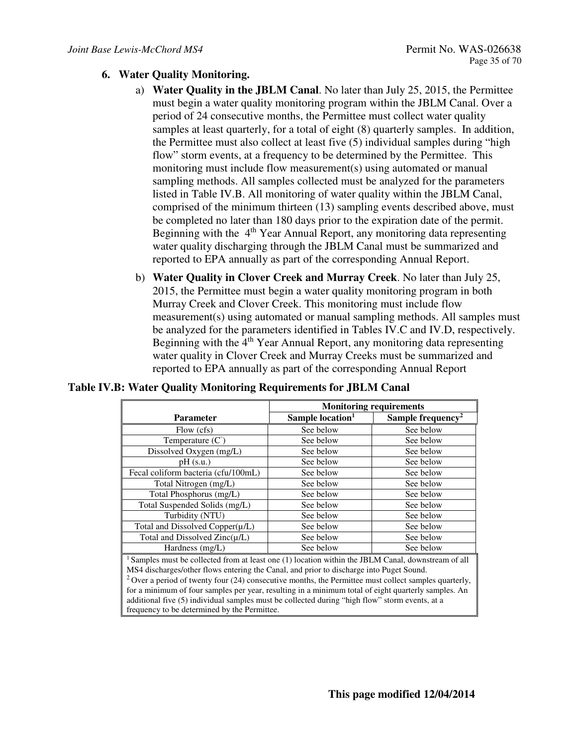#### **6. Water Quality Monitoring.**

- a) **Water Quality in the JBLM Canal**. No later than July 25, 2015, the Permittee must begin a water quality monitoring program within the JBLM Canal. Over a period of 24 consecutive months, the Permittee must collect water quality samples at least quarterly, for a total of eight (8) quarterly samples. In addition, the Permittee must also collect at least five (5) individual samples during "high flow" storm events, at a frequency to be determined by the Permittee. This monitoring must include flow measurement(s) using automated or manual sampling methods. All samples collected must be analyzed for the parameters listed in Table IV.B. All monitoring of water quality within the JBLM Canal, comprised of the minimum thirteen (13) sampling events described above, must be completed no later than 180 days prior to the expiration date of the permit. Beginning with the 4<sup>th</sup> Year Annual Report, any monitoring data representing water quality discharging through the JBLM Canal must be summarized and reported to EPA annually as part of the corresponding Annual Report.
- b) **Water Quality in Clover Creek and Murray Creek**. No later than July 25, 2015, the Permittee must begin a water quality monitoring program in both Murray Creek and Clover Creek. This monitoring must include flow measurement(s) using automated or manual sampling methods. All samples must be analyzed for the parameters identified in Tables IV.C and IV.D, respectively. Beginning with the  $4<sup>th</sup>$  Year Annual Report, any monitoring data representing water quality in Clover Creek and Murray Creeks must be summarized and reported to EPA annually as part of the corresponding Annual Report

|                                                                                                                | <b>Monitoring requirements</b> |                               |  |  |
|----------------------------------------------------------------------------------------------------------------|--------------------------------|-------------------------------|--|--|
| <b>Parameter</b>                                                                                               | Sample location <sup>1</sup>   | Sample frequency <sup>2</sup> |  |  |
| Flow (cfs)                                                                                                     | See below                      | See below                     |  |  |
| Temperature $(C^{\circ})$                                                                                      | See below                      | See below                     |  |  |
| Dissolved Oxygen (mg/L)                                                                                        | See below                      | See below                     |  |  |
| $pH$ (s.u.)                                                                                                    | See below                      | See below                     |  |  |
| Fecal coliform bacteria (cfu/100mL)                                                                            | See below                      | See below                     |  |  |
| Total Nitrogen (mg/L)                                                                                          | See below                      | See below                     |  |  |
| Total Phosphorus (mg/L)                                                                                        | See below                      | See below                     |  |  |
| Total Suspended Solids (mg/L)                                                                                  | See below                      | See below                     |  |  |
| Turbidity (NTU)                                                                                                | See below                      | See below                     |  |  |
| Total and Dissolved Copper(µ/L)                                                                                | See below                      | See below                     |  |  |
| Total and Dissolved $Zinc(\mu/L)$                                                                              | See below                      | See below                     |  |  |
| Hardness $(mg/L)$                                                                                              | See below                      | See below                     |  |  |
| <sup>1</sup> Samples must be collected from at least one (1) location within the JBLM Canal, downstream of all |                                |                               |  |  |
| MS4 discharges/other flows entering the Canal, and prior to discharge into Puget Sound.                        |                                |                               |  |  |
| $2$ Over a period of twenty four (24) consecutive months, the Permittee must collect samples quarterly,        |                                |                               |  |  |
| for a minimum of four samples per year, resulting in a minimum total of eight quarterly samples. An            |                                |                               |  |  |

#### **Table IV.B: Water Quality Monitoring Requirements for JBLM Canal**

additional five (5) individual samples must be collected during "high flow" storm events, at a frequency to be determined by the Permittee.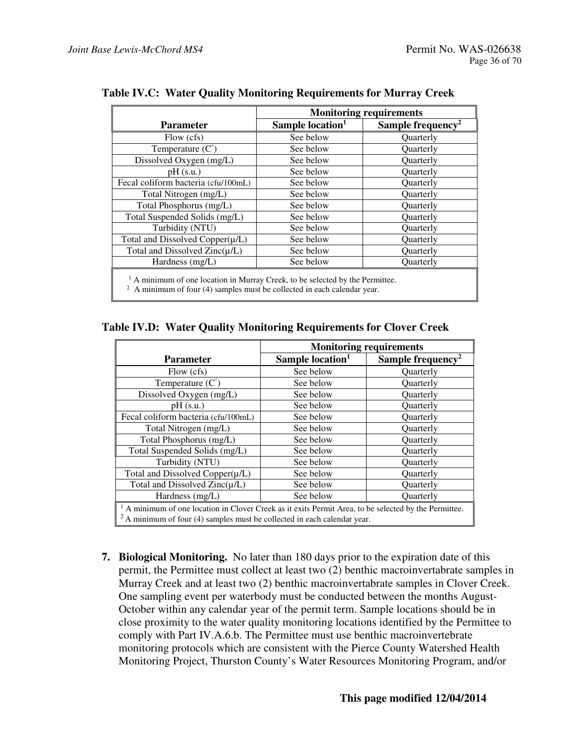|                                      | <b>Monitoring requirements</b> |                               |  |
|--------------------------------------|--------------------------------|-------------------------------|--|
| <b>Parameter</b>                     | Sample location <sup>1</sup>   | Sample frequency <sup>2</sup> |  |
| Flow (cfs)                           | See below                      | Quarterly                     |  |
| Temperature $(C^{\circ})$            | See below                      | <b>Ouarterly</b>              |  |
| Dissolved Oxygen (mg/L)              | See below                      | <b>Ouarterly</b>              |  |
| $pH$ (s.u.)                          | See below                      | <b>Ouarterly</b>              |  |
| Fecal coliform bacteria (cfu/100mL)  | See below                      | Quarterly                     |  |
| Total Nitrogen (mg/L)                | See below                      | Quarterly                     |  |
| Total Phosphorus (mg/L)              | See below                      | <b>Ouarterly</b>              |  |
| Total Suspended Solids (mg/L)        | See below                      | Quarterly                     |  |
| Turbidity (NTU)                      | See below                      | <b>Ouarterly</b>              |  |
| Total and Dissolved Copper $(\mu/L)$ | See below                      | <b>Ouarterly</b>              |  |
| Total and Dissolved $Zinc(\mu/L)$    | See below                      | Quarterly                     |  |
| Hardness (mg/L)                      | See below                      | Quarterly                     |  |

**Table IV.C: Water Quality Monitoring Requirements for Murray Creek**

|  | Table IV.D: Water Quality Monitoring Requirements for Clover Creek |  |
|--|--------------------------------------------------------------------|--|
|  |                                                                    |  |

|                                                                                                                                                                                      | <b>Monitoring requirements</b> |                               |  |
|--------------------------------------------------------------------------------------------------------------------------------------------------------------------------------------|--------------------------------|-------------------------------|--|
| <b>Parameter</b>                                                                                                                                                                     | Sample location <sup>1</sup>   | Sample frequency <sup>2</sup> |  |
| Flow (cfs)                                                                                                                                                                           | See below                      | <b>Ouarterly</b>              |  |
| Temperature $(C^{\circ})$                                                                                                                                                            | See below                      | <b>Ouarterly</b>              |  |
| Dissolved Oxygen (mg/L)                                                                                                                                                              | See below                      | Quarterly                     |  |
| $pH$ (s.u.)                                                                                                                                                                          | See below                      | <b>Ouarterly</b>              |  |
| Fecal coliform bacteria (cfu/100mL)                                                                                                                                                  | See below                      | <b>Ouarterly</b>              |  |
| Total Nitrogen (mg/L)                                                                                                                                                                | See below                      | <b>Ouarterly</b>              |  |
| Total Phosphorus (mg/L)                                                                                                                                                              | See below                      | <b>Ouarterly</b>              |  |
| Total Suspended Solids (mg/L)                                                                                                                                                        | See below                      | <b>Ouarterly</b>              |  |
| Turbidity (NTU)                                                                                                                                                                      | See below                      | <b>Ouarterly</b>              |  |
| Total and Dissolved Copper $(\mu/L)$                                                                                                                                                 | See below                      | Quarterly                     |  |
| Total and Dissolved $Zinc(\mu/L)$                                                                                                                                                    | See below                      | Quarterly                     |  |
| Hardness $(mg/L)$                                                                                                                                                                    | See below                      | <b>Ouarterly</b>              |  |
| $1$ A minimum of one location in Clover Creek as it exits Permit Area, to be selected by the Permittee.<br>$2A$ minimum of four (4) samples must be collected in each calendar year. |                                |                               |  |

**7. Biological Monitoring.** No later than 180 days prior to the expiration date of this permit, the Permittee must collect at least two (2) benthic macroinvertabrate samples in Murray Creek and at least two (2) benthic macroinvertabrate samples in Clover Creek. One sampling event per waterbody must be conducted between the months August-October within any calendar year of the permit term. Sample locations should be in close proximity to the water quality monitoring locations identified by the Permittee to comply with Part IV.A.6.b. The Permittee must use benthic macroinvertebrate monitoring protocols which are consistent with the Pierce County Watershed Health Monitoring Project, Thurston County's Water Resources Monitoring Program, and/or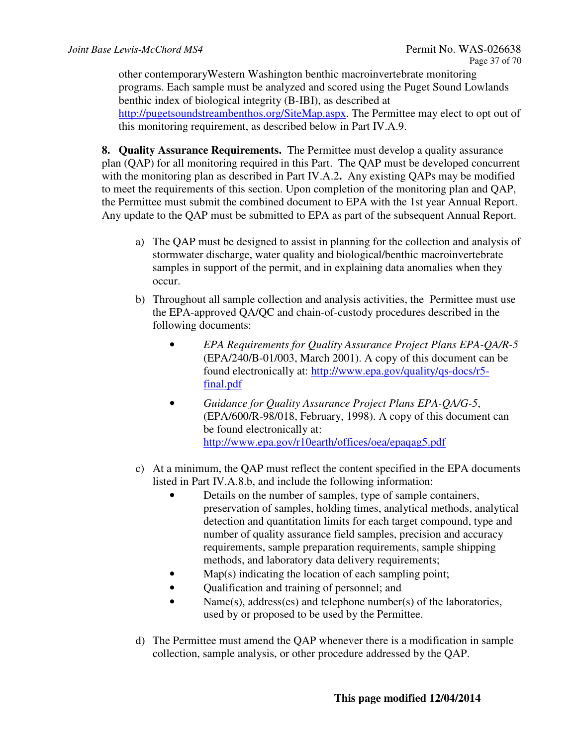other contemporaryWestern Washington benthic macroinvertebrate monitoring programs. Each sample must be analyzed and scored using the Puget Sound Lowlands benthic index of biological integrity (B-IBI), as described at http://pugetsoundstreambenthos.org/SiteMap.aspx. The Permittee may elect to opt out of this monitoring requirement, as described below in Part IV.A.9.

**8. Quality Assurance Requirements.** The Permittee must develop a quality assurance plan (QAP) for all monitoring required in this Part. The QAP must be developed concurrent with the monitoring plan as described in Part IV.A.2**.** Any existing QAPs may be modified to meet the requirements of this section. Upon completion of the monitoring plan and QAP, the Permittee must submit the combined document to EPA with the 1st year Annual Report. Any update to the QAP must be submitted to EPA as part of the subsequent Annual Report.

- a) The QAP must be designed to assist in planning for the collection and analysis of stormwater discharge, water quality and biological/benthic macroinvertebrate samples in support of the permit, and in explaining data anomalies when they occur.
- b) Throughout all sample collection and analysis activities, the Permittee must use the EPA-approved QA/QC and chain-of-custody procedures described in the following documents:
	- *EPA Requirements for Quality Assurance Project Plans EPA-QA/R-5*  (EPA/240/B-01/003, March 2001). A copy of this document can be found electronically at: http://www.epa.gov/quality/qs-docs/r5 final.pdf
	- *Guidance for Quality Assurance Project Plans EPA-QA/G-5*, (EPA/600/R-98/018, February, 1998). A copy of this document can be found electronically at: http://www.epa.gov/r10earth/offices/oea/epaqag5.pdf
- c) At a minimum, the QAP must reflect the content specified in the EPA documents listed in Part IV.A.8.b, and include the following information:
	- Details on the number of samples, type of sample containers, preservation of samples, holding times, analytical methods, analytical detection and quantitation limits for each target compound, type and number of quality assurance field samples, precision and accuracy requirements, sample preparation requirements, sample shipping methods, and laboratory data delivery requirements;
	- $Map(s)$  indicating the location of each sampling point;
	- Oualification and training of personnel; and
	- Name(s), address(es) and telephone number(s) of the laboratories, used by or proposed to be used by the Permittee.
- d) The Permittee must amend the QAP whenever there is a modification in sample collection, sample analysis, or other procedure addressed by the QAP.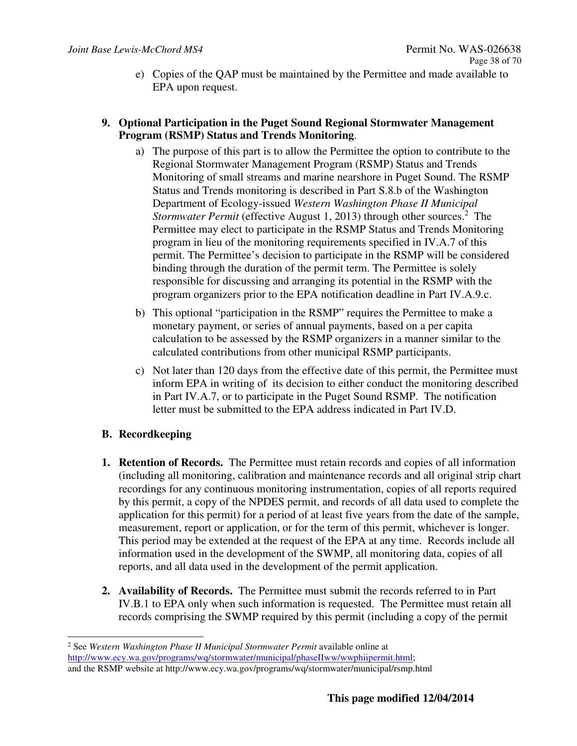e) Copies of the QAP must be maintained by the Permittee and made available to EPA upon request.

## **9. Optional Participation in the Puget Sound Regional Stormwater Management Program (RSMP) Status and Trends Monitoring**.

- a) The purpose of this part is to allow the Permittee the option to contribute to the Regional Stormwater Management Program (RSMP) Status and Trends Monitoring of small streams and marine nearshore in Puget Sound. The RSMP Status and Trends monitoring is described in Part S.8.b of the Washington Department of Ecology-issued *Western Washington Phase II Municipal*  Stormwater Permit (effective August 1, 2013) through other sources.<sup>2</sup> The Permittee may elect to participate in the RSMP Status and Trends Monitoring program in lieu of the monitoring requirements specified in IV.A.7 of this permit. The Permittee's decision to participate in the RSMP will be considered binding through the duration of the permit term. The Permittee is solely responsible for discussing and arranging its potential in the RSMP with the program organizers prior to the EPA notification deadline in Part IV.A.9.c.
- b) This optional "participation in the RSMP" requires the Permittee to make a monetary payment, or series of annual payments, based on a per capita calculation to be assessed by the RSMP organizers in a manner similar to the calculated contributions from other municipal RSMP participants.
- c) Not later than 120 days from the effective date of this permit, the Permittee must inform EPA in writing of its decision to either conduct the monitoring described in Part IV.A.7, or to participate in the Puget Sound RSMP. The notification letter must be submitted to the EPA address indicated in Part IV.D.

## **B. Recordkeeping**

- **1. Retention of Records.** The Permittee must retain records and copies of all information (including all monitoring, calibration and maintenance records and all original strip chart recordings for any continuous monitoring instrumentation, copies of all reports required by this permit, a copy of the NPDES permit, and records of all data used to complete the application for this permit) for a period of at least five years from the date of the sample, measurement, report or application, or for the term of this permit, whichever is longer. This period may be extended at the request of the EPA at any time. Records include all information used in the development of the SWMP, all monitoring data, copies of all reports, and all data used in the development of the permit application.
- **2. Availability of Records.** The Permittee must submit the records referred to in Part IV.B.1 to EPA only when such information is requested. The Permittee must retain all records comprising the SWMP required by this permit (including a copy of the permit

-2 See *Western Washington Phase II Municipal Stormwater Permit* available online at http://www.ecy.wa.gov/programs/wq/stormwater/municipal/phaseIIww/wwphiipermit.html; and the RSMP website at http://www.ecy.wa.gov/programs/wq/stormwater/municipal/rsmp.html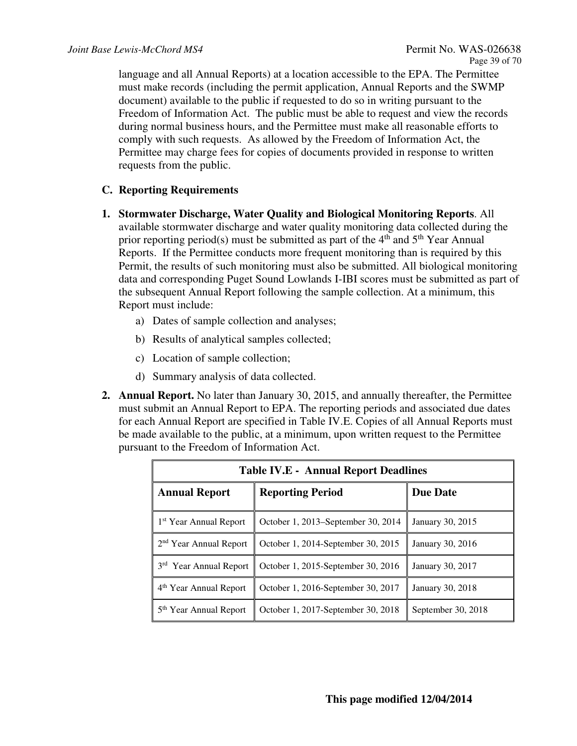language and all Annual Reports) at a location accessible to the EPA. The Permittee must make records (including the permit application, Annual Reports and the SWMP document) available to the public if requested to do so in writing pursuant to the Freedom of Information Act. The public must be able to request and view the records during normal business hours, and the Permittee must make all reasonable efforts to comply with such requests. As allowed by the Freedom of Information Act, the Permittee may charge fees for copies of documents provided in response to written requests from the public.

## **C. Reporting Requirements**

- **1. Stormwater Discharge, Water Quality and Biological Monitoring Reports**. All available stormwater discharge and water quality monitoring data collected during the prior reporting period(s) must be submitted as part of the  $4<sup>th</sup>$  and  $5<sup>th</sup>$  Year Annual Reports. If the Permittee conducts more frequent monitoring than is required by this Permit, the results of such monitoring must also be submitted. All biological monitoring data and corresponding Puget Sound Lowlands I-IBI scores must be submitted as part of the subsequent Annual Report following the sample collection. At a minimum, this Report must include:
	- a) Dates of sample collection and analyses;
	- b) Results of analytical samples collected;
	- c) Location of sample collection;
	- d) Summary analysis of data collected.
- **2. Annual Report.** No later than January 30, 2015, and annually thereafter, the Permittee must submit an Annual Report to EPA. The reporting periods and associated due dates for each Annual Report are specified in Table IV.E. Copies of all Annual Reports must be made available to the public, at a minimum, upon written request to the Permittee pursuant to the Freedom of Information Act.

| <b>Table IV.E - Annual Report Deadlines</b>                              |                                    |                    |  |  |
|--------------------------------------------------------------------------|------------------------------------|--------------------|--|--|
| <b>Annual Report</b><br><b>Reporting Period</b>                          |                                    | <b>Due Date</b>    |  |  |
| 1 <sup>st</sup> Year Annual Report                                       | October 1, 2013–September 30, 2014 | January 30, 2015   |  |  |
| 2 <sup>nd</sup> Year Annual Report                                       | October 1, 2014-September 30, 2015 | January 30, 2016   |  |  |
| 3rd Year Annual Report                                                   | October 1, 2015-September 30, 2016 | January 30, 2017   |  |  |
| 4 <sup>th</sup> Year Annual Report<br>October 1, 2016-September 30, 2017 |                                    | January 30, 2018   |  |  |
| 5 <sup>th</sup> Year Annual Report                                       | October 1, 2017-September 30, 2018 | September 30, 2018 |  |  |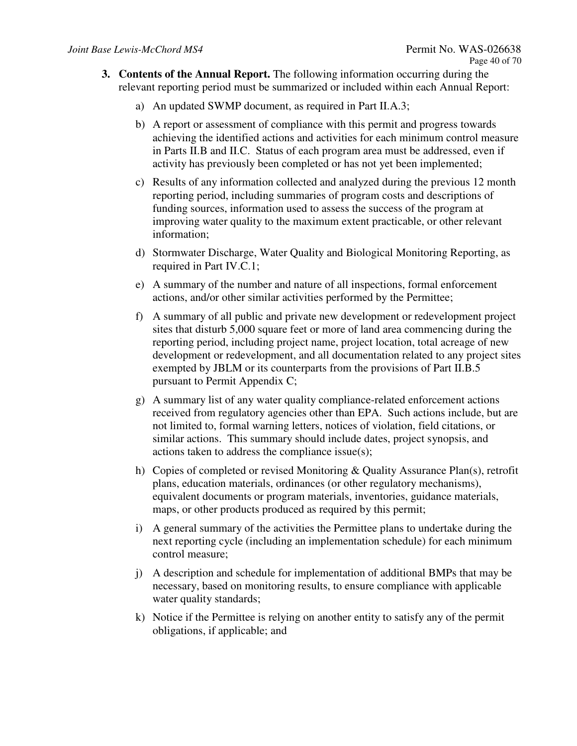- **3. Contents of the Annual Report.** The following information occurring during the relevant reporting period must be summarized or included within each Annual Report:
	- a) An updated SWMP document, as required in Part II.A.3;
	- b) A report or assessment of compliance with this permit and progress towards achieving the identified actions and activities for each minimum control measure in Parts II.B and II.C. Status of each program area must be addressed, even if activity has previously been completed or has not yet been implemented;
	- c) Results of any information collected and analyzed during the previous 12 month reporting period, including summaries of program costs and descriptions of funding sources, information used to assess the success of the program at improving water quality to the maximum extent practicable, or other relevant information;
	- d) Stormwater Discharge, Water Quality and Biological Monitoring Reporting, as required in Part IV.C.1;
	- e) A summary of the number and nature of all inspections, formal enforcement actions, and/or other similar activities performed by the Permittee;
	- f) A summary of all public and private new development or redevelopment project sites that disturb 5,000 square feet or more of land area commencing during the reporting period, including project name, project location, total acreage of new development or redevelopment, and all documentation related to any project sites exempted by JBLM or its counterparts from the provisions of Part II.B.5 pursuant to Permit Appendix C;
	- g) A summary list of any water quality compliance-related enforcement actions received from regulatory agencies other than EPA. Such actions include, but are not limited to, formal warning letters, notices of violation, field citations, or similar actions. This summary should include dates, project synopsis, and actions taken to address the compliance issue(s);
	- h) Copies of completed or revised Monitoring & Quality Assurance Plan(s), retrofit plans, education materials, ordinances (or other regulatory mechanisms), equivalent documents or program materials, inventories, guidance materials, maps, or other products produced as required by this permit;
	- i) A general summary of the activities the Permittee plans to undertake during the next reporting cycle (including an implementation schedule) for each minimum control measure;
	- j) A description and schedule for implementation of additional BMPs that may be necessary, based on monitoring results, to ensure compliance with applicable water quality standards;
	- k) Notice if the Permittee is relying on another entity to satisfy any of the permit obligations, if applicable; and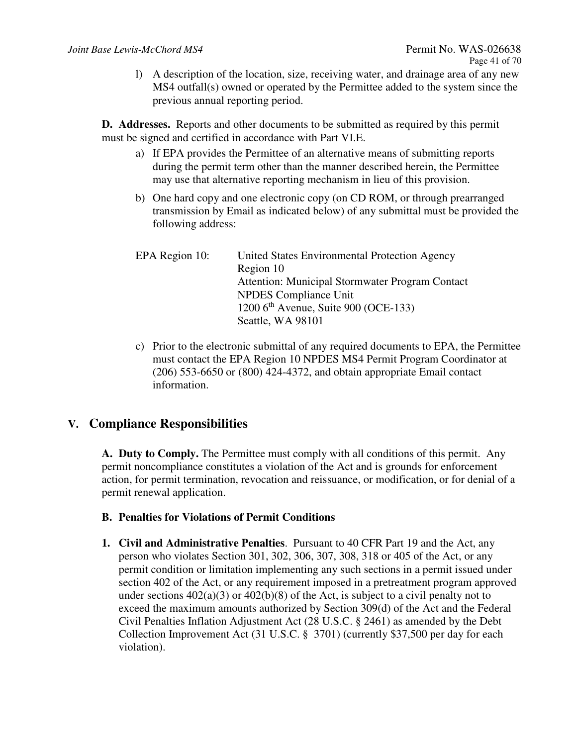l) A description of the location, size, receiving water, and drainage area of any new MS4 outfall(s) owned or operated by the Permittee added to the system since the previous annual reporting period.

**D. Addresses.** Reports and other documents to be submitted as required by this permit must be signed and certified in accordance with Part VI.E.

- a) If EPA provides the Permittee of an alternative means of submitting reports during the permit term other than the manner described herein, the Permittee may use that alternative reporting mechanism in lieu of this provision.
- b) One hard copy and one electronic copy (on CD ROM, or through prearranged transmission by Email as indicated below) of any submittal must be provided the following address:

| EPA Region 10: | United States Environmental Protection Agency   |
|----------------|-------------------------------------------------|
|                | Region 10                                       |
|                | Attention: Municipal Stormwater Program Contact |
|                | <b>NPDES</b> Compliance Unit                    |
|                | 1200 $6th$ Avenue, Suite 900 (OCE-133)          |
|                | Seattle, WA 98101                               |

c) Prior to the electronic submittal of any required documents to EPA, the Permittee must contact the EPA Region 10 NPDES MS4 Permit Program Coordinator at (206) 553-6650 or (800) 424-4372, and obtain appropriate Email contact information.

## **V. Compliance Responsibilities**

**A. Duty to Comply.** The Permittee must comply with all conditions of this permit. Any permit noncompliance constitutes a violation of the Act and is grounds for enforcement action, for permit termination, revocation and reissuance, or modification, or for denial of a permit renewal application.

## **B. Penalties for Violations of Permit Conditions**

**1. Civil and Administrative Penalties**. Pursuant to 40 CFR Part 19 and the Act, any person who violates Section 301, 302, 306, 307, 308, 318 or 405 of the Act, or any permit condition or limitation implementing any such sections in a permit issued under section 402 of the Act, or any requirement imposed in a pretreatment program approved under sections  $402(a)(3)$  or  $402(b)(8)$  of the Act, is subject to a civil penalty not to exceed the maximum amounts authorized by Section 309(d) of the Act and the Federal Civil Penalties Inflation Adjustment Act (28 U.S.C. § 2461) as amended by the Debt Collection Improvement Act (31 U.S.C. § 3701) (currently \$37,500 per day for each violation).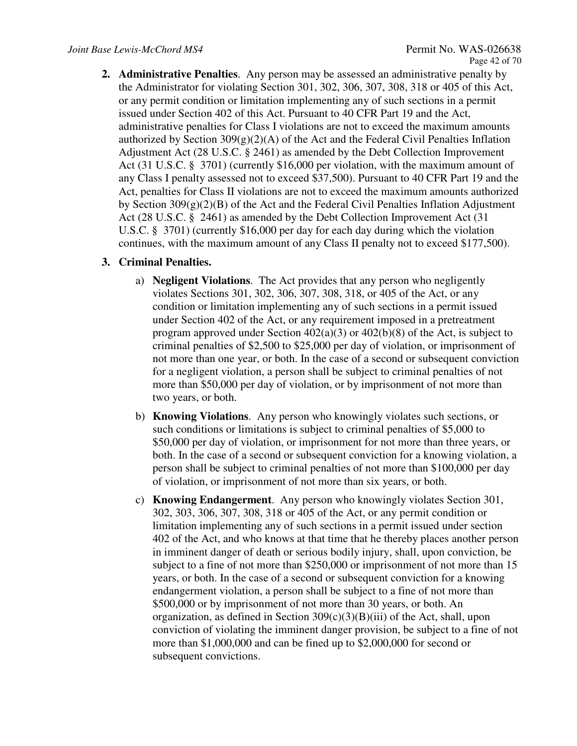**2. Administrative Penalties**. Any person may be assessed an administrative penalty by the Administrator for violating Section 301, 302, 306, 307, 308, 318 or 405 of this Act, or any permit condition or limitation implementing any of such sections in a permit issued under Section 402 of this Act. Pursuant to 40 CFR Part 19 and the Act, administrative penalties for Class I violations are not to exceed the maximum amounts authorized by Section  $309(g)(2)(A)$  of the Act and the Federal Civil Penalties Inflation Adjustment Act (28 U.S.C. § 2461) as amended by the Debt Collection Improvement Act (31 U.S.C. § 3701) (currently \$16,000 per violation, with the maximum amount of any Class I penalty assessed not to exceed \$37,500). Pursuant to 40 CFR Part 19 and the Act, penalties for Class II violations are not to exceed the maximum amounts authorized by Section  $309(g)(2)(B)$  of the Act and the Federal Civil Penalties Inflation Adjustment Act (28 U.S.C. § 2461) as amended by the Debt Collection Improvement Act (31 U.S.C. § 3701) (currently \$16,000 per day for each day during which the violation continues, with the maximum amount of any Class II penalty not to exceed \$177,500).

#### **3. Criminal Penalties.**

- a) **Negligent Violations**. The Act provides that any person who negligently violates Sections 301, 302, 306, 307, 308, 318, or 405 of the Act, or any condition or limitation implementing any of such sections in a permit issued under Section 402 of the Act, or any requirement imposed in a pretreatment program approved under Section  $402(a)(3)$  or  $402(b)(8)$  of the Act, is subject to criminal penalties of \$2,500 to \$25,000 per day of violation, or imprisonment of not more than one year, or both. In the case of a second or subsequent conviction for a negligent violation, a person shall be subject to criminal penalties of not more than \$50,000 per day of violation, or by imprisonment of not more than two years, or both.
- b) **Knowing Violations**. Any person who knowingly violates such sections, or such conditions or limitations is subject to criminal penalties of \$5,000 to \$50,000 per day of violation, or imprisonment for not more than three years, or both. In the case of a second or subsequent conviction for a knowing violation, a person shall be subject to criminal penalties of not more than \$100,000 per day of violation, or imprisonment of not more than six years, or both.
- c) **Knowing Endangerment**. Any person who knowingly violates Section 301, 302, 303, 306, 307, 308, 318 or 405 of the Act, or any permit condition or limitation implementing any of such sections in a permit issued under section 402 of the Act, and who knows at that time that he thereby places another person in imminent danger of death or serious bodily injury, shall, upon conviction, be subject to a fine of not more than \$250,000 or imprisonment of not more than 15 years, or both. In the case of a second or subsequent conviction for a knowing endangerment violation, a person shall be subject to a fine of not more than \$500,000 or by imprisonment of not more than 30 years, or both. An organization, as defined in Section  $309(c)(3)(B)(iii)$  of the Act, shall, upon conviction of violating the imminent danger provision, be subject to a fine of not more than \$1,000,000 and can be fined up to \$2,000,000 for second or subsequent convictions.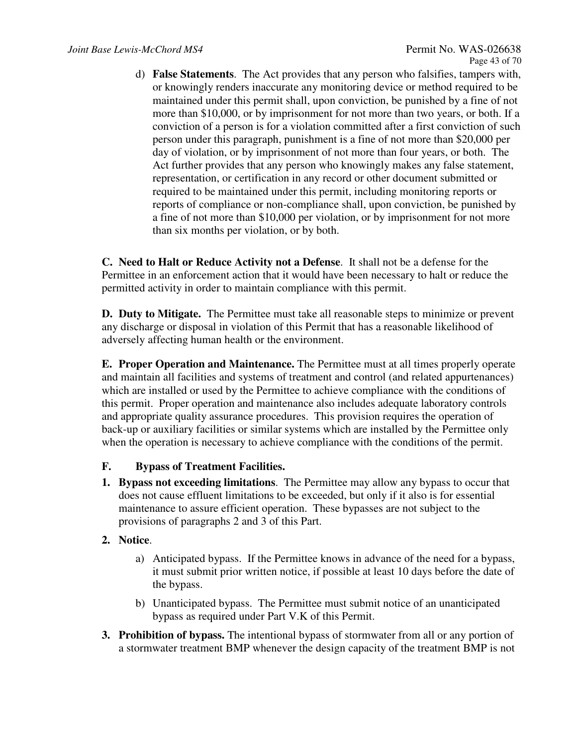d) **False Statements**. The Act provides that any person who falsifies, tampers with, or knowingly renders inaccurate any monitoring device or method required to be maintained under this permit shall, upon conviction, be punished by a fine of not more than \$10,000, or by imprisonment for not more than two years, or both. If a conviction of a person is for a violation committed after a first conviction of such person under this paragraph, punishment is a fine of not more than \$20,000 per day of violation, or by imprisonment of not more than four years, or both. The Act further provides that any person who knowingly makes any false statement, representation, or certification in any record or other document submitted or required to be maintained under this permit, including monitoring reports or reports of compliance or non-compliance shall, upon conviction, be punished by a fine of not more than \$10,000 per violation, or by imprisonment for not more than six months per violation, or by both.

**C. Need to Halt or Reduce Activity not a Defense**. It shall not be a defense for the Permittee in an enforcement action that it would have been necessary to halt or reduce the permitted activity in order to maintain compliance with this permit.

**D. Duty to Mitigate.** The Permittee must take all reasonable steps to minimize or prevent any discharge or disposal in violation of this Permit that has a reasonable likelihood of adversely affecting human health or the environment.

**E. Proper Operation and Maintenance.** The Permittee must at all times properly operate and maintain all facilities and systems of treatment and control (and related appurtenances) which are installed or used by the Permittee to achieve compliance with the conditions of this permit. Proper operation and maintenance also includes adequate laboratory controls and appropriate quality assurance procedures. This provision requires the operation of back-up or auxiliary facilities or similar systems which are installed by the Permittee only when the operation is necessary to achieve compliance with the conditions of the permit.

## **F. Bypass of Treatment Facilities.**

**1. Bypass not exceeding limitations**. The Permittee may allow any bypass to occur that does not cause effluent limitations to be exceeded, but only if it also is for essential maintenance to assure efficient operation. These bypasses are not subject to the provisions of paragraphs 2 and 3 of this Part.

#### **2. Notice**.

- a) Anticipated bypass. If the Permittee knows in advance of the need for a bypass, it must submit prior written notice, if possible at least 10 days before the date of the bypass.
- b) Unanticipated bypass. The Permittee must submit notice of an unanticipated bypass as required under Part V.K of this Permit.
- **3. Prohibition of bypass.** The intentional bypass of stormwater from all or any portion of a stormwater treatment BMP whenever the design capacity of the treatment BMP is not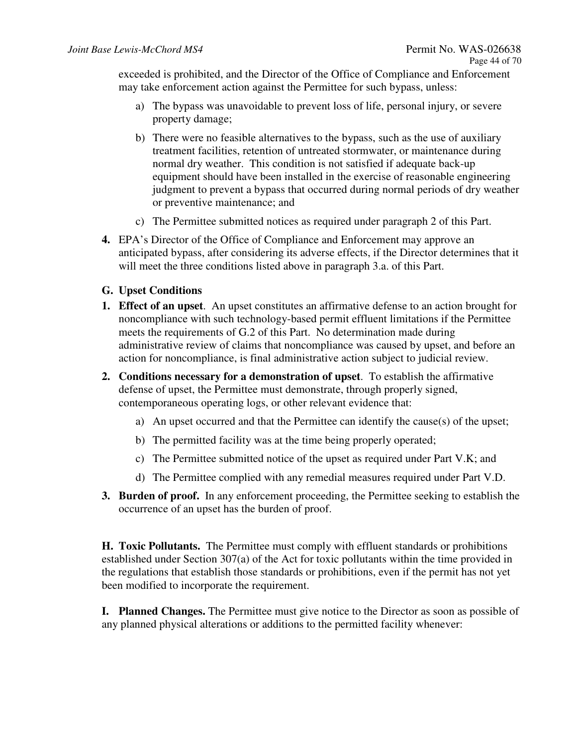exceeded is prohibited, and the Director of the Office of Compliance and Enforcement may take enforcement action against the Permittee for such bypass, unless:

- a) The bypass was unavoidable to prevent loss of life, personal injury, or severe property damage;
- b) There were no feasible alternatives to the bypass, such as the use of auxiliary treatment facilities, retention of untreated stormwater, or maintenance during normal dry weather. This condition is not satisfied if adequate back-up equipment should have been installed in the exercise of reasonable engineering judgment to prevent a bypass that occurred during normal periods of dry weather or preventive maintenance; and
- c) The Permittee submitted notices as required under paragraph 2 of this Part.
- **4.** EPA's Director of the Office of Compliance and Enforcement may approve an anticipated bypass, after considering its adverse effects, if the Director determines that it will meet the three conditions listed above in paragraph 3.a. of this Part.

## **G. Upset Conditions**

- **1. Effect of an upset**. An upset constitutes an affirmative defense to an action brought for noncompliance with such technology-based permit effluent limitations if the Permittee meets the requirements of G.2 of this Part. No determination made during administrative review of claims that noncompliance was caused by upset, and before an action for noncompliance, is final administrative action subject to judicial review.
- **2. Conditions necessary for a demonstration of upset**. To establish the affirmative defense of upset, the Permittee must demonstrate, through properly signed, contemporaneous operating logs, or other relevant evidence that:
	- a) An upset occurred and that the Permittee can identify the cause(s) of the upset;
	- b) The permitted facility was at the time being properly operated;
	- c) The Permittee submitted notice of the upset as required under Part V.K; and
	- d) The Permittee complied with any remedial measures required under Part V.D.
- **3. Burden of proof.** In any enforcement proceeding, the Permittee seeking to establish the occurrence of an upset has the burden of proof.

**H. Toxic Pollutants.** The Permittee must comply with effluent standards or prohibitions established under Section 307(a) of the Act for toxic pollutants within the time provided in the regulations that establish those standards or prohibitions, even if the permit has not yet been modified to incorporate the requirement.

**I. Planned Changes.** The Permittee must give notice to the Director as soon as possible of any planned physical alterations or additions to the permitted facility whenever: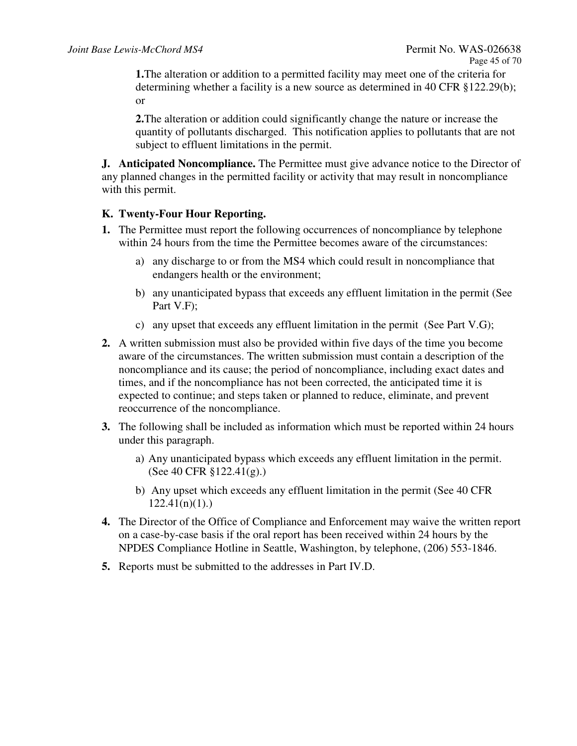**1.**The alteration or addition to a permitted facility may meet one of the criteria for determining whether a facility is a new source as determined in 40 CFR §122.29(b); or

**2.**The alteration or addition could significantly change the nature or increase the quantity of pollutants discharged. This notification applies to pollutants that are not subject to effluent limitations in the permit.

**J. Anticipated Noncompliance.** The Permittee must give advance notice to the Director of any planned changes in the permitted facility or activity that may result in noncompliance with this permit.

## **K. Twenty-Four Hour Reporting.**

- **1.** The Permittee must report the following occurrences of noncompliance by telephone within 24 hours from the time the Permittee becomes aware of the circumstances:
	- a) any discharge to or from the MS4 which could result in noncompliance that endangers health or the environment;
	- b) any unanticipated bypass that exceeds any effluent limitation in the permit (See Part V.F);
	- c) any upset that exceeds any effluent limitation in the permit (See Part V.G);
- **2.** A written submission must also be provided within five days of the time you become aware of the circumstances. The written submission must contain a description of the noncompliance and its cause; the period of noncompliance, including exact dates and times, and if the noncompliance has not been corrected, the anticipated time it is expected to continue; and steps taken or planned to reduce, eliminate, and prevent reoccurrence of the noncompliance.
- **3.** The following shall be included as information which must be reported within 24 hours under this paragraph.
	- a) Any unanticipated bypass which exceeds any effluent limitation in the permit. (See 40 CFR §122.41(g).)
	- b) Any upset which exceeds any effluent limitation in the permit (See 40 CFR  $122.41(n)(1)$ .
- **4.** The Director of the Office of Compliance and Enforcement may waive the written report on a case-by-case basis if the oral report has been received within 24 hours by the NPDES Compliance Hotline in Seattle, Washington, by telephone, (206) 553-1846.
- **5.** Reports must be submitted to the addresses in Part IV.D.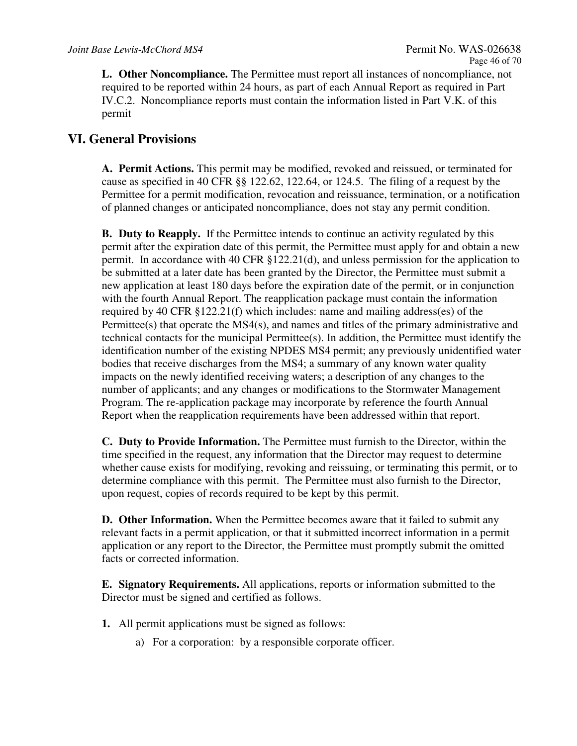**L. Other Noncompliance.** The Permittee must report all instances of noncompliance, not required to be reported within 24 hours, as part of each Annual Report as required in Part IV.C.2. Noncompliance reports must contain the information listed in Part V.K. of this permit

## **VI. General Provisions**

**A. Permit Actions.** This permit may be modified, revoked and reissued, or terminated for cause as specified in 40 CFR §§ 122.62, 122.64, or 124.5. The filing of a request by the Permittee for a permit modification, revocation and reissuance, termination, or a notification of planned changes or anticipated noncompliance, does not stay any permit condition.

**B. Duty to Reapply.** If the Permittee intends to continue an activity regulated by this permit after the expiration date of this permit, the Permittee must apply for and obtain a new permit. In accordance with 40 CFR §122.21(d), and unless permission for the application to be submitted at a later date has been granted by the Director, the Permittee must submit a new application at least 180 days before the expiration date of the permit, or in conjunction with the fourth Annual Report. The reapplication package must contain the information required by 40 CFR §122.21(f) which includes: name and mailing address(es) of the Permittee(s) that operate the MS4(s), and names and titles of the primary administrative and technical contacts for the municipal Permittee(s). In addition, the Permittee must identify the identification number of the existing NPDES MS4 permit; any previously unidentified water bodies that receive discharges from the MS4; a summary of any known water quality impacts on the newly identified receiving waters; a description of any changes to the number of applicants; and any changes or modifications to the Stormwater Management Program. The re-application package may incorporate by reference the fourth Annual Report when the reapplication requirements have been addressed within that report.

**C. Duty to Provide Information.** The Permittee must furnish to the Director, within the time specified in the request, any information that the Director may request to determine whether cause exists for modifying, revoking and reissuing, or terminating this permit, or to determine compliance with this permit. The Permittee must also furnish to the Director, upon request, copies of records required to be kept by this permit.

**D. Other Information.** When the Permittee becomes aware that it failed to submit any relevant facts in a permit application, or that it submitted incorrect information in a permit application or any report to the Director, the Permittee must promptly submit the omitted facts or corrected information.

**E. Signatory Requirements.** All applications, reports or information submitted to the Director must be signed and certified as follows.

- **1.** All permit applications must be signed as follows:
	- a) For a corporation: by a responsible corporate officer.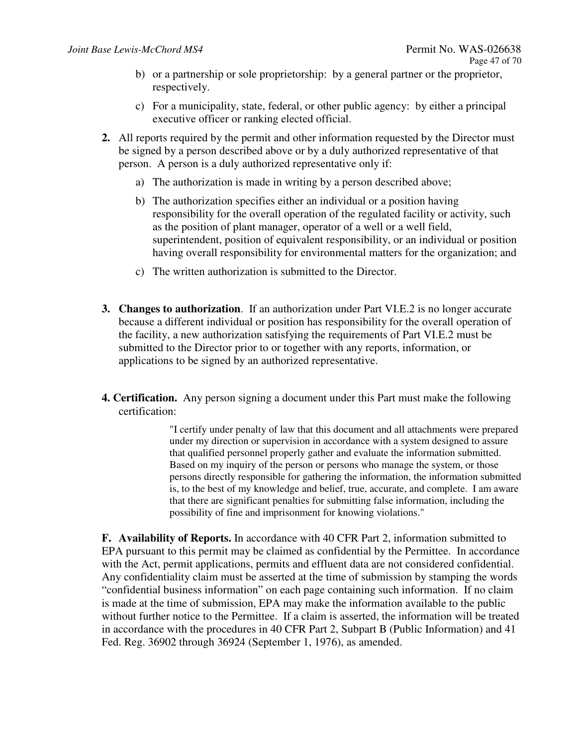- b) or a partnership or sole proprietorship: by a general partner or the proprietor, respectively.
- c) For a municipality, state, federal, or other public agency: by either a principal executive officer or ranking elected official.
- **2.** All reports required by the permit and other information requested by the Director must be signed by a person described above or by a duly authorized representative of that person. A person is a duly authorized representative only if:
	- a) The authorization is made in writing by a person described above;
	- b) The authorization specifies either an individual or a position having responsibility for the overall operation of the regulated facility or activity, such as the position of plant manager, operator of a well or a well field, superintendent, position of equivalent responsibility, or an individual or position having overall responsibility for environmental matters for the organization; and
	- c) The written authorization is submitted to the Director.
- **3. Changes to authorization**. If an authorization under Part VI.E.2 is no longer accurate because a different individual or position has responsibility for the overall operation of the facility, a new authorization satisfying the requirements of Part VI.E.2 must be submitted to the Director prior to or together with any reports, information, or applications to be signed by an authorized representative.
- **4. Certification.** Any person signing a document under this Part must make the following certification:

"I certify under penalty of law that this document and all attachments were prepared under my direction or supervision in accordance with a system designed to assure that qualified personnel properly gather and evaluate the information submitted. Based on my inquiry of the person or persons who manage the system, or those persons directly responsible for gathering the information, the information submitted is, to the best of my knowledge and belief, true, accurate, and complete. I am aware that there are significant penalties for submitting false information, including the possibility of fine and imprisonment for knowing violations."

**F. Availability of Reports.** In accordance with 40 CFR Part 2, information submitted to EPA pursuant to this permit may be claimed as confidential by the Permittee. In accordance with the Act, permit applications, permits and effluent data are not considered confidential. Any confidentiality claim must be asserted at the time of submission by stamping the words "confidential business information" on each page containing such information. If no claim is made at the time of submission, EPA may make the information available to the public without further notice to the Permittee. If a claim is asserted, the information will be treated in accordance with the procedures in 40 CFR Part 2, Subpart B (Public Information) and 41 Fed. Reg. 36902 through 36924 (September 1, 1976), as amended.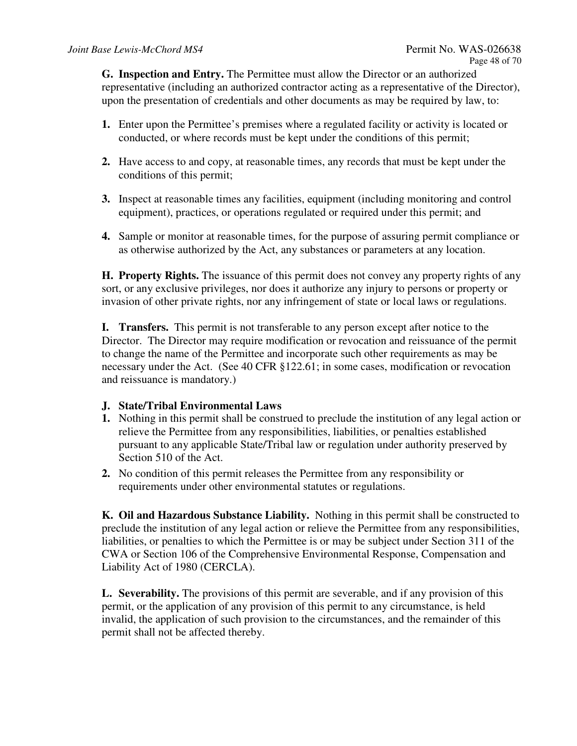**G. Inspection and Entry.** The Permittee must allow the Director or an authorized representative (including an authorized contractor acting as a representative of the Director), upon the presentation of credentials and other documents as may be required by law, to:

- **1.** Enter upon the Permittee's premises where a regulated facility or activity is located or conducted, or where records must be kept under the conditions of this permit;
- **2.** Have access to and copy, at reasonable times, any records that must be kept under the conditions of this permit;
- **3.** Inspect at reasonable times any facilities, equipment (including monitoring and control equipment), practices, or operations regulated or required under this permit; and
- **4.** Sample or monitor at reasonable times, for the purpose of assuring permit compliance or as otherwise authorized by the Act, any substances or parameters at any location.

**H. Property Rights.** The issuance of this permit does not convey any property rights of any sort, or any exclusive privileges, nor does it authorize any injury to persons or property or invasion of other private rights, nor any infringement of state or local laws or regulations.

**I. Transfers.** This permit is not transferable to any person except after notice to the Director. The Director may require modification or revocation and reissuance of the permit to change the name of the Permittee and incorporate such other requirements as may be necessary under the Act. (See 40 CFR §122.61; in some cases, modification or revocation and reissuance is mandatory.)

## **J. State/Tribal Environmental Laws**

- **1.** Nothing in this permit shall be construed to preclude the institution of any legal action or relieve the Permittee from any responsibilities, liabilities, or penalties established pursuant to any applicable State/Tribal law or regulation under authority preserved by Section 510 of the Act.
- **2.** No condition of this permit releases the Permittee from any responsibility or requirements under other environmental statutes or regulations.

**K. Oil and Hazardous Substance Liability.** Nothing in this permit shall be constructed to preclude the institution of any legal action or relieve the Permittee from any responsibilities, liabilities, or penalties to which the Permittee is or may be subject under Section 311 of the CWA or Section 106 of the Comprehensive Environmental Response, Compensation and Liability Act of 1980 (CERCLA).

**L. Severability.** The provisions of this permit are severable, and if any provision of this permit, or the application of any provision of this permit to any circumstance, is held invalid, the application of such provision to the circumstances, and the remainder of this permit shall not be affected thereby.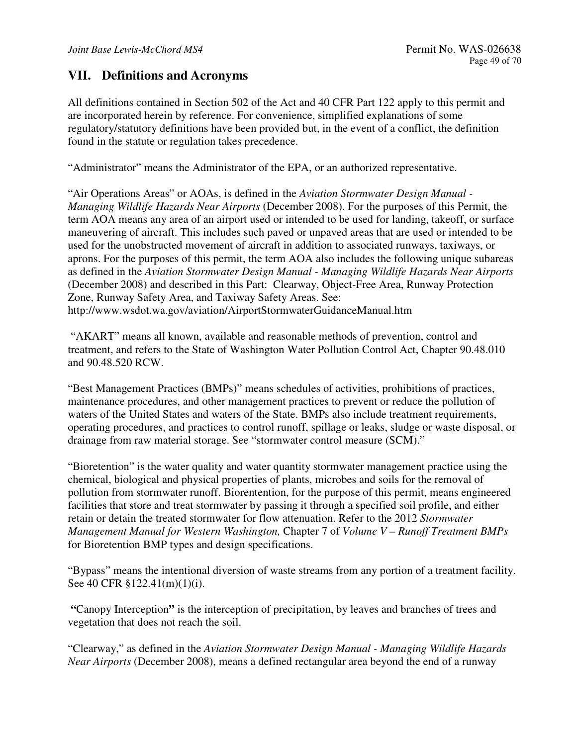## **VII. Definitions and Acronyms**

All definitions contained in Section 502 of the Act and 40 CFR Part 122 apply to this permit and are incorporated herein by reference. For convenience, simplified explanations of some regulatory/statutory definitions have been provided but, in the event of a conflict, the definition found in the statute or regulation takes precedence.

"Administrator" means the Administrator of the EPA, or an authorized representative.

"Air Operations Areas" or AOAs, is defined in the *Aviation Stormwater Design Manual - Managing Wildlife Hazards Near Airports* (December 2008). For the purposes of this Permit, the term AOA means any area of an airport used or intended to be used for landing, takeoff, or surface maneuvering of aircraft. This includes such paved or unpaved areas that are used or intended to be used for the unobstructed movement of aircraft in addition to associated runways, taxiways, or aprons. For the purposes of this permit, the term AOA also includes the following unique subareas as defined in the *Aviation Stormwater Design Manual - Managing Wildlife Hazards Near Airports* (December 2008) and described in this Part: Clearway, Object-Free Area, Runway Protection Zone, Runway Safety Area, and Taxiway Safety Areas. See: http://www.wsdot.wa.gov/aviation/AirportStormwaterGuidanceManual.htm

 "AKART" means all known, available and reasonable methods of prevention, control and treatment, and refers to the State of Washington Water Pollution Control Act, Chapter 90.48.010 and 90.48.520 RCW.

"Best Management Practices (BMPs)" means schedules of activities, prohibitions of practices, maintenance procedures, and other management practices to prevent or reduce the pollution of waters of the United States and waters of the State. BMPs also include treatment requirements, operating procedures, and practices to control runoff, spillage or leaks, sludge or waste disposal, or drainage from raw material storage. See "stormwater control measure (SCM)."

"Bioretention" is the water quality and water quantity stormwater management practice using the chemical, biological and physical properties of plants, microbes and soils for the removal of pollution from stormwater runoff. Biorentention, for the purpose of this permit, means engineered facilities that store and treat stormwater by passing it through a specified soil profile, and either retain or detain the treated stormwater for flow attenuation. Refer to the 2012 *Stormwater Management Manual for Western Washington,* Chapter 7 of *Volume V – Runoff Treatment BMPs* for Bioretention BMP types and design specifications.

"Bypass" means the intentional diversion of waste streams from any portion of a treatment facility. See 40 CFR §122.41(m)(1)(i).

 **"**Canopy Interception**"** is the interception of precipitation, by leaves and branches of trees and vegetation that does not reach the soil.

"Clearway," as defined in the *Aviation Stormwater Design Manual - Managing Wildlife Hazards Near Airports* (December 2008), means a defined rectangular area beyond the end of a runway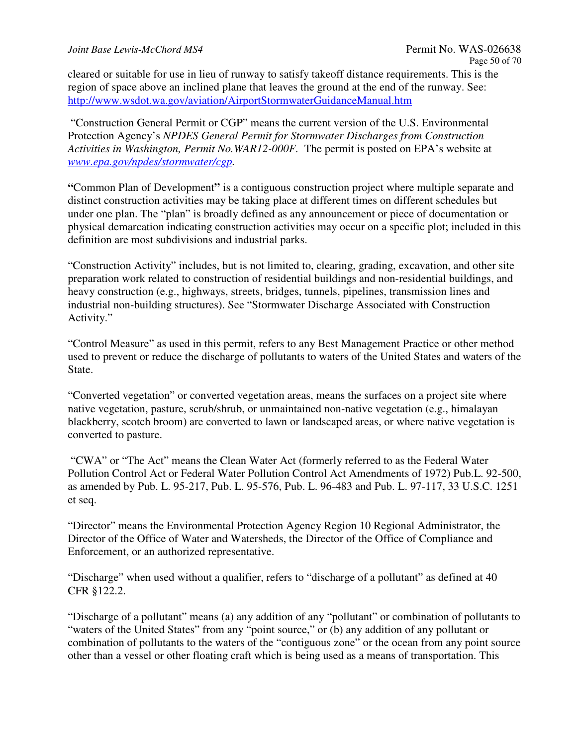cleared or suitable for use in lieu of runway to satisfy takeoff distance requirements. This is the region of space above an inclined plane that leaves the ground at the end of the runway. See: http://www.wsdot.wa.gov/aviation/AirportStormwaterGuidanceManual.htm

 "Construction General Permit or CGP" means the current version of the U.S. Environmental Protection Agency's *NPDES General Permit for Stormwater Discharges from Construction Activities in Washington, Permit No.WAR12-000F.* The permit is posted on EPA's website at *www.epa.gov/npdes/stormwater/cgp.* 

**"**Common Plan of Development**"** is a contiguous construction project where multiple separate and distinct construction activities may be taking place at different times on different schedules but under one plan. The "plan" is broadly defined as any announcement or piece of documentation or physical demarcation indicating construction activities may occur on a specific plot; included in this definition are most subdivisions and industrial parks.

"Construction Activity" includes, but is not limited to, clearing, grading, excavation, and other site preparation work related to construction of residential buildings and non-residential buildings, and heavy construction (e.g., highways, streets, bridges, tunnels, pipelines, transmission lines and industrial non-building structures). See "Stormwater Discharge Associated with Construction Activity."

"Control Measure" as used in this permit, refers to any Best Management Practice or other method used to prevent or reduce the discharge of pollutants to waters of the United States and waters of the State.

"Converted vegetation" or converted vegetation areas, means the surfaces on a project site where native vegetation, pasture, scrub/shrub, or unmaintained non-native vegetation (e.g., himalayan blackberry, scotch broom) are converted to lawn or landscaped areas, or where native vegetation is converted to pasture.

 "CWA" or "The Act" means the Clean Water Act (formerly referred to as the Federal Water Pollution Control Act or Federal Water Pollution Control Act Amendments of 1972) Pub.L. 92-500, as amended by Pub. L. 95-217, Pub. L. 95-576, Pub. L. 96-483 and Pub. L. 97-117, 33 U.S.C. 1251 et seq.

"Director" means the Environmental Protection Agency Region 10 Regional Administrator, the Director of the Office of Water and Watersheds, the Director of the Office of Compliance and Enforcement, or an authorized representative.

"Discharge" when used without a qualifier, refers to "discharge of a pollutant" as defined at 40 CFR §122.2.

"Discharge of a pollutant" means (a) any addition of any "pollutant" or combination of pollutants to "waters of the United States" from any "point source," or (b) any addition of any pollutant or combination of pollutants to the waters of the "contiguous zone" or the ocean from any point source other than a vessel or other floating craft which is being used as a means of transportation. This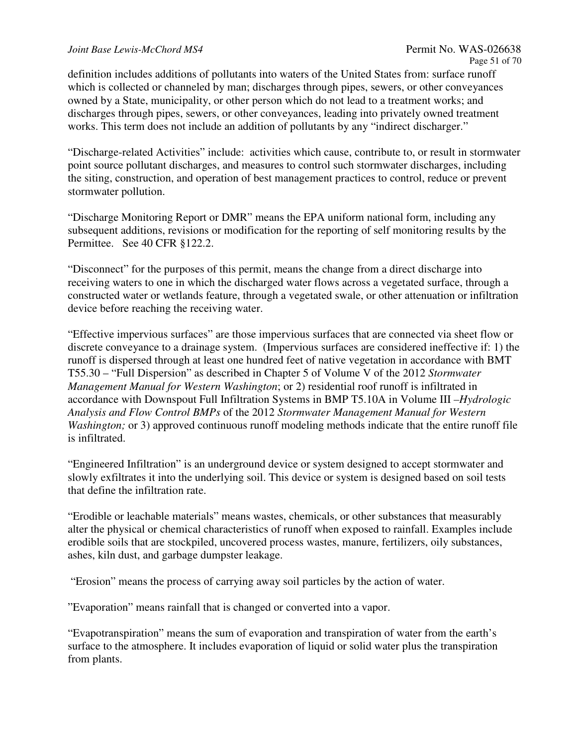#### *Joint Base Lewis-McChord MS4* **Permit No. WAS-026638**

definition includes additions of pollutants into waters of the United States from: surface runoff which is collected or channeled by man; discharges through pipes, sewers, or other conveyances owned by a State, municipality, or other person which do not lead to a treatment works; and discharges through pipes, sewers, or other conveyances, leading into privately owned treatment works. This term does not include an addition of pollutants by any "indirect discharger."

"Discharge-related Activities" include: activities which cause, contribute to, or result in stormwater point source pollutant discharges, and measures to control such stormwater discharges, including the siting, construction, and operation of best management practices to control, reduce or prevent stormwater pollution.

"Discharge Monitoring Report or DMR" means the EPA uniform national form, including any subsequent additions, revisions or modification for the reporting of self monitoring results by the Permittee. See 40 CFR §122.2.

"Disconnect" for the purposes of this permit, means the change from a direct discharge into receiving waters to one in which the discharged water flows across a vegetated surface, through a constructed water or wetlands feature, through a vegetated swale, or other attenuation or infiltration device before reaching the receiving water.

"Effective impervious surfaces" are those impervious surfaces that are connected via sheet flow or discrete conveyance to a drainage system. (Impervious surfaces are considered ineffective if: 1) the runoff is dispersed through at least one hundred feet of native vegetation in accordance with BMT T55.30 – "Full Dispersion" as described in Chapter 5 of Volume V of the 2012 *Stormwater Management Manual for Western Washington*; or 2) residential roof runoff is infiltrated in accordance with Downspout Full Infiltration Systems in BMP T5.10A in Volume III *–Hydrologic Analysis and Flow Control BMPs* of the 2012 *Stormwater Management Manual for Western Washington;* or 3) approved continuous runoff modeling methods indicate that the entire runoff file is infiltrated.

"Engineered Infiltration" is an underground device or system designed to accept stormwater and slowly exfiltrates it into the underlying soil. This device or system is designed based on soil tests that define the infiltration rate.

"Erodible or leachable materials" means wastes, chemicals, or other substances that measurably alter the physical or chemical characteristics of runoff when exposed to rainfall. Examples include erodible soils that are stockpiled, uncovered process wastes, manure, fertilizers, oily substances, ashes, kiln dust, and garbage dumpster leakage.

"Erosion" means the process of carrying away soil particles by the action of water.

"Evaporation" means rainfall that is changed or converted into a vapor.

"Evapotranspiration" means the sum of evaporation and transpiration of water from the earth's surface to the atmosphere. It includes evaporation of liquid or solid water plus the transpiration from plants.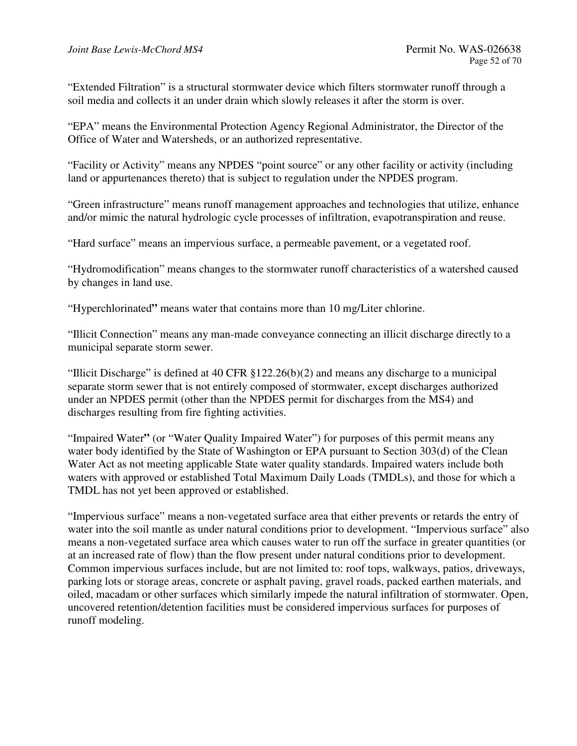"Extended Filtration" is a structural stormwater device which filters stormwater runoff through a soil media and collects it an under drain which slowly releases it after the storm is over.

"EPA" means the Environmental Protection Agency Regional Administrator, the Director of the Office of Water and Watersheds, or an authorized representative.

"Facility or Activity" means any NPDES "point source" or any other facility or activity (including land or appurtenances thereto) that is subject to regulation under the NPDES program.

"Green infrastructure" means runoff management approaches and technologies that utilize, enhance and/or mimic the natural hydrologic cycle processes of infiltration, evapotranspiration and reuse.

"Hard surface" means an impervious surface, a permeable pavement, or a vegetated roof.

"Hydromodification" means changes to the stormwater runoff characteristics of a watershed caused by changes in land use.

"Hyperchlorinated**"** means water that contains more than 10 mg/Liter chlorine.

"Illicit Connection" means any man-made conveyance connecting an illicit discharge directly to a municipal separate storm sewer.

"Illicit Discharge" is defined at 40 CFR §122.26(b)(2) and means any discharge to a municipal separate storm sewer that is not entirely composed of stormwater, except discharges authorized under an NPDES permit (other than the NPDES permit for discharges from the MS4) and discharges resulting from fire fighting activities.

"Impaired Water**"** (or "Water Quality Impaired Water") for purposes of this permit means any water body identified by the State of Washington or EPA pursuant to Section 303(d) of the Clean Water Act as not meeting applicable State water quality standards. Impaired waters include both waters with approved or established Total Maximum Daily Loads (TMDLs), and those for which a TMDL has not yet been approved or established.

"Impervious surface" means a non-vegetated surface area that either prevents or retards the entry of water into the soil mantle as under natural conditions prior to development. "Impervious surface" also means a non-vegetated surface area which causes water to run off the surface in greater quantities (or at an increased rate of flow) than the flow present under natural conditions prior to development. Common impervious surfaces include, but are not limited to: roof tops, walkways, patios, driveways, parking lots or storage areas, concrete or asphalt paving, gravel roads, packed earthen materials, and oiled, macadam or other surfaces which similarly impede the natural infiltration of stormwater. Open, uncovered retention/detention facilities must be considered impervious surfaces for purposes of runoff modeling.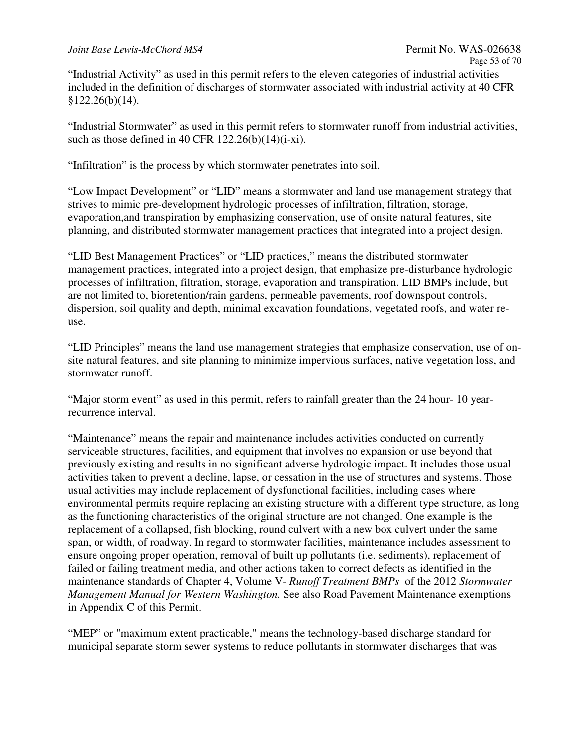"Industrial Activity" as used in this permit refers to the eleven categories of industrial activities included in the definition of discharges of stormwater associated with industrial activity at 40 CFR  $§122.26(b)(14).$ 

"Industrial Stormwater" as used in this permit refers to stormwater runoff from industrial activities, such as those defined in 40 CFR  $122.26(b)(14)(i-xi)$ .

"Infiltration" is the process by which stormwater penetrates into soil.

"Low Impact Development" or "LID" means a stormwater and land use management strategy that strives to mimic pre-development hydrologic processes of infiltration, filtration, storage, evaporation,and transpiration by emphasizing conservation, use of onsite natural features, site planning, and distributed stormwater management practices that integrated into a project design.

"LID Best Management Practices" or "LID practices," means the distributed stormwater management practices, integrated into a project design, that emphasize pre-disturbance hydrologic processes of infiltration, filtration, storage, evaporation and transpiration. LID BMPs include, but are not limited to, bioretention/rain gardens, permeable pavements, roof downspout controls, dispersion, soil quality and depth, minimal excavation foundations, vegetated roofs, and water reuse.

"LID Principles" means the land use management strategies that emphasize conservation, use of onsite natural features, and site planning to minimize impervious surfaces, native vegetation loss, and stormwater runoff.

"Major storm event" as used in this permit, refers to rainfall greater than the 24 hour- 10 yearrecurrence interval.

"Maintenance" means the repair and maintenance includes activities conducted on currently serviceable structures, facilities, and equipment that involves no expansion or use beyond that previously existing and results in no significant adverse hydrologic impact. It includes those usual activities taken to prevent a decline, lapse, or cessation in the use of structures and systems. Those usual activities may include replacement of dysfunctional facilities, including cases where environmental permits require replacing an existing structure with a different type structure, as long as the functioning characteristics of the original structure are not changed. One example is the replacement of a collapsed, fish blocking, round culvert with a new box culvert under the same span, or width, of roadway. In regard to stormwater facilities, maintenance includes assessment to ensure ongoing proper operation, removal of built up pollutants (i.e. sediments), replacement of failed or failing treatment media, and other actions taken to correct defects as identified in the maintenance standards of Chapter 4, Volume V- *Runoff Treatment BMPs* of the 2012 *Stormwater Management Manual for Western Washington.* See also Road Pavement Maintenance exemptions in Appendix C of this Permit.

"MEP" or "maximum extent practicable," means the technology-based discharge standard for municipal separate storm sewer systems to reduce pollutants in stormwater discharges that was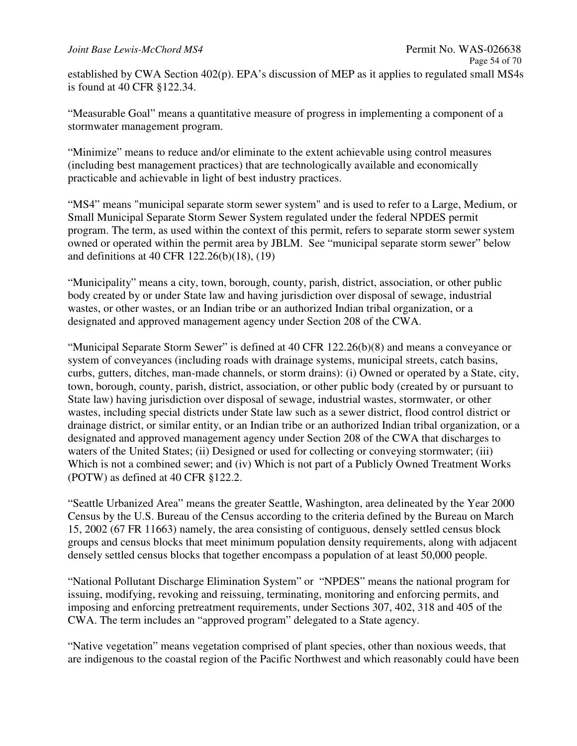#### *Joint Base Lewis-McChord MS4* **Permit No. WAS-026638**

established by CWA Section 402(p). EPA's discussion of MEP as it applies to regulated small MS4s is found at 40 CFR §122.34.

"Measurable Goal" means a quantitative measure of progress in implementing a component of a stormwater management program.

"Minimize" means to reduce and/or eliminate to the extent achievable using control measures (including best management practices) that are technologically available and economically practicable and achievable in light of best industry practices.

"MS4" means "municipal separate storm sewer system" and is used to refer to a Large, Medium, or Small Municipal Separate Storm Sewer System regulated under the federal NPDES permit program. The term, as used within the context of this permit, refers to separate storm sewer system owned or operated within the permit area by JBLM. See "municipal separate storm sewer" below and definitions at 40 CFR 122.26(b)(18), (19)

"Municipality" means a city, town, borough, county, parish, district, association, or other public body created by or under State law and having jurisdiction over disposal of sewage, industrial wastes, or other wastes, or an Indian tribe or an authorized Indian tribal organization, or a designated and approved management agency under Section 208 of the CWA.

"Municipal Separate Storm Sewer" is defined at 40 CFR 122.26(b)(8) and means a conveyance or system of conveyances (including roads with drainage systems, municipal streets, catch basins, curbs, gutters, ditches, man-made channels, or storm drains): (i) Owned or operated by a State, city, town, borough, county, parish, district, association, or other public body (created by or pursuant to State law) having jurisdiction over disposal of sewage, industrial wastes, stormwater, or other wastes, including special districts under State law such as a sewer district, flood control district or drainage district, or similar entity, or an Indian tribe or an authorized Indian tribal organization, or a designated and approved management agency under Section 208 of the CWA that discharges to waters of the United States; (ii) Designed or used for collecting or conveying stormwater; (iii) Which is not a combined sewer; and (iv) Which is not part of a Publicly Owned Treatment Works (POTW) as defined at 40 CFR §122.2.

"Seattle Urbanized Area" means the greater Seattle, Washington, area delineated by the Year 2000 Census by the U.S. Bureau of the Census according to the criteria defined by the Bureau on March 15, 2002 (67 FR 11663) namely, the area consisting of contiguous, densely settled census block groups and census blocks that meet minimum population density requirements, along with adjacent densely settled census blocks that together encompass a population of at least 50,000 people.

"National Pollutant Discharge Elimination System" or "NPDES" means the national program for issuing, modifying, revoking and reissuing, terminating, monitoring and enforcing permits, and imposing and enforcing pretreatment requirements, under Sections 307, 402, 318 and 405 of the CWA. The term includes an "approved program" delegated to a State agency.

"Native vegetation" means vegetation comprised of plant species, other than noxious weeds, that are indigenous to the coastal region of the Pacific Northwest and which reasonably could have been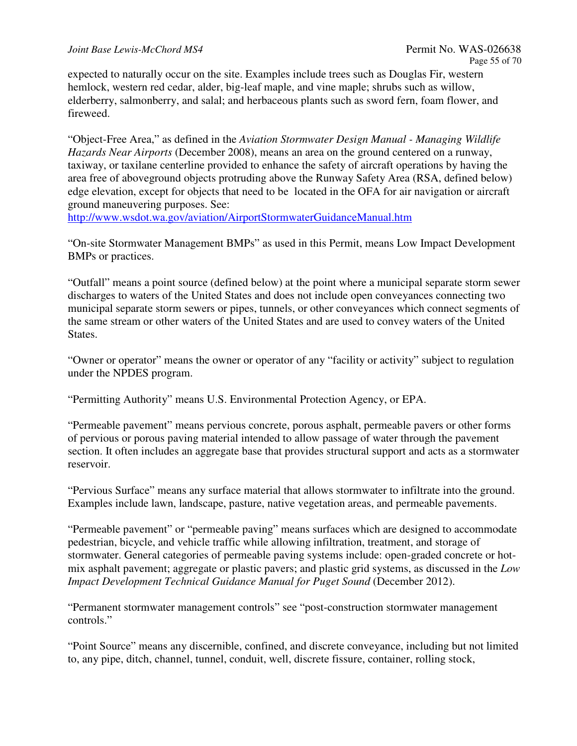expected to naturally occur on the site. Examples include trees such as Douglas Fir, western hemlock, western red cedar, alder, big-leaf maple, and vine maple; shrubs such as willow, elderberry, salmonberry, and salal; and herbaceous plants such as sword fern, foam flower, and fireweed.

"Object-Free Area," as defined in the *Aviation Stormwater Design Manual - Managing Wildlife Hazards Near Airports* (December 2008), means an area on the ground centered on a runway, taxiway, or taxilane centerline provided to enhance the safety of aircraft operations by having the area free of aboveground objects protruding above the Runway Safety Area (RSA, defined below) edge elevation, except for objects that need to be located in the OFA for air navigation or aircraft ground maneuvering purposes. See:

http://www.wsdot.wa.gov/aviation/AirportStormwaterGuidanceManual.htm

"On-site Stormwater Management BMPs" as used in this Permit, means Low Impact Development BMPs or practices.

"Outfall" means a point source (defined below) at the point where a municipal separate storm sewer discharges to waters of the United States and does not include open conveyances connecting two municipal separate storm sewers or pipes, tunnels, or other conveyances which connect segments of the same stream or other waters of the United States and are used to convey waters of the United States.

"Owner or operator" means the owner or operator of any "facility or activity" subject to regulation under the NPDES program.

"Permitting Authority" means U.S. Environmental Protection Agency, or EPA.

"Permeable pavement" means pervious concrete, porous asphalt, permeable pavers or other forms of pervious or porous paving material intended to allow passage of water through the pavement section. It often includes an aggregate base that provides structural support and acts as a stormwater reservoir.

"Pervious Surface" means any surface material that allows stormwater to infiltrate into the ground. Examples include lawn, landscape, pasture, native vegetation areas, and permeable pavements.

"Permeable pavement" or "permeable paving" means surfaces which are designed to accommodate pedestrian, bicycle, and vehicle traffic while allowing infiltration, treatment, and storage of stormwater. General categories of permeable paving systems include: open-graded concrete or hotmix asphalt pavement; aggregate or plastic pavers; and plastic grid systems, as discussed in the *Low Impact Development Technical Guidance Manual for Puget Sound* (December 2012).

"Permanent stormwater management controls" see "post-construction stormwater management controls."

"Point Source" means any discernible, confined, and discrete conveyance, including but not limited to, any pipe, ditch, channel, tunnel, conduit, well, discrete fissure, container, rolling stock,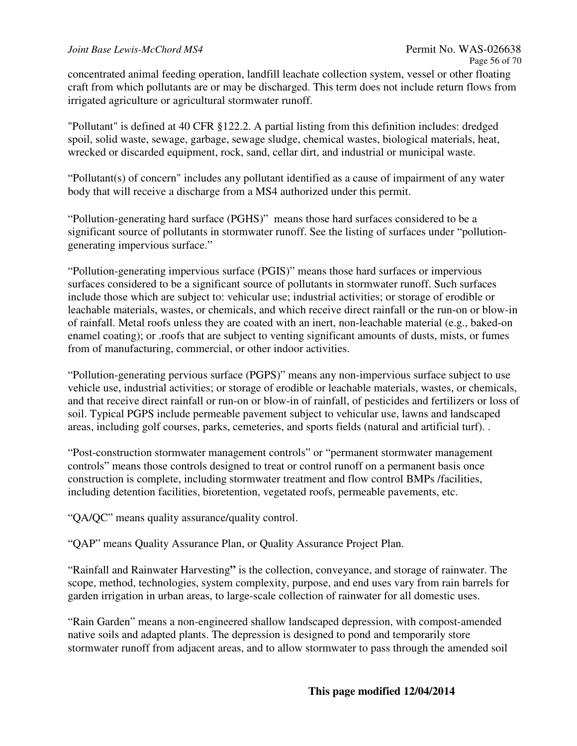concentrated animal feeding operation, landfill leachate collection system, vessel or other floating craft from which pollutants are or may be discharged. This term does not include return flows from irrigated agriculture or agricultural stormwater runoff.

"Pollutant" is defined at 40 CFR §122.2. A partial listing from this definition includes: dredged spoil, solid waste, sewage, garbage, sewage sludge, chemical wastes, biological materials, heat, wrecked or discarded equipment, rock, sand, cellar dirt, and industrial or municipal waste.

"Pollutant(s) of concern" includes any pollutant identified as a cause of impairment of any water body that will receive a discharge from a MS4 authorized under this permit.

"Pollution-generating hard surface (PGHS)" means those hard surfaces considered to be a significant source of pollutants in stormwater runoff. See the listing of surfaces under "pollutiongenerating impervious surface."

"Pollution-generating impervious surface (PGIS)" means those hard surfaces or impervious surfaces considered to be a significant source of pollutants in stormwater runoff. Such surfaces include those which are subject to: vehicular use; industrial activities; or storage of erodible or leachable materials, wastes, or chemicals, and which receive direct rainfall or the run-on or blow-in of rainfall. Metal roofs unless they are coated with an inert, non-leachable material (e.g., baked-on enamel coating); or .roofs that are subject to venting significant amounts of dusts, mists, or fumes from of manufacturing, commercial, or other indoor activities.

"Pollution-generating pervious surface (PGPS)" means any non-impervious surface subject to use vehicle use, industrial activities; or storage of erodible or leachable materials, wastes, or chemicals, and that receive direct rainfall or run-on or blow-in of rainfall, of pesticides and fertilizers or loss of soil. Typical PGPS include permeable pavement subject to vehicular use, lawns and landscaped areas, including golf courses, parks, cemeteries, and sports fields (natural and artificial turf). .

"Post-construction stormwater management controls" or "permanent stormwater management controls" means those controls designed to treat or control runoff on a permanent basis once construction is complete, including stormwater treatment and flow control BMPs /facilities, including detention facilities, bioretention, vegetated roofs, permeable pavements, etc.

"QA/QC" means quality assurance/quality control.

"QAP" means Quality Assurance Plan, or Quality Assurance Project Plan.

"Rainfall and Rainwater Harvesting**"** is the collection, conveyance, and storage of rainwater. The scope, method, technologies, system complexity, purpose, and end uses vary from rain barrels for garden irrigation in urban areas, to large-scale collection of rainwater for all domestic uses.

"Rain Garden" means a non-engineered shallow landscaped depression, with compost-amended native soils and adapted plants. The depression is designed to pond and temporarily store stormwater runoff from adjacent areas, and to allow stormwater to pass through the amended soil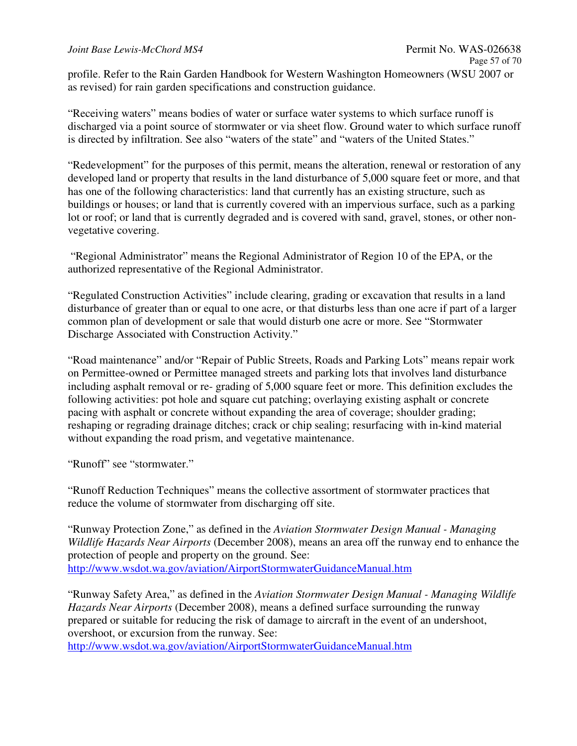profile. Refer to the Rain Garden Handbook for Western Washington Homeowners (WSU 2007 or as revised) for rain garden specifications and construction guidance.

"Receiving waters" means bodies of water or surface water systems to which surface runoff is discharged via a point source of stormwater or via sheet flow. Ground water to which surface runoff is directed by infiltration. See also "waters of the state" and "waters of the United States."

"Redevelopment" for the purposes of this permit, means the alteration, renewal or restoration of any developed land or property that results in the land disturbance of 5,000 square feet or more, and that has one of the following characteristics: land that currently has an existing structure, such as buildings or houses; or land that is currently covered with an impervious surface, such as a parking lot or roof; or land that is currently degraded and is covered with sand, gravel, stones, or other nonvegetative covering.

 "Regional Administrator" means the Regional Administrator of Region 10 of the EPA, or the authorized representative of the Regional Administrator.

"Regulated Construction Activities" include clearing, grading or excavation that results in a land disturbance of greater than or equal to one acre, or that disturbs less than one acre if part of a larger common plan of development or sale that would disturb one acre or more. See "Stormwater Discharge Associated with Construction Activity."

"Road maintenance" and/or "Repair of Public Streets, Roads and Parking Lots" means repair work on Permittee-owned or Permittee managed streets and parking lots that involves land disturbance including asphalt removal or re- grading of 5,000 square feet or more. This definition excludes the following activities: pot hole and square cut patching; overlaying existing asphalt or concrete pacing with asphalt or concrete without expanding the area of coverage; shoulder grading; reshaping or regrading drainage ditches; crack or chip sealing; resurfacing with in-kind material without expanding the road prism, and vegetative maintenance.

"Runoff" see "stormwater."

"Runoff Reduction Techniques" means the collective assortment of stormwater practices that reduce the volume of stormwater from discharging off site.

"Runway Protection Zone," as defined in the *Aviation Stormwater Design Manual - Managing Wildlife Hazards Near Airports* (December 2008), means an area off the runway end to enhance the protection of people and property on the ground. See: http://www.wsdot.wa.gov/aviation/AirportStormwaterGuidanceManual.htm

"Runway Safety Area," as defined in the *Aviation Stormwater Design Manual - Managing Wildlife Hazards Near Airports* (December 2008), means a defined surface surrounding the runway prepared or suitable for reducing the risk of damage to aircraft in the event of an undershoot, overshoot, or excursion from the runway. See:

http://www.wsdot.wa.gov/aviation/AirportStormwaterGuidanceManual.htm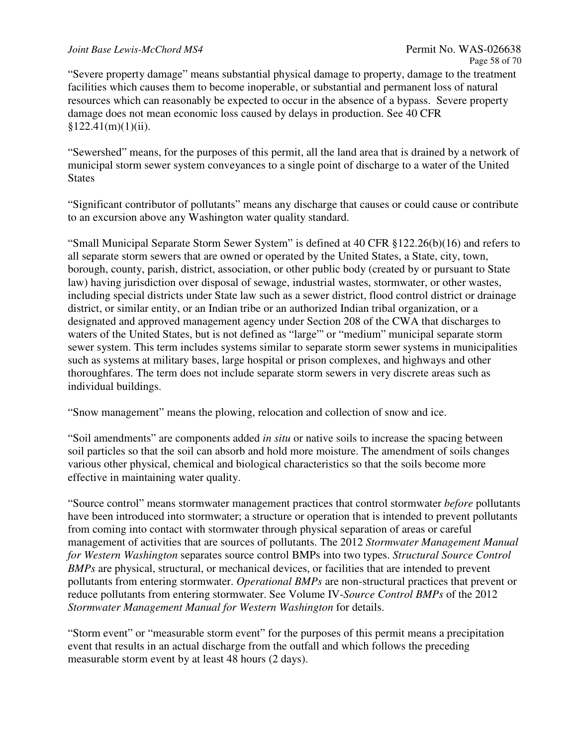#### *Joint Base Lewis-McChord MS4* **Permit No. WAS-026638**

"Severe property damage" means substantial physical damage to property, damage to the treatment facilities which causes them to become inoperable, or substantial and permanent loss of natural resources which can reasonably be expected to occur in the absence of a bypass. Severe property damage does not mean economic loss caused by delays in production. See 40 CFR  $$122.41(m)(1)(ii).$ 

"Sewershed" means, for the purposes of this permit, all the land area that is drained by a network of municipal storm sewer system conveyances to a single point of discharge to a water of the United **States** 

"Significant contributor of pollutants" means any discharge that causes or could cause or contribute to an excursion above any Washington water quality standard.

"Small Municipal Separate Storm Sewer System" is defined at 40 CFR §122.26(b)(16) and refers to all separate storm sewers that are owned or operated by the United States, a State, city, town, borough, county, parish, district, association, or other public body (created by or pursuant to State law) having jurisdiction over disposal of sewage, industrial wastes, stormwater, or other wastes, including special districts under State law such as a sewer district, flood control district or drainage district, or similar entity, or an Indian tribe or an authorized Indian tribal organization, or a designated and approved management agency under Section 208 of the CWA that discharges to waters of the United States, but is not defined as "large" or "medium" municipal separate storm sewer system. This term includes systems similar to separate storm sewer systems in municipalities such as systems at military bases, large hospital or prison complexes, and highways and other thoroughfares. The term does not include separate storm sewers in very discrete areas such as individual buildings.

"Snow management" means the plowing, relocation and collection of snow and ice.

"Soil amendments" are components added *in situ* or native soils to increase the spacing between soil particles so that the soil can absorb and hold more moisture. The amendment of soils changes various other physical, chemical and biological characteristics so that the soils become more effective in maintaining water quality.

"Source control" means stormwater management practices that control stormwater *before* pollutants have been introduced into stormwater; a structure or operation that is intended to prevent pollutants from coming into contact with stormwater through physical separation of areas or careful management of activities that are sources of pollutants. The 2012 *Stormwater Management Manual for Western Washington* separates source control BMPs into two types. *Structural Source Control BMPs* are physical, structural, or mechanical devices, or facilities that are intended to prevent pollutants from entering stormwater. *Operational BMPs* are non-structural practices that prevent or reduce pollutants from entering stormwater. See Volume IV-*Source Control BMPs* of the 2012 *Stormwater Management Manual for Western Washington* for details.

"Storm event" or "measurable storm event" for the purposes of this permit means a precipitation event that results in an actual discharge from the outfall and which follows the preceding measurable storm event by at least 48 hours (2 days).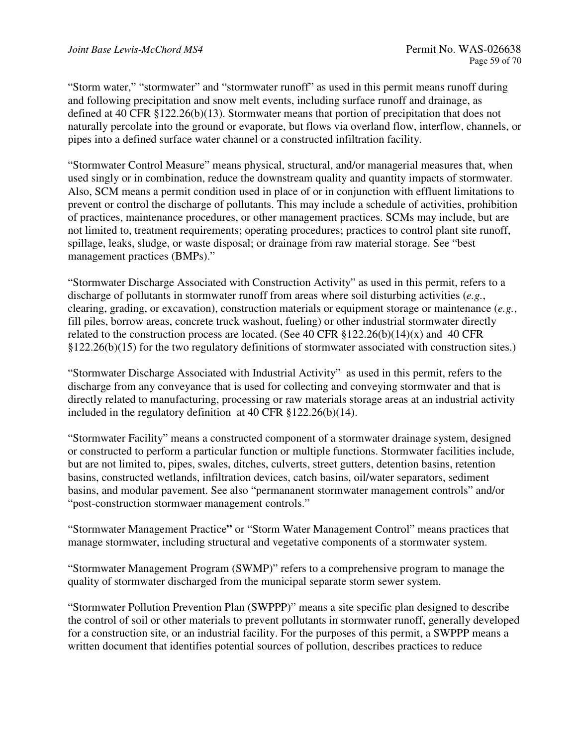"Storm water," "stormwater" and "stormwater runoff" as used in this permit means runoff during and following precipitation and snow melt events, including surface runoff and drainage, as defined at 40 CFR §122.26(b)(13). Stormwater means that portion of precipitation that does not naturally percolate into the ground or evaporate, but flows via overland flow, interflow, channels, or pipes into a defined surface water channel or a constructed infiltration facility.

"Stormwater Control Measure" means physical, structural, and/or managerial measures that, when used singly or in combination, reduce the downstream quality and quantity impacts of stormwater. Also, SCM means a permit condition used in place of or in conjunction with effluent limitations to prevent or control the discharge of pollutants. This may include a schedule of activities, prohibition of practices, maintenance procedures, or other management practices. SCMs may include, but are not limited to, treatment requirements; operating procedures; practices to control plant site runoff, spillage, leaks, sludge, or waste disposal; or drainage from raw material storage. See "best management practices (BMPs)."

"Stormwater Discharge Associated with Construction Activity" as used in this permit, refers to a discharge of pollutants in stormwater runoff from areas where soil disturbing activities (*e.g.*, clearing, grading, or excavation), construction materials or equipment storage or maintenance (*e.g.*, fill piles, borrow areas, concrete truck washout, fueling) or other industrial stormwater directly related to the construction process are located. (See 40 CFR  $$122.26(b)(14)(x)$  and 40 CFR §122.26(b)(15) for the two regulatory definitions of stormwater associated with construction sites.)

"Stormwater Discharge Associated with Industrial Activity" as used in this permit, refers to the discharge from any conveyance that is used for collecting and conveying stormwater and that is directly related to manufacturing, processing or raw materials storage areas at an industrial activity included in the regulatory definition at 40 CFR §122.26(b)(14).

"Stormwater Facility" means a constructed component of a stormwater drainage system, designed or constructed to perform a particular function or multiple functions. Stormwater facilities include, but are not limited to, pipes, swales, ditches, culverts, street gutters, detention basins, retention basins, constructed wetlands, infiltration devices, catch basins, oil/water separators, sediment basins, and modular pavement. See also "permananent stormwater management controls" and/or "post-construction stormwaer management controls."

"Stormwater Management Practice**"** or "Storm Water Management Control" means practices that manage stormwater, including structural and vegetative components of a stormwater system.

"Stormwater Management Program (SWMP)" refers to a comprehensive program to manage the quality of stormwater discharged from the municipal separate storm sewer system.

"Stormwater Pollution Prevention Plan (SWPPP)" means a site specific plan designed to describe the control of soil or other materials to prevent pollutants in stormwater runoff, generally developed for a construction site, or an industrial facility. For the purposes of this permit, a SWPPP means a written document that identifies potential sources of pollution, describes practices to reduce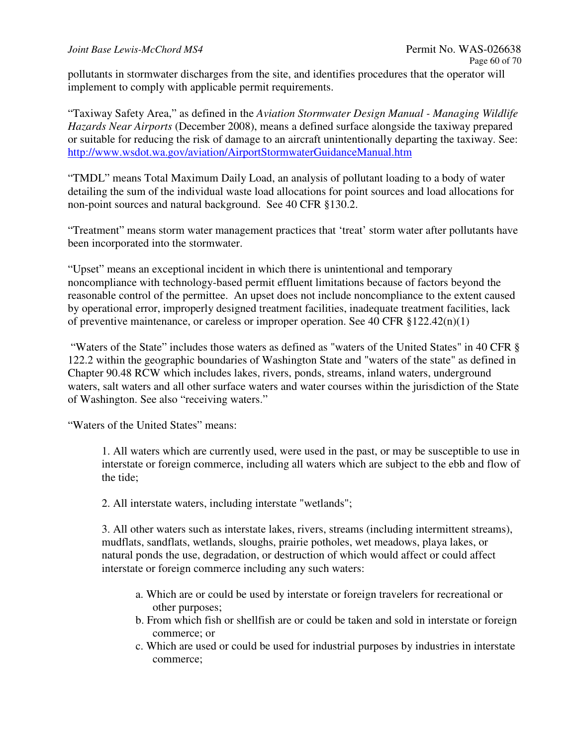pollutants in stormwater discharges from the site, and identifies procedures that the operator will implement to comply with applicable permit requirements.

"Taxiway Safety Area," as defined in the *Aviation Stormwater Design Manual - Managing Wildlife Hazards Near Airports* (December 2008), means a defined surface alongside the taxiway prepared or suitable for reducing the risk of damage to an aircraft unintentionally departing the taxiway. See: http://www.wsdot.wa.gov/aviation/AirportStormwaterGuidanceManual.htm

"TMDL" means Total Maximum Daily Load, an analysis of pollutant loading to a body of water detailing the sum of the individual waste load allocations for point sources and load allocations for non-point sources and natural background. See 40 CFR §130.2.

"Treatment" means storm water management practices that 'treat' storm water after pollutants have been incorporated into the stormwater.

"Upset" means an exceptional incident in which there is unintentional and temporary noncompliance with technology-based permit effluent limitations because of factors beyond the reasonable control of the permittee. An upset does not include noncompliance to the extent caused by operational error, improperly designed treatment facilities, inadequate treatment facilities, lack of preventive maintenance, or careless or improper operation. See 40 CFR §122.42(n)(1)

 "Waters of the State" includes those waters as defined as "waters of the United States" in 40 CFR § 122.2 within the geographic boundaries of Washington State and "waters of the state" as defined in Chapter 90.48 RCW which includes lakes, rivers, ponds, streams, inland waters, underground waters, salt waters and all other surface waters and water courses within the jurisdiction of the State of Washington. See also "receiving waters."

"Waters of the United States" means:

1. All waters which are currently used, were used in the past, or may be susceptible to use in interstate or foreign commerce, including all waters which are subject to the ebb and flow of the tide;

2. All interstate waters, including interstate "wetlands";

3. All other waters such as interstate lakes, rivers, streams (including intermittent streams), mudflats, sandflats, wetlands, sloughs, prairie potholes, wet meadows, playa lakes, or natural ponds the use, degradation, or destruction of which would affect or could affect interstate or foreign commerce including any such waters:

- a. Which are or could be used by interstate or foreign travelers for recreational or other purposes;
- b. From which fish or shellfish are or could be taken and sold in interstate or foreign commerce; or
- c. Which are used or could be used for industrial purposes by industries in interstate commerce;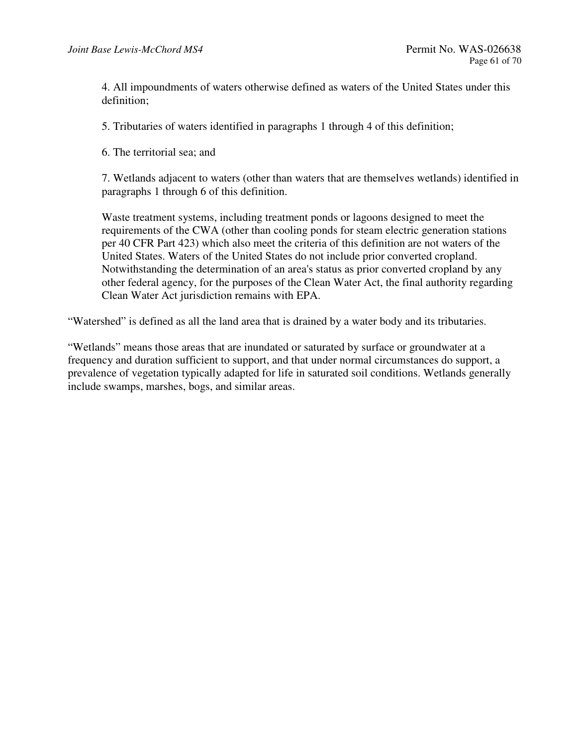4. All impoundments of waters otherwise defined as waters of the United States under this definition;

5. Tributaries of waters identified in paragraphs 1 through 4 of this definition;

6. The territorial sea; and

7. Wetlands adjacent to waters (other than waters that are themselves wetlands) identified in paragraphs 1 through 6 of this definition.

Waste treatment systems, including treatment ponds or lagoons designed to meet the requirements of the CWA (other than cooling ponds for steam electric generation stations per 40 CFR Part 423) which also meet the criteria of this definition are not waters of the United States. Waters of the United States do not include prior converted cropland. Notwithstanding the determination of an area's status as prior converted cropland by any other federal agency, for the purposes of the Clean Water Act, the final authority regarding Clean Water Act jurisdiction remains with EPA.

"Watershed" is defined as all the land area that is drained by a water body and its tributaries.

"Wetlands" means those areas that are inundated or saturated by surface or groundwater at a frequency and duration sufficient to support, and that under normal circumstances do support, a prevalence of vegetation typically adapted for life in saturated soil conditions. Wetlands generally include swamps, marshes, bogs, and similar areas.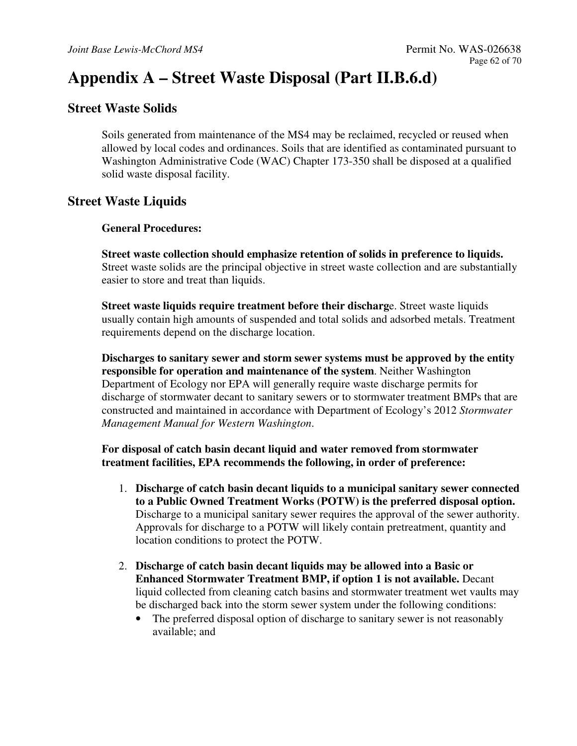# **Appendix A – Street Waste Disposal (Part II.B.6.d)**

## **Street Waste Solids**

Soils generated from maintenance of the MS4 may be reclaimed, recycled or reused when allowed by local codes and ordinances. Soils that are identified as contaminated pursuant to Washington Administrative Code (WAC) Chapter 173-350 shall be disposed at a qualified solid waste disposal facility.

## **Street Waste Liquids**

## **General Procedures:**

**Street waste collection should emphasize retention of solids in preference to liquids.** Street waste solids are the principal objective in street waste collection and are substantially easier to store and treat than liquids.

**Street waste liquids require treatment before their discharg**e. Street waste liquids usually contain high amounts of suspended and total solids and adsorbed metals. Treatment requirements depend on the discharge location.

**Discharges to sanitary sewer and storm sewer systems must be approved by the entity responsible for operation and maintenance of the system**. Neither Washington Department of Ecology nor EPA will generally require waste discharge permits for discharge of stormwater decant to sanitary sewers or to stormwater treatment BMPs that are constructed and maintained in accordance with Department of Ecology's 2012 *Stormwater Management Manual for Western Washington*.

## **For disposal of catch basin decant liquid and water removed from stormwater treatment facilities, EPA recommends the following, in order of preference:**

- 1. **Discharge of catch basin decant liquids to a municipal sanitary sewer connected to a Public Owned Treatment Works (POTW) is the preferred disposal option.**  Discharge to a municipal sanitary sewer requires the approval of the sewer authority. Approvals for discharge to a POTW will likely contain pretreatment, quantity and location conditions to protect the POTW.
- 2. **Discharge of catch basin decant liquids may be allowed into a Basic or Enhanced Stormwater Treatment BMP, if option 1 is not available.** Decant liquid collected from cleaning catch basins and stormwater treatment wet vaults may be discharged back into the storm sewer system under the following conditions:
	- The preferred disposal option of discharge to sanitary sewer is not reasonably available; and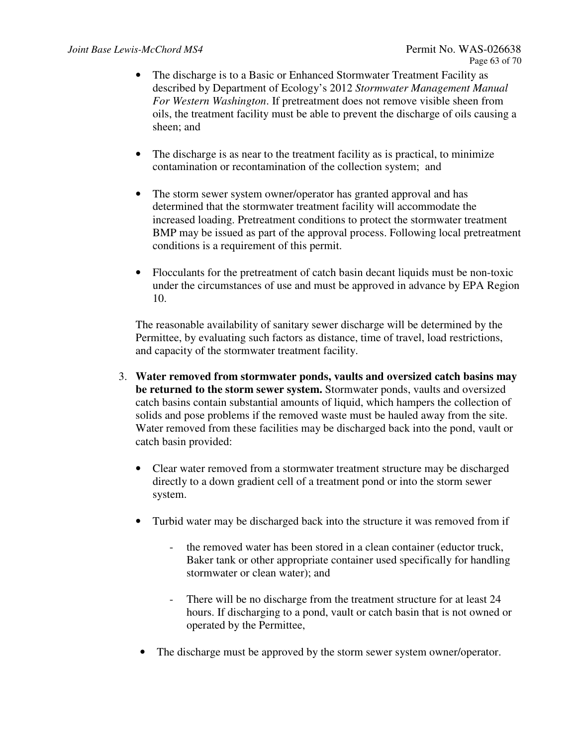- The discharge is to a Basic or Enhanced Stormwater Treatment Facility as described by Department of Ecology's 2012 *Stormwater Management Manual For Western Washington*. If pretreatment does not remove visible sheen from oils, the treatment facility must be able to prevent the discharge of oils causing a sheen; and
- The discharge is as near to the treatment facility as is practical, to minimize contamination or recontamination of the collection system; and
- The storm sewer system owner/operator has granted approval and has determined that the stormwater treatment facility will accommodate the increased loading. Pretreatment conditions to protect the stormwater treatment BMP may be issued as part of the approval process. Following local pretreatment conditions is a requirement of this permit.
- Flocculants for the pretreatment of catch basin decant liquids must be non-toxic under the circumstances of use and must be approved in advance by EPA Region 10.

The reasonable availability of sanitary sewer discharge will be determined by the Permittee, by evaluating such factors as distance, time of travel, load restrictions, and capacity of the stormwater treatment facility.

- 3. **Water removed from stormwater ponds, vaults and oversized catch basins may be returned to the storm sewer system.** Stormwater ponds, vaults and oversized catch basins contain substantial amounts of liquid, which hampers the collection of solids and pose problems if the removed waste must be hauled away from the site. Water removed from these facilities may be discharged back into the pond, vault or catch basin provided:
	- Clear water removed from a stormwater treatment structure may be discharged directly to a down gradient cell of a treatment pond or into the storm sewer system.
	- Turbid water may be discharged back into the structure it was removed from if
		- the removed water has been stored in a clean container (eductor truck, Baker tank or other appropriate container used specifically for handling stormwater or clean water); and
		- There will be no discharge from the treatment structure for at least 24 hours. If discharging to a pond, vault or catch basin that is not owned or operated by the Permittee,
	- The discharge must be approved by the storm sewer system owner/operator.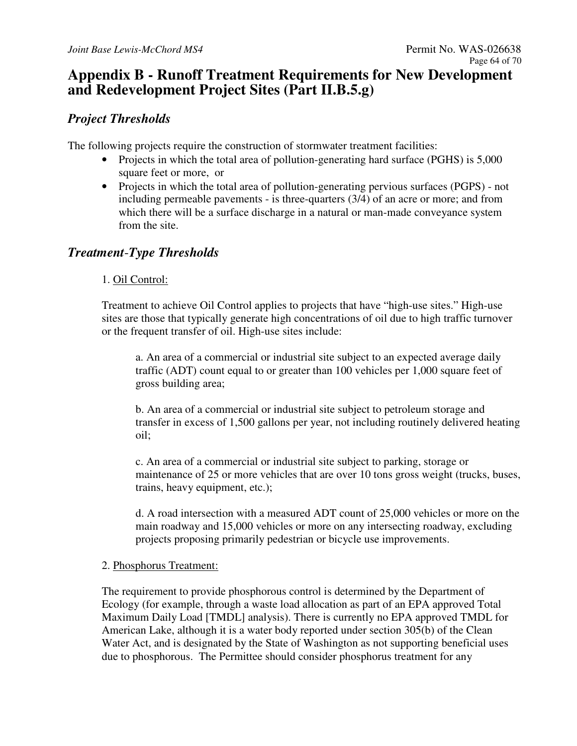## **Appendix B - Runoff Treatment Requirements for New Development and Redevelopment Project Sites (Part II.B.5.g)**

## *Project Thresholds*

The following projects require the construction of stormwater treatment facilities:

- Projects in which the total area of pollution-generating hard surface (PGHS) is 5,000 square feet or more, or
- Projects in which the total area of pollution-generating pervious surfaces (PGPS) not including permeable pavements - is three-quarters (3/4) of an acre or more; and from which there will be a surface discharge in a natural or man-made conveyance system from the site.

## *Treatment*-*Type Thresholds*

## 1. Oil Control:

Treatment to achieve Oil Control applies to projects that have "high-use sites." High-use sites are those that typically generate high concentrations of oil due to high traffic turnover or the frequent transfer of oil. High-use sites include:

a. An area of a commercial or industrial site subject to an expected average daily traffic (ADT) count equal to or greater than 100 vehicles per 1,000 square feet of gross building area;

b. An area of a commercial or industrial site subject to petroleum storage and transfer in excess of 1,500 gallons per year, not including routinely delivered heating oil;

c. An area of a commercial or industrial site subject to parking, storage or maintenance of 25 or more vehicles that are over 10 tons gross weight (trucks, buses, trains, heavy equipment, etc.);

d. A road intersection with a measured ADT count of 25,000 vehicles or more on the main roadway and 15,000 vehicles or more on any intersecting roadway, excluding projects proposing primarily pedestrian or bicycle use improvements.

## 2. Phosphorus Treatment:

The requirement to provide phosphorous control is determined by the Department of Ecology (for example, through a waste load allocation as part of an EPA approved Total Maximum Daily Load [TMDL] analysis). There is currently no EPA approved TMDL for American Lake, although it is a water body reported under section 305(b) of the Clean Water Act, and is designated by the State of Washington as not supporting beneficial uses due to phosphorous. The Permittee should consider phosphorus treatment for any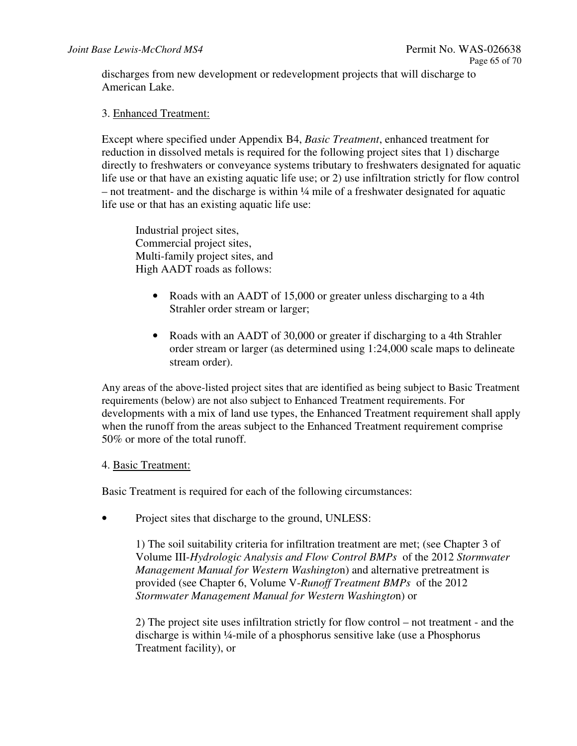discharges from new development or redevelopment projects that will discharge to American Lake.

## 3. Enhanced Treatment:

Except where specified under Appendix B4, *Basic Treatment*, enhanced treatment for reduction in dissolved metals is required for the following project sites that 1) discharge directly to freshwaters or conveyance systems tributary to freshwaters designated for aquatic life use or that have an existing aquatic life use; or 2) use infiltration strictly for flow control – not treatment- and the discharge is within ¼ mile of a freshwater designated for aquatic life use or that has an existing aquatic life use:

Industrial project sites, Commercial project sites, Multi-family project sites, and High AADT roads as follows:

- Roads with an AADT of 15,000 or greater unless discharging to a 4th Strahler order stream or larger;
- Roads with an AADT of 30,000 or greater if discharging to a 4th Strahler order stream or larger (as determined using 1:24,000 scale maps to delineate stream order).

Any areas of the above-listed project sites that are identified as being subject to Basic Treatment requirements (below) are not also subject to Enhanced Treatment requirements. For developments with a mix of land use types, the Enhanced Treatment requirement shall apply when the runoff from the areas subject to the Enhanced Treatment requirement comprise 50% or more of the total runoff.

#### 4. Basic Treatment:

Basic Treatment is required for each of the following circumstances:

Project sites that discharge to the ground, UNLESS:

1) The soil suitability criteria for infiltration treatment are met; (see Chapter 3 of Volume III-*Hydrologic Analysis and Flow Control BMPs* of the 2012 *Stormwater Management Manual for Western Washingto*n) and alternative pretreatment is provided (see Chapter 6, Volume V-*Runoff Treatment BMPs* of the 2012 *Stormwater Management Manual for Western Washingto*n) or

2) The project site uses infiltration strictly for flow control – not treatment - and the discharge is within ¼-mile of a phosphorus sensitive lake (use a Phosphorus Treatment facility), or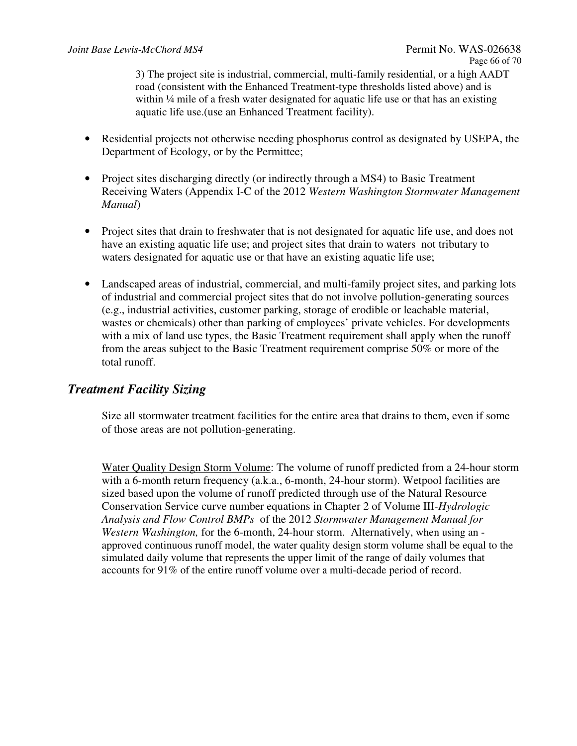3) The project site is industrial, commercial, multi-family residential, or a high AADT road (consistent with the Enhanced Treatment-type thresholds listed above) and is within <sup>1</sup>/4 mile of a fresh water designated for aquatic life use or that has an existing aquatic life use.(use an Enhanced Treatment facility).

- Residential projects not otherwise needing phosphorus control as designated by USEPA, the Department of Ecology, or by the Permittee;
- Project sites discharging directly (or indirectly through a MS4) to Basic Treatment Receiving Waters (Appendix I-C of the 2012 *Western Washington Stormwater Management Manual*)
- Project sites that drain to freshwater that is not designated for aquatic life use, and does not have an existing aquatic life use; and project sites that drain to waters not tributary to waters designated for aquatic use or that have an existing aquatic life use;
- Landscaped areas of industrial, commercial, and multi-family project sites, and parking lots of industrial and commercial project sites that do not involve pollution-generating sources (e.g., industrial activities, customer parking, storage of erodible or leachable material, wastes or chemicals) other than parking of employees' private vehicles. For developments with a mix of land use types, the Basic Treatment requirement shall apply when the runoff from the areas subject to the Basic Treatment requirement comprise 50% or more of the total runoff.

## *Treatment Facility Sizing*

Size all stormwater treatment facilities for the entire area that drains to them, even if some of those areas are not pollution-generating.

Water Quality Design Storm Volume: The volume of runoff predicted from a 24-hour storm with a 6-month return frequency (a.k.a., 6-month, 24-hour storm). Wetpool facilities are sized based upon the volume of runoff predicted through use of the Natural Resource Conservation Service curve number equations in Chapter 2 of Volume III-*Hydrologic Analysis and Flow Control BMPs* of the 2012 *Stormwater Management Manual for Western Washington,* for the 6-month, 24-hour storm. Alternatively, when using an approved continuous runoff model, the water quality design storm volume shall be equal to the simulated daily volume that represents the upper limit of the range of daily volumes that accounts for 91% of the entire runoff volume over a multi-decade period of record.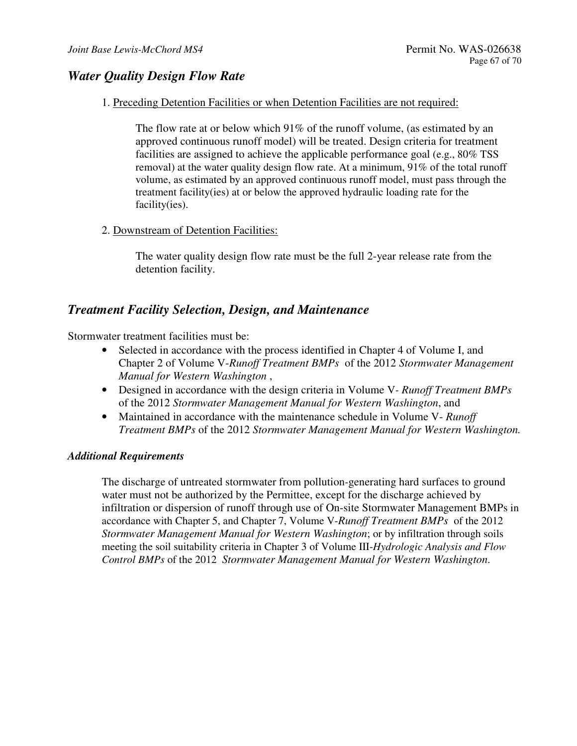## *Water Quality Design Flow Rate*

1. Preceding Detention Facilities or when Detention Facilities are not required:

The flow rate at or below which  $91\%$  of the runoff volume, (as estimated by an approved continuous runoff model) will be treated. Design criteria for treatment facilities are assigned to achieve the applicable performance goal (e.g., 80% TSS removal) at the water quality design flow rate. At a minimum, 91% of the total runoff volume, as estimated by an approved continuous runoff model, must pass through the treatment facility(ies) at or below the approved hydraulic loading rate for the facility(ies).

2. Downstream of Detention Facilities:

The water quality design flow rate must be the full 2-year release rate from the detention facility.

## *Treatment Facility Selection, Design, and Maintenance*

Stormwater treatment facilities must be:

- Selected in accordance with the process identified in Chapter 4 of Volume I, and Chapter 2 of Volume V-*Runoff Treatment BMPs* of the 2012 *Stormwater Management Manual for Western Washington* ,
- Designed in accordance with the design criteria in Volume V *Runoff Treatment BMPs* of the 2012 *Stormwater Management Manual for Western Washington*, and
- Maintained in accordance with the maintenance schedule in Volume V- *Runoff Treatment BMPs* of the 2012 *Stormwater Management Manual for Western Washington.*

#### *Additional Requirements*

The discharge of untreated stormwater from pollution*-*generating hard surfaces to ground water must not be authorized by the Permittee, except for the discharge achieved by infiltration or dispersion of runoff through use of On-site Stormwater Management BMPs in accordance with Chapter 5, and Chapter 7, Volume V-*Runoff Treatment BMPs* of the 2012 *Stormwater Management Manual for Western Washington*; or by infiltration through soils meeting the soil suitability criteria in Chapter 3 of Volume III-*Hydrologic Analysis and Flow Control BMPs* of the 2012 *Stormwater Management Manual for Western Washington*.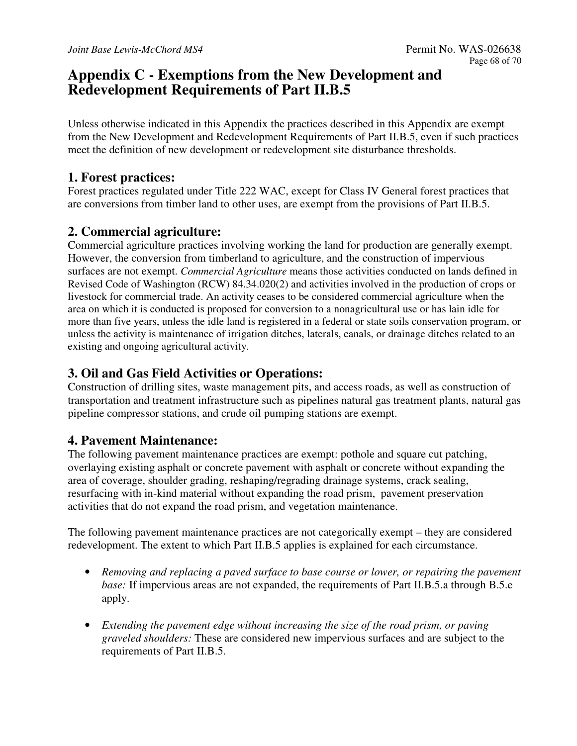## **Appendix C - Exemptions from the New Development and Redevelopment Requirements of Part II.B.5**

Unless otherwise indicated in this Appendix the practices described in this Appendix are exempt from the New Development and Redevelopment Requirements of Part II.B.5, even if such practices meet the definition of new development or redevelopment site disturbance thresholds.

## **1. Forest practices:**

Forest practices regulated under Title 222 WAC, except for Class IV General forest practices that are conversions from timber land to other uses, are exempt from the provisions of Part II.B.5.

## **2. Commercial agriculture:**

Commercial agriculture practices involving working the land for production are generally exempt. However, the conversion from timberland to agriculture, and the construction of impervious surfaces are not exempt. *Commercial Agriculture* means those activities conducted on lands defined in Revised Code of Washington (RCW) 84.34.020(2) and activities involved in the production of crops or livestock for commercial trade. An activity ceases to be considered commercial agriculture when the area on which it is conducted is proposed for conversion to a nonagricultural use or has lain idle for more than five years, unless the idle land is registered in a federal or state soils conservation program, or unless the activity is maintenance of irrigation ditches, laterals, canals, or drainage ditches related to an existing and ongoing agricultural activity.

## **3. Oil and Gas Field Activities or Operations:**

Construction of drilling sites, waste management pits, and access roads, as well as construction of transportation and treatment infrastructure such as pipelines natural gas treatment plants, natural gas pipeline compressor stations, and crude oil pumping stations are exempt.

## **4. Pavement Maintenance:**

The following pavement maintenance practices are exempt: pothole and square cut patching, overlaying existing asphalt or concrete pavement with asphalt or concrete without expanding the area of coverage, shoulder grading, reshaping/regrading drainage systems, crack sealing, resurfacing with in-kind material without expanding the road prism, pavement preservation activities that do not expand the road prism, and vegetation maintenance.

The following pavement maintenance practices are not categorically exempt – they are considered redevelopment. The extent to which Part II.B.5 applies is explained for each circumstance.

- *Removing and replacing a paved surface to base course or lower, or repairing the pavement base:* If impervious areas are not expanded, the requirements of Part II.B.5.a through B.5.e apply.
- *Extending the pavement edge without increasing the size of the road prism, or paving graveled shoulders:* These are considered new impervious surfaces and are subject to the requirements of Part II.B.5.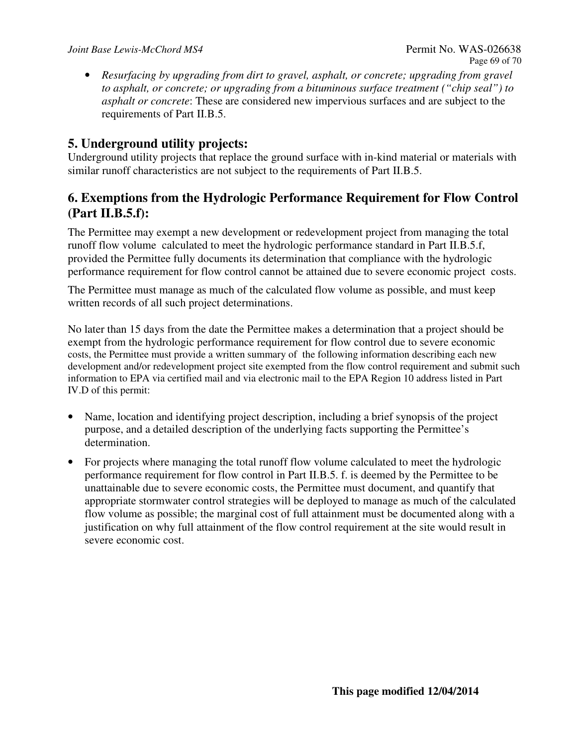• *Resurfacing by upgrading from dirt to gravel, asphalt, or concrete; upgrading from gravel to asphalt, or concrete; or upgrading from a bituminous surface treatment ("chip seal") to asphalt or concrete*: These are considered new impervious surfaces and are subject to the requirements of Part II.B.5.

## **5. Underground utility projects:**

Underground utility projects that replace the ground surface with in-kind material or materials with similar runoff characteristics are not subject to the requirements of Part II.B.5.

## **6. Exemptions from the Hydrologic Performance Requirement for Flow Control (Part II.B.5.f):**

The Permittee may exempt a new development or redevelopment project from managing the total runoff flow volume calculated to meet the hydrologic performance standard in Part II.B.5.f, provided the Permittee fully documents its determination that compliance with the hydrologic performance requirement for flow control cannot be attained due to severe economic project costs.

The Permittee must manage as much of the calculated flow volume as possible, and must keep written records of all such project determinations.

No later than 15 days from the date the Permittee makes a determination that a project should be exempt from the hydrologic performance requirement for flow control due to severe economic costs, the Permittee must provide a written summary of the following information describing each new development and/or redevelopment project site exempted from the flow control requirement and submit such information to EPA via certified mail and via electronic mail to the EPA Region 10 address listed in Part IV.D of this permit:

- Name, location and identifying project description, including a brief synopsis of the project purpose, and a detailed description of the underlying facts supporting the Permittee's determination.
- For projects where managing the total runoff flow volume calculated to meet the hydrologic performance requirement for flow control in Part II.B.5. f. is deemed by the Permittee to be unattainable due to severe economic costs, the Permittee must document, and quantify that appropriate stormwater control strategies will be deployed to manage as much of the calculated flow volume as possible; the marginal cost of full attainment must be documented along with a justification on why full attainment of the flow control requirement at the site would result in severe economic cost.